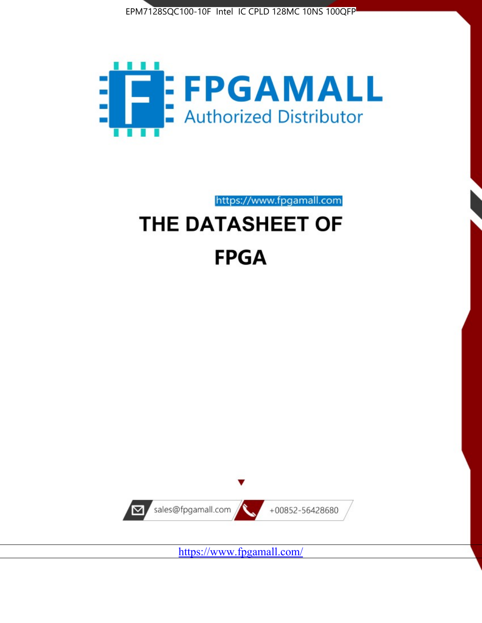



https://www.fpgamall.com

# THE DATASHEET OF **FPGA**



<https://www.fpgamall.com/>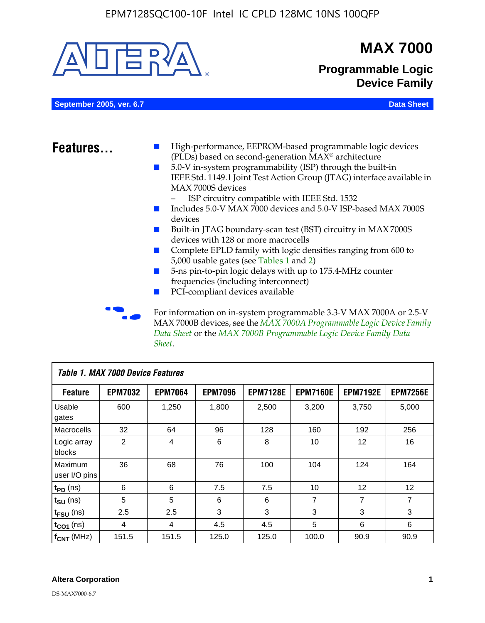

MAX 7000B devices, see the *MAX 7000A Programmable Logic Device Family Data Sheet* or the *MAX 7000B Programmable Logic Device Family Data Sheet*.

| <b>Table 1. MAX 7000 Device Features</b> |                |                |                |                 |                 |                 |                 |
|------------------------------------------|----------------|----------------|----------------|-----------------|-----------------|-----------------|-----------------|
| <b>Feature</b>                           | <b>EPM7032</b> | <b>EPM7064</b> | <b>EPM7096</b> | <b>EPM7128E</b> | <b>EPM7160E</b> | <b>EPM7192E</b> | <b>EPM7256E</b> |
| Usable<br>gates                          | 600            | 1,250          | 1,800          | 2,500           | 3,200           | 3,750           | 5,000           |
| Macrocells                               | 32             | 64             | 96             | 128             | 160             | 192             | 256             |
| Logic array<br>blocks                    | 2              | 4              | 6              | 8               | 10              | 12              | 16              |
| Maximum<br>user I/O pins                 | 36             | 68             | 76             | 100             | 104             | 124             | 164             |
| $t_{PD}$ (ns)                            | 6              | 6              | 7.5            | 7.5             | 10              | 12              | 12              |
| $t_{\text{SU}}$ (ns)                     | 5              | 5              | 6              | 6               | 7               | 7               | 7               |
| $t_{\text{FSU}}$ (ns)                    | 2.5            | 2.5            | 3              | 3               | 3               | 3               | 3               |
| $t_{CO1}$ (ns)                           | 4              | 4              | 4.5            | 4.5             | 5               | 6               | 6               |
| $f_{CNT}$ (MHz)                          | 151.5          | 151.5          | 125.0          | 125.0           | 100.0           | 90.9            | 90.9            |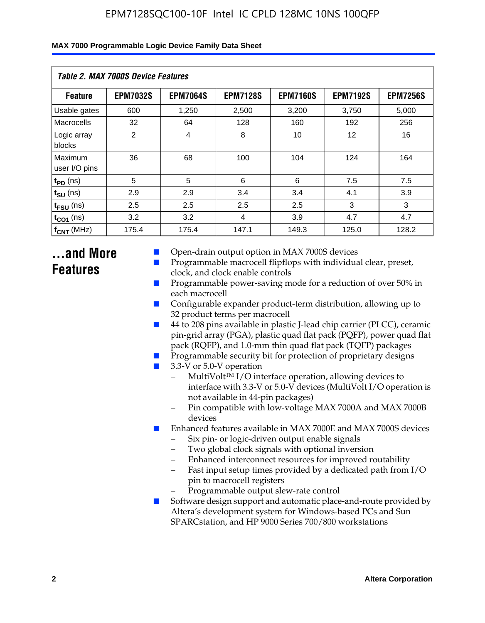| MAX 7000 Programmable Logic Device Family Data Sheet |  |
|------------------------------------------------------|--|
|------------------------------------------------------|--|

| <b>Table 2. MAX 7000S Device Features</b> |                 |                 |                 |                 |                   |                 |
|-------------------------------------------|-----------------|-----------------|-----------------|-----------------|-------------------|-----------------|
| <b>Feature</b>                            | <b>EPM7032S</b> | <b>EPM7064S</b> | <b>EPM7128S</b> | <b>EPM7160S</b> | <b>EPM7192S</b>   | <b>EPM7256S</b> |
| Usable gates                              | 600             | 1.250           | 2,500           | 3.200           | 3.750             | 5,000           |
| Macrocells                                | 32              | 64              | 128             | 160             | 192               | 256             |
| Logic array<br>blocks                     | 2               | $\overline{4}$  | 8               | 10              | $12 \overline{ }$ | 16              |
| Maximum<br>user I/O pins                  | 36              | 68              | 100             | 104             | 124               | 164             |
| $t_{PD}$ (ns)                             | 5               | 5               | 6               | 6               | 7.5               | 7.5             |
| $t_{SU}$ (ns)                             | 2.9             | 2.9             | 3.4             | 3.4             | 4.1               | 3.9             |
| $t_{\text{FSU}}$ (ns)                     | 2.5             | 2.5             | 2.5             | 2.5             | 3                 | 3               |
| $t_{CO1}$ (ns)                            | 3.2             | 3.2             | 4               | 3.9             | 4.7               | 4.7             |
| $f_{CNT}$ (MHz)                           | 175.4           | 175.4           | 147.1           | 149.3           | 125.0             | 128.2           |

# **...and More Features**

- Open-drain output option in MAX 7000S devices
- Programmable macrocell flipflops with individual clear, preset, clock, and clock enable controls
- Programmable power-saving mode for a reduction of over 50% in each macrocell
- Configurable expander product-term distribution, allowing up to 32 product terms per macrocell
- 44 to 208 pins available in plastic J-lead chip carrier (PLCC), ceramic pin-grid array (PGA), plastic quad flat pack (PQFP), power quad flat pack (RQFP), and 1.0-mm thin quad flat pack (TQFP) packages
- Programmable security bit for protection of proprietary designs
- 3.3-V or 5.0-V operation
	- MultiVolt<sup>TM</sup> I/O interface operation, allowing devices to interface with 3.3-V or 5.0-V devices (MultiVolt I/O operation is not available in 44-pin packages)
	- Pin compatible with low-voltage MAX 7000A and MAX 7000B devices
- Enhanced features available in MAX 7000E and MAX 7000S devices
	- Six pin- or logic-driven output enable signals
	- Two global clock signals with optional inversion
	- Enhanced interconnect resources for improved routability
	- Fast input setup times provided by a dedicated path from I/O pin to macrocell registers
	- Programmable output slew-rate control
- Software design support and automatic place-and-route provided by Altera's development system for Windows-based PCs and Sun SPARCstation, and HP 9000 Series 700/800 workstations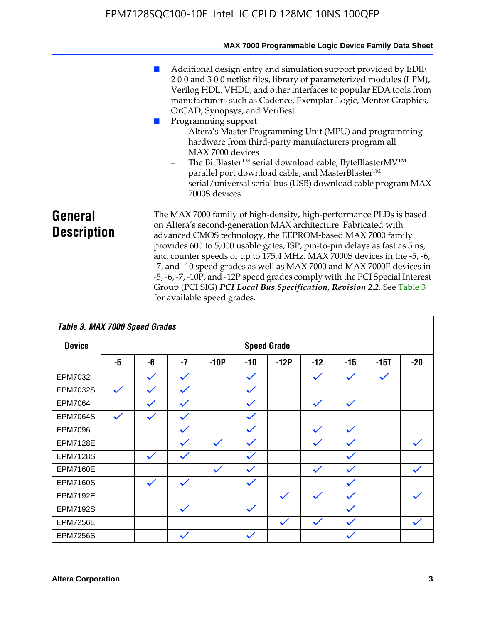|                               | MAX 7000 Programmable Logic Device Family Data Sheet                                                                                                                                                                                                                                                                                                                                                                                                                                                                                                                                                                                                                                                 |
|-------------------------------|------------------------------------------------------------------------------------------------------------------------------------------------------------------------------------------------------------------------------------------------------------------------------------------------------------------------------------------------------------------------------------------------------------------------------------------------------------------------------------------------------------------------------------------------------------------------------------------------------------------------------------------------------------------------------------------------------|
|                               | Additional design entry and simulation support provided by EDIF<br>200 and 300 netlist files, library of parameterized modules (LPM),<br>Verilog HDL, VHDL, and other interfaces to popular EDA tools from<br>manufacturers such as Cadence, Exemplar Logic, Mentor Graphics,<br>OrCAD, Synopsys, and VeriBest<br>Programming support<br>Altera's Master Programming Unit (MPU) and programming<br>hardware from third-party manufacturers program all<br>MAX 7000 devices<br>The BitBlaster™ serial download cable, ByteBlasterMV™<br>$\overline{\phantom{0}}$<br>parallel port download cable, and MasterBlaster™<br>serial/universal serial bus (USB) download cable program MAX<br>7000S devices |
| General<br><b>Description</b> | The MAX 7000 family of high-density, high-performance PLDs is based<br>on Altera's second-generation MAX architecture. Fabricated with<br>advanced CMOS technology, the EEPROM-based MAX 7000 family<br>provides 600 to 5,000 usable gates, ISP, pin-to-pin delays as fast as 5 ns,<br>and counter speeds of up to 175.4 MHz. MAX 7000S devices in the -5, -6,<br>-7, and -10 speed grades as well as MAX 7000 and MAX 7000E devices in<br>-5, -6, -7, -10P, and -12P speed grades comply with the PCI Special Interest<br>Group (PCI SIG) PCI Local Bus Specification, Revision 2.2. See Table 3                                                                                                    |

| Table 3. MAX 7000 Speed Grades |              |              |              |              |              |                    |              |              |              |              |
|--------------------------------|--------------|--------------|--------------|--------------|--------------|--------------------|--------------|--------------|--------------|--------------|
| <b>Device</b>                  |              |              |              |              |              | <b>Speed Grade</b> |              |              |              |              |
|                                | -5           | -6           | $-7$         | $-10P$       | $-10$        | $-12P$             | $-12$        | $-15$        | $-15T$       | $-20$        |
| EPM7032                        |              | $\checkmark$ | $\checkmark$ |              | $\checkmark$ |                    | $\checkmark$ | $\checkmark$ | $\checkmark$ |              |
| EPM7032S                       | $\checkmark$ | $\checkmark$ | $\checkmark$ |              | $\checkmark$ |                    |              |              |              |              |
| <b>EPM7064</b>                 |              | $\checkmark$ | $\checkmark$ |              | $\checkmark$ |                    | $\checkmark$ | $\checkmark$ |              |              |
| <b>EPM7064S</b>                | $\checkmark$ | $\checkmark$ | $\checkmark$ |              | $\checkmark$ |                    |              |              |              |              |
| <b>EPM7096</b>                 |              |              | $\checkmark$ |              | $\checkmark$ |                    | $\checkmark$ | $\checkmark$ |              |              |
| <b>EPM7128E</b>                |              |              | $\checkmark$ | $\checkmark$ | $\checkmark$ |                    | $\checkmark$ | $\checkmark$ |              | $\checkmark$ |
| <b>EPM7128S</b>                |              | $\checkmark$ | $\checkmark$ |              | $\checkmark$ |                    |              | $\checkmark$ |              |              |
| <b>EPM7160E</b>                |              |              |              | $\checkmark$ | $\checkmark$ |                    | $\checkmark$ | $\checkmark$ |              | $\checkmark$ |
| <b>EPM7160S</b>                |              | $\checkmark$ | $\checkmark$ |              | $\checkmark$ |                    |              | $\checkmark$ |              |              |
| <b>EPM7192E</b>                |              |              |              |              |              | $\checkmark$       | $\checkmark$ | $\checkmark$ |              |              |
| <b>EPM7192S</b>                |              |              | $\checkmark$ |              | $\checkmark$ |                    |              | $\checkmark$ |              |              |
| <b>EPM7256E</b>                |              |              |              |              |              | $\checkmark$       | $\checkmark$ | $\checkmark$ |              | $\checkmark$ |
| <b>EPM7256S</b>                |              |              | $\checkmark$ |              | $\checkmark$ |                    |              | $\checkmark$ |              |              |

for available speed grades.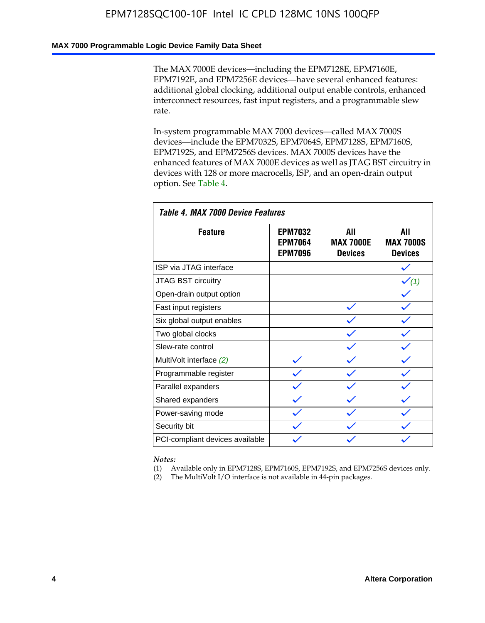#### **MAX 7000 Programmable Logic Device Family Data Sheet**

The MAX 7000E devices—including the EPM7128E, EPM7160E, EPM7192E, and EPM7256E devices—have several enhanced features: additional global clocking, additional output enable controls, enhanced interconnect resources, fast input registers, and a programmable slew rate.

In-system programmable MAX 7000 devices—called MAX 7000S devices—include the EPM7032S, EPM7064S, EPM7128S, EPM7160S, EPM7192S, and EPM7256S devices. MAX 7000S devices have the enhanced features of MAX 7000E devices as well as JTAG BST circuitry in devices with 128 or more macrocells, ISP, and an open-drain output option. See Table 4.

| Table 4. MAX 7000 Device Features |                                                    |                                           |                                           |  |  |  |  |
|-----------------------------------|----------------------------------------------------|-------------------------------------------|-------------------------------------------|--|--|--|--|
| <b>Feature</b>                    | <b>EPM7032</b><br><b>EPM7064</b><br><b>EPM7096</b> | All<br><b>MAX 7000E</b><br><b>Devices</b> | All<br><b>MAX 7000S</b><br><b>Devices</b> |  |  |  |  |
| ISP via JTAG interface            |                                                    |                                           |                                           |  |  |  |  |
| JTAG BST circuitry                |                                                    |                                           | $\checkmark$ (1)                          |  |  |  |  |
| Open-drain output option          |                                                    |                                           |                                           |  |  |  |  |
| Fast input registers              |                                                    |                                           |                                           |  |  |  |  |
| Six global output enables         |                                                    |                                           |                                           |  |  |  |  |
| Two global clocks                 |                                                    |                                           |                                           |  |  |  |  |
| Slew-rate control                 |                                                    |                                           |                                           |  |  |  |  |
| MultiVolt interface (2)           |                                                    |                                           |                                           |  |  |  |  |
| Programmable register             |                                                    |                                           |                                           |  |  |  |  |
| Parallel expanders                |                                                    |                                           |                                           |  |  |  |  |
| Shared expanders                  |                                                    |                                           |                                           |  |  |  |  |
| Power-saving mode                 |                                                    |                                           |                                           |  |  |  |  |
| Security bit                      |                                                    |                                           |                                           |  |  |  |  |
| PCI-compliant devices available   |                                                    |                                           |                                           |  |  |  |  |

*Notes:*

(1) Available only in EPM7128S, EPM7160S, EPM7192S, and EPM7256S devices only.

(2) The MultiVolt I/O interface is not available in 44-pin packages.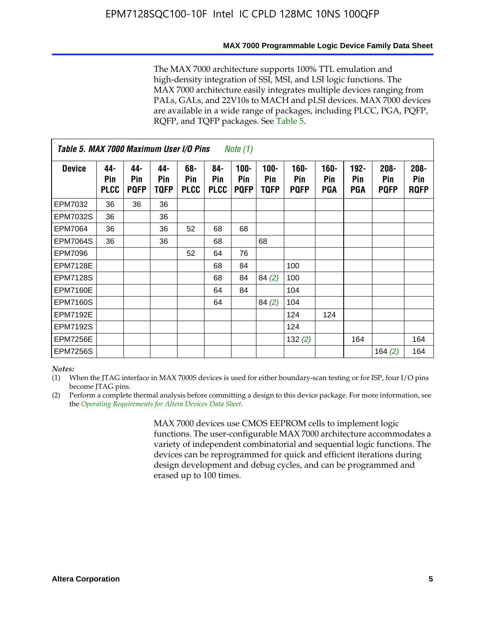The MAX 7000 architecture supports 100% TTL emulation and high-density integration of SSI, MSI, and LSI logic functions. The MAX 7000 architecture easily integrates multiple devices ranging from PALs, GALs, and 22V10s to MACH and pLSI devices. MAX 7000 devices are available in a wide range of packages, including PLCC, PGA, PQFP, RQFP, and TQFP packages. See Table 5.

|                 | Table 5. MAX 7000 Maximum User I/O Pins<br>Note (1) |                           |                    |                           |                           |                               |                            |                               |                       |                              |                               |                               |
|-----------------|-----------------------------------------------------|---------------------------|--------------------|---------------------------|---------------------------|-------------------------------|----------------------------|-------------------------------|-----------------------|------------------------------|-------------------------------|-------------------------------|
| <b>Device</b>   | 44-<br>Pin<br><b>PLCC</b>                           | 44-<br>Pin<br><b>PQFP</b> | 44-<br>Pin<br>TQFP | 68-<br>Pin<br><b>PLCC</b> | 84-<br>Pin<br><b>PLCC</b> | $100 -$<br>Pin<br><b>PQFP</b> | 100-<br>Pin<br><b>TQFP</b> | $160 -$<br>Pin<br><b>PQFP</b> | $160 -$<br>Pin<br>PGA | $192 -$<br>Pin<br><b>PGA</b> | $208 -$<br>Pin<br><b>PQFP</b> | $208 -$<br>Pin<br><b>RQFP</b> |
| EPM7032         | 36                                                  | 36                        | 36                 |                           |                           |                               |                            |                               |                       |                              |                               |                               |
| <b>EPM7032S</b> | 36                                                  |                           | 36                 |                           |                           |                               |                            |                               |                       |                              |                               |                               |
| <b>EPM7064</b>  | 36                                                  |                           | 36                 | 52                        | 68                        | 68                            |                            |                               |                       |                              |                               |                               |
| <b>EPM7064S</b> | 36                                                  |                           | 36                 |                           | 68                        |                               | 68                         |                               |                       |                              |                               |                               |
| EPM7096         |                                                     |                           |                    | 52                        | 64                        | 76                            |                            |                               |                       |                              |                               |                               |
| <b>EPM7128E</b> |                                                     |                           |                    |                           | 68                        | 84                            |                            | 100                           |                       |                              |                               |                               |
| <b>EPM7128S</b> |                                                     |                           |                    |                           | 68                        | 84                            | 84(2)                      | 100                           |                       |                              |                               |                               |
| <b>EPM7160E</b> |                                                     |                           |                    |                           | 64                        | 84                            |                            | 104                           |                       |                              |                               |                               |
| <b>EPM7160S</b> |                                                     |                           |                    |                           | 64                        |                               | 84(2)                      | 104                           |                       |                              |                               |                               |
| <b>EPM7192E</b> |                                                     |                           |                    |                           |                           |                               |                            | 124                           | 124                   |                              |                               |                               |
| <b>EPM7192S</b> |                                                     |                           |                    |                           |                           |                               |                            | 124                           |                       |                              |                               |                               |
| <b>EPM7256E</b> |                                                     |                           |                    |                           |                           |                               |                            | 132(2)                        |                       | 164                          |                               | 164                           |
| <b>EPM7256S</b> |                                                     |                           |                    |                           |                           |                               |                            |                               |                       |                              | 164 $(2)$                     | 164                           |

#### *Notes:*

(1) When the JTAG interface in MAX 7000S devices is used for either boundary-scan testing or for ISP, four I/O pins become JTAG pins.

(2) Perform a complete thermal analysis before committing a design to this device package. For more information, see the *Operating Requirements for Altera Devices Data Sheet*.

> MAX 7000 devices use CMOS EEPROM cells to implement logic functions. The user-configurable MAX 7000 architecture accommodates a variety of independent combinatorial and sequential logic functions. The devices can be reprogrammed for quick and efficient iterations during design development and debug cycles, and can be programmed and erased up to 100 times.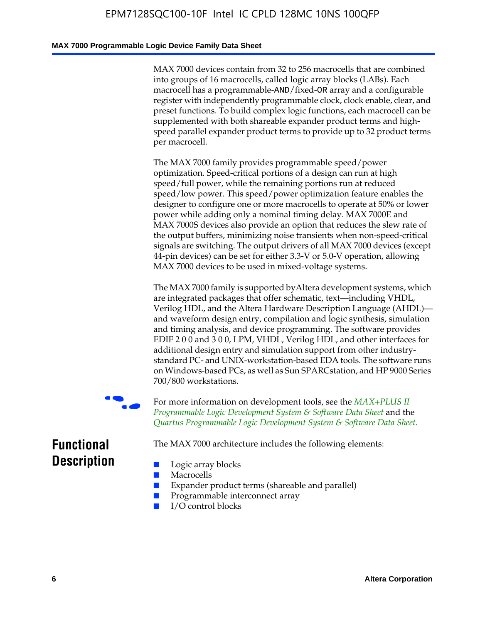#### **MAX 7000 Programmable Logic Device Family Data Sheet**

MAX 7000 devices contain from 32 to 256 macrocells that are combined into groups of 16 macrocells, called logic array blocks (LABs). Each macrocell has a programmable-AND/fixed-OR array and a configurable register with independently programmable clock, clock enable, clear, and preset functions. To build complex logic functions, each macrocell can be supplemented with both shareable expander product terms and highspeed parallel expander product terms to provide up to 32 product terms per macrocell.

The MAX 7000 family provides programmable speed/power optimization. Speed-critical portions of a design can run at high speed/full power, while the remaining portions run at reduced speed/low power. This speed/power optimization feature enables the designer to configure one or more macrocells to operate at 50% or lower power while adding only a nominal timing delay. MAX 7000E and MAX 7000S devices also provide an option that reduces the slew rate of the output buffers, minimizing noise transients when non-speed-critical signals are switching. The output drivers of all MAX 7000 devices (except 44-pin devices) can be set for either 3.3-V or 5.0-V operation, allowing MAX 7000 devices to be used in mixed-voltage systems.

The MAX 7000 family is supported byAltera development systems, which are integrated packages that offer schematic, text—including VHDL, Verilog HDL, and the Altera Hardware Description Language (AHDL) and waveform design entry, compilation and logic synthesis, simulation and timing analysis, and device programming. The [software provides](http://www.altera.com/literature/ds/dsmii.pdf)  [EDIF 2 0 0 and 3 0 0, LPM, VHDL, Verilog HDL, and other in](http://www.altera.com/literature/ds/dsmii.pdf)terfaces for [additional design entry and simulation support from other industry](http://www.altera.com/literature/ds/quartus.pdf)standard PC- and UNIX-workstation-based EDA tools. The software runs on Windows-based PCs, as well as Sun SPARCstation, and HP 9000 Series 700/800 workstations.

For more information on development tools, see the **MAX+PLUS II** *Programmable Logic Development System & Software Data Sheet* and the *Quartus Programmable Logic Development System & Software Data Sheet*.

The MAX 7000 architecture includes the following elements:

# **Functional Description**

- Logic array blocks
- **Macrocells**
- Expander product terms (shareable and parallel)
- Programmable interconnect array
- I/O control blocks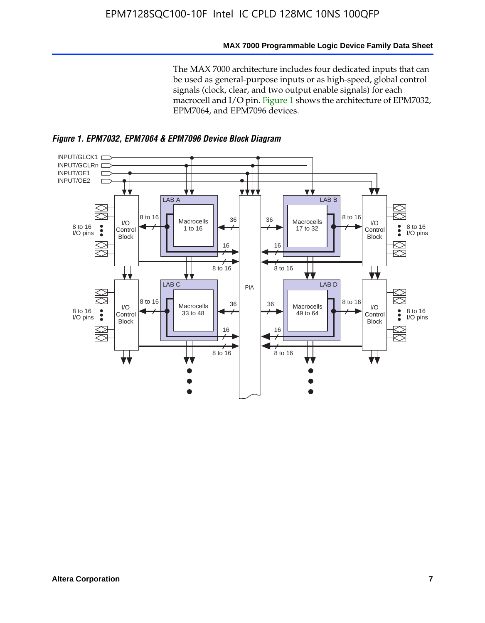#### **MAX 7000 Programmable Logic Device Family Data Sheet**

The MAX 7000 architecture includes four dedicated inputs that can be used as general-purpose inputs or as high-speed, global control signals (clock, clear, and two output enable signals) for each macrocell and I/O pin. Figure 1 shows the architecture of EPM7032, EPM7064, and EPM7096 devices.



*Figure 1. EPM7032, EPM7064 & EPM7096 Device Block Diagram*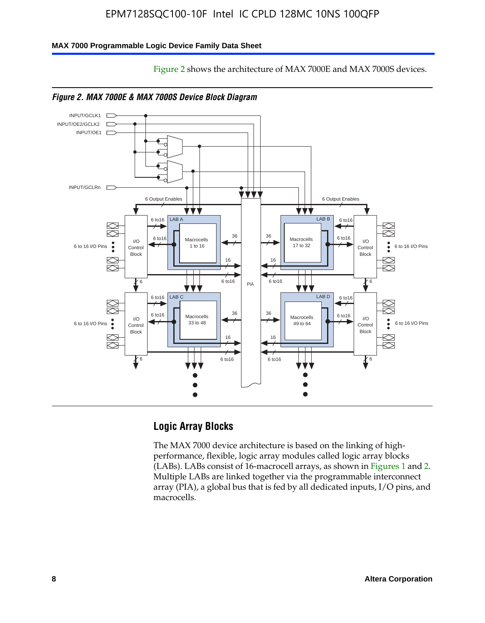Figure 2 shows the architecture of MAX 7000E and MAX 7000S devices.

#### **MAX 7000 Programmable Logic Device Family Data Sheet**





## **Logic Array Blocks**

The MAX 7000 device architecture is based on the linking of highperformance, flexible, logic array modules called logic array blocks (LABs). LABs consist of 16-macrocell arrays, as shown in Figures 1 and 2. Multiple LABs are linked together via the programmable interconnect array (PIA), a global bus that is fed by all dedicated inputs, I/O pins, and macrocells.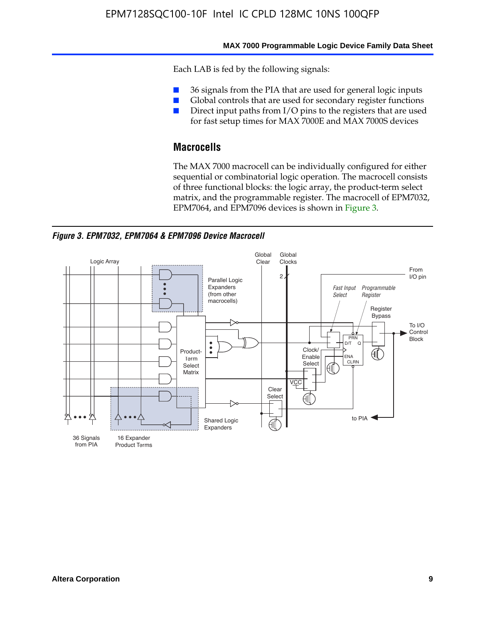#### **MAX 7000 Programmable Logic Device Family Data Sheet**

Each LAB is fed by the following signals:

- 36 signals from the PIA that are used for general logic inputs
- Global controls that are used for secondary register functions
- Direct input paths from I/O pins to the registers that are used for fast setup times for MAX 7000E and MAX 7000S devices

## **Macrocells**

The MAX 7000 macrocell can be individually configured for either sequential or combinatorial logic operation. The macrocell consists of three functional blocks: the logic array, the product-term select matrix, and the programmable register. The macrocell of EPM7032, EPM7064, and EPM7096 devices is shown in Figure 3.

*Figure 3. EPM7032, EPM7064 & EPM7096 Device Macrocell*

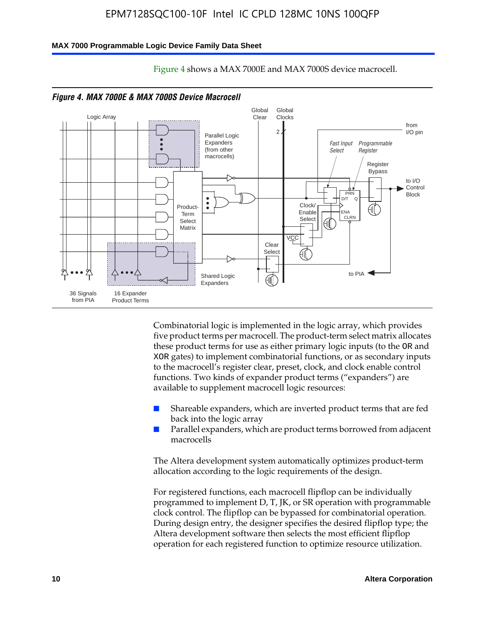#### **MAX 7000 Programmable Logic Device Family Data Sheet**



Figure 4 shows a MAX 7000E and MAX 7000S device macrocell.

*Figure 4. MAX 7000E & MAX 7000S Device Macrocell*

Combinatorial logic is implemented in the logic array, which provides five product terms per macrocell. The product-term select matrix allocates these product terms for use as either primary logic inputs (to the OR and XOR gates) to implement combinatorial functions, or as secondary inputs to the macrocell's register clear, preset, clock, and clock enable control functions. Two kinds of expander product terms ("expanders") are available to supplement macrocell logic resources:

- Shareable expanders, which are inverted product terms that are fed back into the logic array
- Parallel expanders, which are product terms borrowed from adjacent macrocells

The Altera development system automatically optimizes product-term allocation according to the logic requirements of the design.

For registered functions, each macrocell flipflop can be individually programmed to implement D, T, JK, or SR operation with programmable clock control. The flipflop can be bypassed for combinatorial operation. During design entry, the designer specifies the desired flipflop type; the Altera development software then selects the most efficient flipflop operation for each registered function to optimize resource utilization.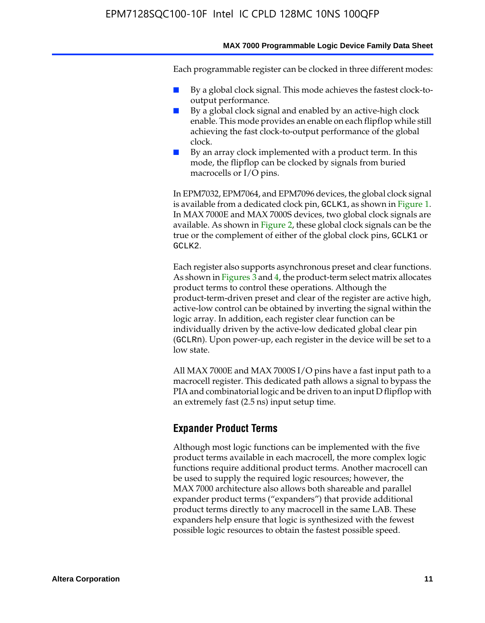Each programmable register can be clocked in three different modes:

- By a global clock signal. This mode achieves the fastest clock-tooutput performance.
- By a global clock signal and enabled by an active-high clock enable. This mode provides an enable on each flipflop while still achieving the fast clock-to-output performance of the global clock.
- By an array clock implemented with a product term. In this mode, the flipflop can be clocked by signals from buried macrocells or I/O pins.

In EPM7032, EPM7064, and EPM7096 devices, the global clock signal is available from a dedicated clock pin, GCLK1, as shown in Figure 1. In MAX 7000E and MAX 7000S devices, two global clock signals are available. As shown in Figure 2, these global clock signals can be the true or the complement of either of the global clock pins, GCLK1 or GCLK2.

Each register also supports asynchronous preset and clear functions. As shown in Figures 3 and 4, the product-term select matrix allocates product terms to control these operations. Although the product-term-driven preset and clear of the register are active high, active-low control can be obtained by inverting the signal within the logic array. In addition, each register clear function can be individually driven by the active-low dedicated global clear pin (GCLRn). Upon power-up, each register in the device will be set to a low state.

All MAX 7000E and MAX 7000S I/O pins have a fast input path to a macrocell register. This dedicated path allows a signal to bypass the PIA and combinatorial logic and be driven to an input D flipflop with an extremely fast (2.5 ns) input setup time.

## **Expander Product Terms**

Although most logic functions can be implemented with the five product terms available in each macrocell, the more complex logic functions require additional product terms. Another macrocell can be used to supply the required logic resources; however, the MAX 7000 architecture also allows both shareable and parallel expander product terms ("expanders") that provide additional product terms directly to any macrocell in the same LAB. These expanders help ensure that logic is synthesized with the fewest possible logic resources to obtain the fastest possible speed.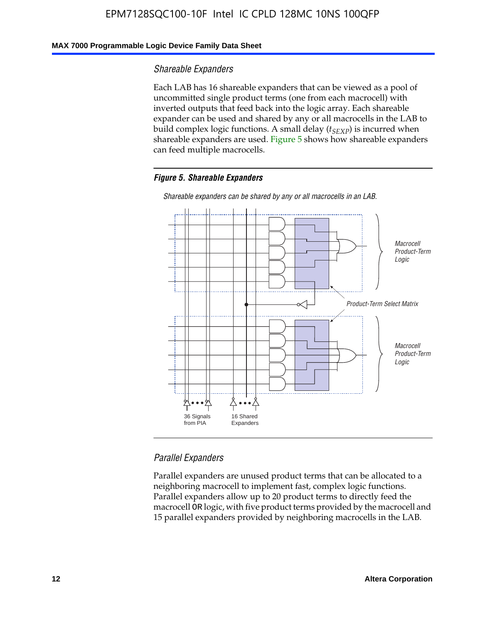#### **MAX 7000 Programmable Logic Device Family Data Sheet**

#### *Shareable Expanders*

Each LAB has 16 shareable expanders that can be viewed as a pool of uncommitted single product terms (one from each macrocell) with inverted outputs that feed back into the logic array. Each shareable expander can be used and shared by any or all macrocells in the LAB to build complex logic functions. A small delay ( $t_{SEXP}$ ) is incurred when shareable expanders are used. Figure 5 shows how shareable expanders can feed multiple macrocells.

#### *Figure 5. Shareable Expanders*



*Shareable expanders can be shared by any or all macrocells in an LAB.*

#### *Parallel Expanders*

Parallel expanders are unused product terms that can be allocated to a neighboring macrocell to implement fast, complex logic functions. Parallel expanders allow up to 20 product terms to directly feed the macrocell OR logic, with five product terms provided by the macrocell and 15 parallel expanders provided by neighboring macrocells in the LAB.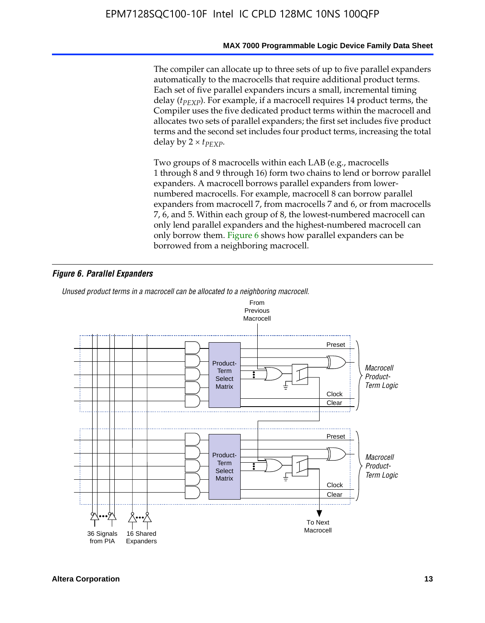The compiler can allocate up to three sets of up to five parallel expanders automatically to the macrocells that require additional product terms. Each set of five parallel expanders incurs a small, incremental timing delay (*t<sub>PEXP</sub>*). For example, if a macrocell requires 14 product terms, the Compiler uses the five dedicated product terms within the macrocell and allocates two sets of parallel expanders; the first set includes five product terms and the second set includes four product terms, increasing the total delay by  $2 \times t_{PFXP}$ .

Two groups of 8 macrocells within each LAB (e.g., macrocells 1 through 8 and 9 through 16) form two chains to lend or borrow parallel expanders. A macrocell borrows parallel expanders from lowernumbered macrocells. For example, macrocell 8 can borrow parallel expanders from macrocell 7, from macrocells 7 and 6, or from macrocells 7, 6, and 5. Within each group of 8, the lowest-numbered macrocell can only lend parallel expanders and the highest-numbered macrocell can only borrow them. Figure 6 shows how parallel expanders can be borrowed from a neighboring macrocell.

#### *Figure 6. Parallel Expanders*

*Unused product terms in a macrocell can be allocated to a neighboring macrocell.*

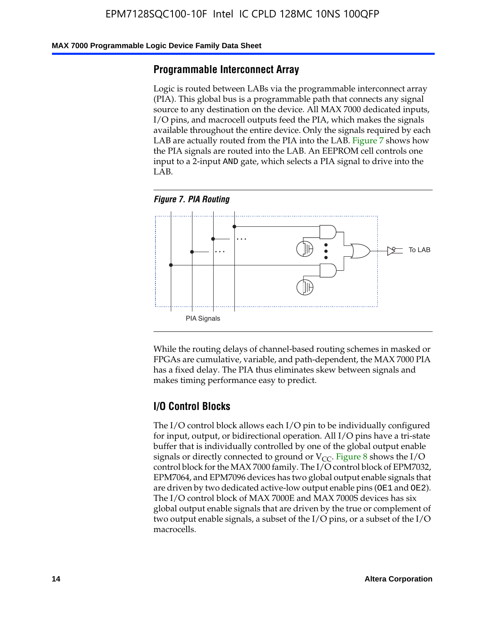#### **MAX 7000 Programmable Logic Device Family Data Sheet**

#### **Programmable Interconnect Array**

Logic is routed between LABs via the programmable interconnect array (PIA). This global bus is a programmable path that connects any signal source to any destination on the device. All MAX 7000 dedicated inputs, I/O pins, and macrocell outputs feed the PIA, which makes the signals available throughout the entire device. Only the signals required by each LAB are actually routed from the PIA into the LAB. Figure 7 shows how the PIA signals are routed into the LAB. An EEPROM cell controls one input to a 2-input AND gate, which selects a PIA signal to drive into the LAB.





While the routing delays of channel-based routing schemes in masked or FPGAs are cumulative, variable, and path-dependent, the MAX 7000 PIA has a fixed delay. The PIA thus eliminates skew between signals and makes timing performance easy to predict.

## **I/O Control Blocks**

The I/O control block allows each I/O pin to be individually configured for input, output, or bidirectional operation. All I/O pins have a tri-state buffer that is individually controlled by one of the global output enable signals or directly connected to ground or  $V_{CC}$ . Figure 8 shows the I/O control block for the MAX 7000 family. The I/O control block of EPM7032, EPM7064, and EPM7096 devices has two global output enable signals that are driven by two dedicated active-low output enable pins (OE1 and OE2). The I/O control block of MAX 7000E and MAX 7000S devices has six global output enable signals that are driven by the true or complement of two output enable signals, a subset of the I/O pins, or a subset of the I/O macrocells.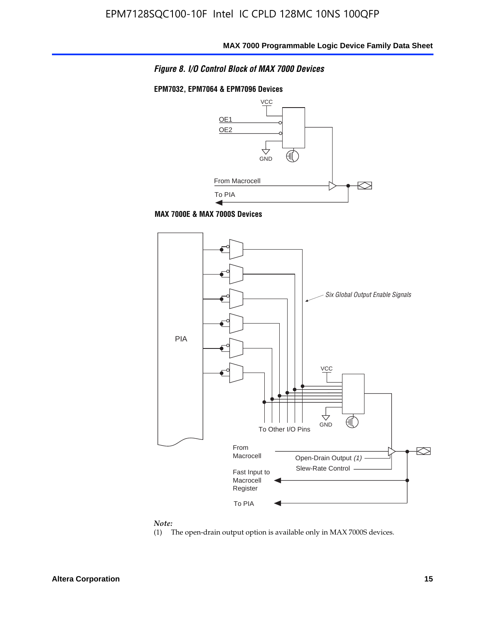*Figure 8. I/O Control Block of MAX 7000 Devices*

#### **EPM7032, EPM7064 & EPM7096 Devices**







#### *Note:*

(1) The open-drain output option is available only in MAX 7000S devices.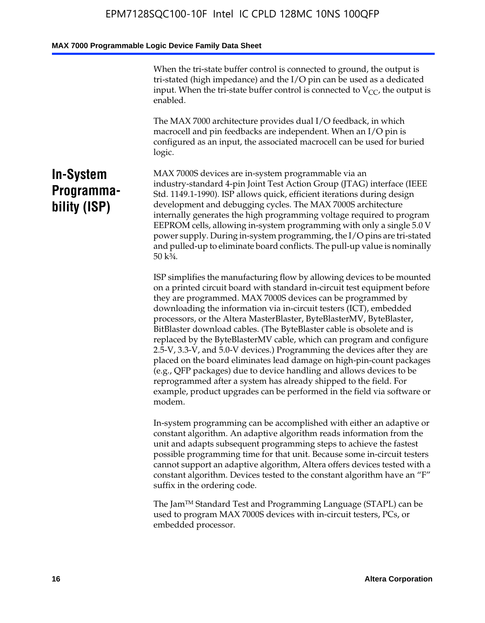When the tri-state buffer control is connected to ground, the output is tri-stated (high impedance) and the I/O pin can be used as a dedicated input. When the tri-state buffer control is connected to  $V_{CC}$ , the output is enabled.

The MAX 7000 architecture provides dual I/O feedback, in which macrocell and pin feedbacks are independent. When an I/O pin is configured as an input, the associated macrocell can be used for buried logic.

# **In-System Programmability (ISP)**

MAX 7000S devices are in-system programmable via an industry-standard 4-pin Joint Test Action Group (JTAG) interface (IEEE Std. 1149.1-1990). ISP allows quick, efficient iterations during design development and debugging cycles. The MAX 7000S architecture internally generates the high programming voltage required to program EEPROM cells, allowing in-system programming with only a single 5.0 V power supply. During in-system programming, the I/O pins are tri-stated and pulled-up to eliminate board conflicts. The pull-up value is nominally 50 k¾.

ISP simplifies the manufacturing flow by allowing devices to be mounted on a printed circuit board with standard in-circuit test equipment before they are programmed. MAX 7000S devices can be programmed by downloading the information via in-circuit testers (ICT), embedded processors, or the Altera MasterBlaster, ByteBlasterMV, ByteBlaster, BitBlaster download cables. (The ByteBlaster cable is obsolete and is replaced by the ByteBlasterMV cable, which can program and configure 2.5-V, 3.3-V, and 5.0-V devices.) Programming the devices after they are placed on the board eliminates lead damage on high-pin-count packages (e.g., QFP packages) due to device handling and allows devices to be reprogrammed after a system has already shipped to the field. For example, product upgrades can be performed in the field via software or modem.

In-system programming can be accomplished with either an adaptive or constant algorithm. An adaptive algorithm reads information from the unit and adapts subsequent programming steps to achieve the fastest possible programming time for that unit. Because some in-circuit testers cannot support an adaptive algorithm, Altera offers devices tested with a constant algorithm. Devices tested to the constant algorithm have an "F" suffix in the ordering code.

The Jam™ Standard Test and Programming Language (STAPL) can be used to program MAX 7000S devices with in-circuit testers, PCs, or embedded processor.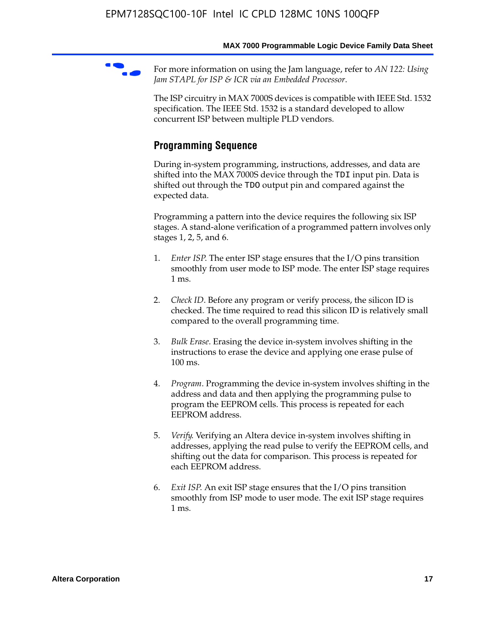For more information on using the Jam language, refer to *AN* 122: Using *Jam STAPL for ISP & ICR via an Embedded Processor*.

The ISP circuitry in MAX 7000S devices is compatible with IEEE Std. 1532 specification. The IEEE Std. 1532 is a standard developed to allow concurrent ISP between multiple PLD vendors.

# **Programming Sequence**

During in-system programming, instructions, addresses, and data are shifted into the MAX 7000S device through the TDI input pin. Data is shifted out through the TDO output pin and compared against the expected data.

Programming a pattern into the device requires the following six ISP stages. A stand-alone verification of a programmed pattern involves only stages 1, 2, 5, and 6.

- 1. *Enter ISP*. The enter ISP stage ensures that the I/O pins transition smoothly from user mode to ISP mode. The enter ISP stage requires 1 ms.
- 2. *Check ID*. Before any program or verify process, the silicon ID is checked. The time required to read this silicon ID is relatively small compared to the overall programming time.
- 3. *Bulk Erase*. Erasing the device in-system involves shifting in the instructions to erase the device and applying one erase pulse of 100 ms.
- 4. *Program*. Programming the device in-system involves shifting in the address and data and then applying the programming pulse to program the EEPROM cells. This process is repeated for each EEPROM address.
- 5. *Verify*. Verifying an Altera device in-system involves shifting in addresses, applying the read pulse to verify the EEPROM cells, and shifting out the data for comparison. This process is repeated for each EEPROM address.
- 6. *Exit ISP*. An exit ISP stage ensures that the I/O pins transition smoothly from ISP mode to user mode. The exit ISP stage requires 1 ms.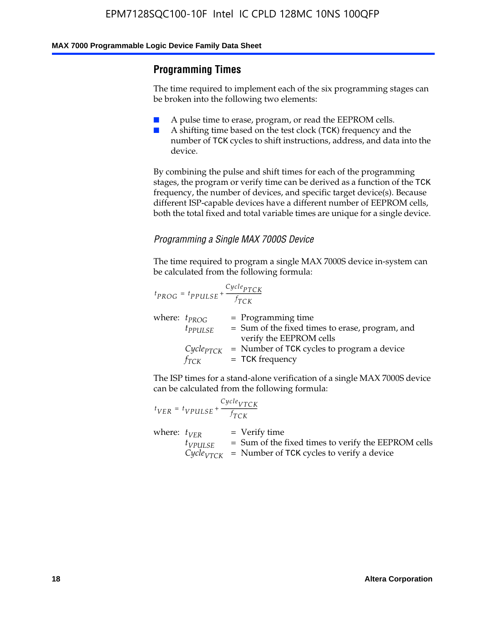## **Programming Times**

The time required to implement each of the six programming stages can be broken into the following two elements:

- A pulse time to erase, program, or read the EEPROM cells.
- A shifting time based on the test clock (TCK) frequency and the number of TCK cycles to shift instructions, address, and data into the device.

By combining the pulse and shift times for each of the programming stages, the program or verify time can be derived as a function of the TCK frequency, the number of devices, and specific target device(s). Because different ISP-capable devices have a different number of EEPROM cells, both the total fixed and total variable times are unique for a single device.

#### *Programming a Single MAX 7000S Device*

The time required to program a single MAX 7000S device in-system can be calculated from the following formula:

$$
t_{PROG} = t_{PPULSE} + \frac{C_{ycle_{PTCK}}}{f_{TCK}}
$$
  
where:  $t_{PROG}$  = Programming time  
 $t_{PPULSE}$  = Sum of the fixed times to erase, program, and  
verify the EEPROM cells  
 $C_{ycle_{PTCK}}$  = Number of TCK cycles to program a device  
 $f_{TCK}$  = TCK frequency

The ISP times for a stand-alone verification of a single MAX 7000S device can be calculated from the following formula:

|                  | $t_{VER} = t_{VPULSE} + \frac{Cycle_{VTCK}}{f_{TCK}}$ |                                                                                                                                 |
|------------------|-------------------------------------------------------|---------------------------------------------------------------------------------------------------------------------------------|
| where: $t_{VFR}$ | $t_{VPULSE}$                                          | = Verify time<br>$=$ Sum of the fixed times to verify the EEPROM cells<br>$CycleVTCK$ = Number of TCK cycles to verify a device |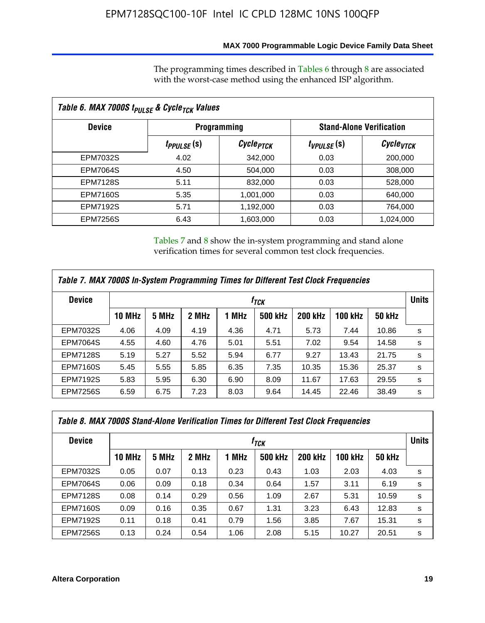## **MAX 7000 Programmable Logic Device Family Data Sheet**

The programming times described in Tables 6 through 8 are associated with the worst-case method using the enhanced ISP algorithm.

| Table 6. MAX 7000S t <sub>PULSE</sub> & Cycle <sub>TCK</sub> Values |                               |                       |                                 |                       |  |  |  |
|---------------------------------------------------------------------|-------------------------------|-----------------------|---------------------------------|-----------------------|--|--|--|
| <b>Device</b>                                                       | <b>Programming</b>            |                       | <b>Stand-Alone Verification</b> |                       |  |  |  |
|                                                                     | <i>t<sub>PPULSE</sub></i> (S) | Cycle <sub>PTCK</sub> | $t_{VPULSE}(s)$                 | Cycle <sub>VTCK</sub> |  |  |  |
| EPM7032S                                                            | 4.02                          | 342,000               | 0.03                            | 200,000               |  |  |  |
| <b>EPM7064S</b>                                                     | 4.50                          | 504.000               | 0.03                            | 308,000               |  |  |  |
| <b>EPM7128S</b>                                                     | 5.11                          | 832,000               | 0.03                            | 528,000               |  |  |  |
| <b>EPM7160S</b>                                                     | 5.35                          | 1,001,000             | 0.03                            | 640,000               |  |  |  |
| <b>EPM7192S</b>                                                     | 5.71                          | 1,192,000             | 0.03                            | 764,000               |  |  |  |
| <b>EPM7256S</b>                                                     | 6.43                          | 1,603,000             | 0.03                            | 1,024,000             |  |  |  |

Tables 7 and 8 show the in-system programming and stand alone verification times for several common test clock frequencies.

| Table 7. MAX 7000S In-System Programming Times for Different Test Clock Frequencies |                    |       |       |       |                |                |                |               |   |
|-------------------------------------------------------------------------------------|--------------------|-------|-------|-------|----------------|----------------|----------------|---------------|---|
| <b>Device</b>                                                                       | $t_{\textit{TCK}}$ |       |       |       |                |                |                | <b>Units</b>  |   |
|                                                                                     | <b>10 MHz</b>      | 5 MHz | 2 MHz | 1 MHz | <b>500 kHz</b> | <b>200 kHz</b> | <b>100 kHz</b> | <b>50 kHz</b> |   |
| <b>EPM7032S</b>                                                                     | 4.06               | 4.09  | 4.19  | 4.36  | 4.71           | 5.73           | 7.44           | 10.86         | s |
| <b>EPM7064S</b>                                                                     | 4.55               | 4.60  | 4.76  | 5.01  | 5.51           | 7.02           | 9.54           | 14.58         | s |
| <b>EPM7128S</b>                                                                     | 5.19               | 5.27  | 5.52  | 5.94  | 6.77           | 9.27           | 13.43          | 21.75         | s |
| <b>EPM7160S</b>                                                                     | 5.45               | 5.55  | 5.85  | 6.35  | 7.35           | 10.35          | 15.36          | 25.37         | s |
| <b>EPM7192S</b>                                                                     | 5.83               | 5.95  | 6.30  | 6.90  | 8.09           | 11.67          | 17.63          | 29.55         | s |
| <b>EPM7256S</b>                                                                     | 6.59               | 6.75  | 7.23  | 8.03  | 9.64           | 14.45          | 22.46          | 38.49         | s |

|                 | Table 8. MAX 7000S Stand-Alone Verification Times for Different Test Clock Frequencies |       |       |       |                  |                |                |               |              |
|-----------------|----------------------------------------------------------------------------------------|-------|-------|-------|------------------|----------------|----------------|---------------|--------------|
| <b>Device</b>   |                                                                                        |       |       |       | f <sub>тск</sub> |                |                |               | <b>Units</b> |
|                 | <b>10 MHz</b>                                                                          | 5 MHz | 2 MHz | 1 MHz | <b>500 kHz</b>   | <b>200 kHz</b> | <b>100 kHz</b> | <b>50 kHz</b> |              |
| EPM7032S        | 0.05                                                                                   | 0.07  | 0.13  | 0.23  | 0.43             | 1.03           | 2.03           | 4.03          | s            |
| <b>EPM7064S</b> | 0.06                                                                                   | 0.09  | 0.18  | 0.34  | 0.64             | 1.57           | 3.11           | 6.19          | s            |
| <b>EPM7128S</b> | 0.08                                                                                   | 0.14  | 0.29  | 0.56  | 1.09             | 2.67           | 5.31           | 10.59         | s            |
| <b>EPM7160S</b> | 0.09                                                                                   | 0.16  | 0.35  | 0.67  | 1.31             | 3.23           | 6.43           | 12.83         | s            |
| <b>EPM7192S</b> | 0.11                                                                                   | 0.18  | 0.41  | 0.79  | 1.56             | 3.85           | 7.67           | 15.31         | s            |
| <b>EPM7256S</b> | 0.13                                                                                   | 0.24  | 0.54  | 1.06  | 2.08             | 5.15           | 10.27          | 20.51         | s            |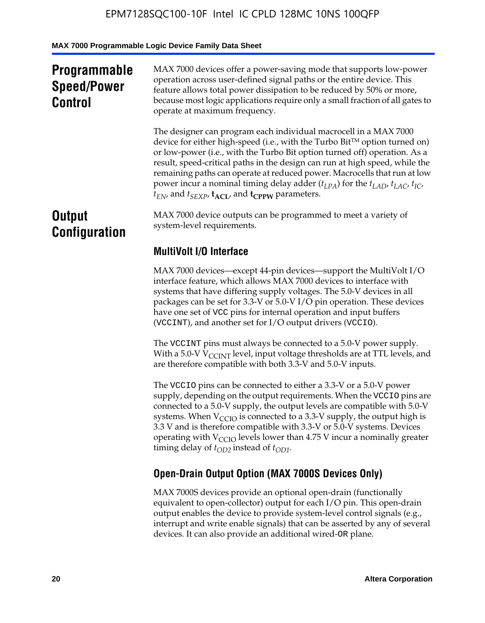# **Programmable Speed/Power Control**

MAX 7000 devices offer a power-saving mode that supports low-power operation across user-defined signal paths or the entire device. This feature allows total power dissipation to be reduced by 50% or more, because most logic applications require only a small fraction of all gates to operate at maximum frequency.

The designer can program each individual macrocell in a MAX 7000 device for either high-speed (i.e., with the Turbo  $Bit^{TM}$  option turned on) or low-power (i.e., with the Turbo Bit option turned off) operation. As a result, speed-critical paths in the design can run at high speed, while the remaining paths can operate at reduced power. Macrocells that run at low power incur a nominal timing delay adder  $(t_{LPA})$  for the  $t_{LAD}$ ,  $t_{LAC}$ ,  $t_{IC}$ ,  $t_{EN}$ , and  $t_{SEXP}$ ,  $t_{ACL}$ , and  $t_{CPPW}$  parameters.

# **Output Configuration**

MAX 7000 device outputs can be programmed to meet a variety of system-level requirements.

# **MultiVolt I/O Interface**

MAX 7000 devices—except 44-pin devices—support the MultiVolt I/O interface feature, which allows MAX 7000 devices to interface with systems that have differing supply voltages. The 5.0-V devices in all packages can be set for 3.3-V or 5.0-V I/O pin operation. These devices have one set of VCC pins for internal operation and input buffers (VCCINT), and another set for I/O output drivers (VCCIO).

The VCCINT pins must always be connected to a 5.0-V power supply. With a 5.0-V  $V_{\text{CCINT}}$  level, input voltage thresholds are at TTL levels, and are therefore compatible with both 3.3-V and 5.0-V inputs.

The VCCIO pins can be connected to either a 3.3-V or a 5.0-V power supply, depending on the output requirements. When the VCCIO pins are connected to a 5.0-V supply, the output levels are compatible with 5.0-V systems. When  $V_{\text{CGO}}$  is connected to a 3.3-V supply, the output high is 3.3 V and is therefore compatible with 3.3-V or 5.0-V systems. Devices operating with  $V_{\text{CCIO}}$  levels lower than 4.75 V incur a nominally greater timing delay of  $t_{OD2}$  instead of  $t_{OD1}$ .

# **Open-Drain Output Option (MAX 7000S Devices Only)**

MAX 7000S devices provide an optional open-drain (functionally equivalent to open-collector) output for each I/O pin. This open-drain output enables the device to provide system-level control signals (e.g., interrupt and write enable signals) that can be asserted by any of several devices. It can also provide an additional wired-OR plane.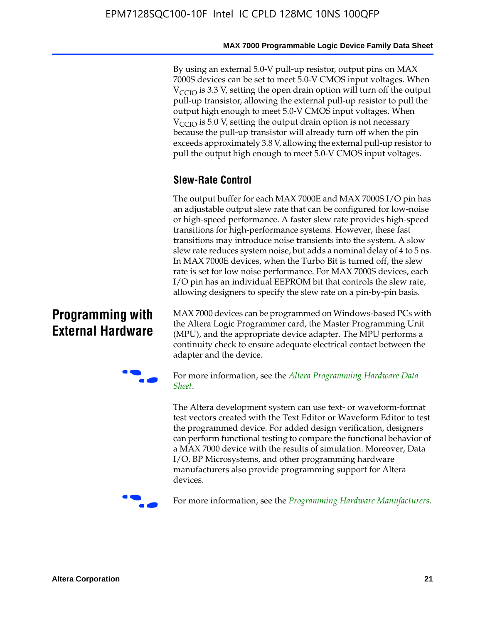By using an external 5.0-V pull-up resistor, output pins on MAX 7000S devices can be set to meet 5.0-V CMOS input voltages. When  $V_{\text{CCIO}}$  is 3.3 V, setting the open drain option will turn off the output pull-up transistor, allowing the external pull-up resistor to pull the output high enough to meet 5.0-V CMOS input voltages. When  $V_{\text{CCIO}}$  is 5.0 V, setting the output drain option is not necessary because the pull-up transistor will already turn off when the pin exceeds approximately 3.8 V, allowing the external pull-up resistor to pull the output high enough to meet 5.0-V CMOS input voltages.

# **Slew-Rate Control**

The output buffer for each MAX 7000E and MAX 7000S I/O pin has an adjustable output slew rate that can be configured for low-noise or high-speed performance. A faster slew rate provides high-speed transitions for high-performance systems. However, these fast transitions may introduce noise transients into the system. A slow slew rate reduces system noise, but adds a nominal delay of 4 to 5 ns. In MAX 7000E devices, when the Turbo Bit is turned off, the slew rate is set for low noise performance. For MAX 7000S devices, each I/O pin has an individual EEPROM bit that controls the slew rate, allowing designers to specify the slew rate on a pin-by-pin basis.

# **Programming with External Hardware**

[MAX](http://www.altera.com/literature/ds/dspghd.pdf) 7000 devices can be prog[rammed on Windows-based PCs with](http://www.altera.com/literature/ds/dspghd.pdf)  the Altera Logic Programmer card, the Master Programming Unit (MPU), and the appropriate device adapter. The MPU performs a continuity check to ensure adequate electrical contact between the adapter and the device.



For more information, see the *Altera Programming Hardware Data Sheet*.

The Altera development system can use text- or waveform-format test vectors created with the Text Editor or Waveform Editor to test the programmed device. For added design verification, designers can perform functional testing to compare the functional behavior of a MAX 7000 device with the results of simulation. Moreover, Data I/O, BP Microsystems, and other programming hardware manufacturers also provide programming support for Altera devices.



For more information, see the *Programming Hardware Manufacturers*.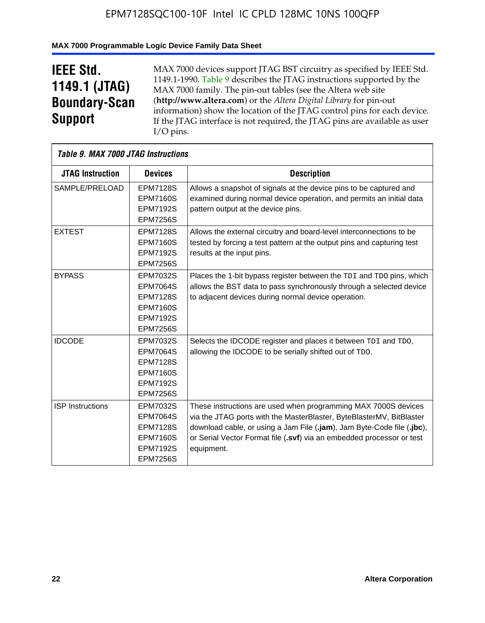## **MAX 7000 Programmable Logic Device Family Data Sheet**

# **IEEE Std. 1149.1 (JTAG) Boundary-Scan Support**

 $\mathsf{r}$ 

MAX 7000 devices support JTAG BST circuitry as specified by IEEE Std. 1149.1-1990. Table 9 describes the JTAG instructions supported by the MAX 7000 family. The pin-out tables (see the Altera web site (**http://www.altera.com**) or the *Altera Digital Library* for pin-out information) show the location of the JTAG control pins for each device. If the JTAG interface is not required, the JTAG pins are available as user I/O pins.

| Table 9. MAX 7000 JTAG Instructions |                                                                                                                |                                                                                                                                                                                                                                                                                                         |
|-------------------------------------|----------------------------------------------------------------------------------------------------------------|---------------------------------------------------------------------------------------------------------------------------------------------------------------------------------------------------------------------------------------------------------------------------------------------------------|
| <b>JTAG Instruction</b>             | <b>Devices</b>                                                                                                 | <b>Description</b>                                                                                                                                                                                                                                                                                      |
| SAMPLE/PRELOAD                      | <b>EPM7128S</b><br><b>EPM7160S</b><br><b>EPM7192S</b><br><b>EPM7256S</b>                                       | Allows a snapshot of signals at the device pins to be captured and<br>examined during normal device operation, and permits an initial data<br>pattern output at the device pins.                                                                                                                        |
| <b>EXTEST</b>                       | <b>EPM7128S</b><br><b>EPM7160S</b><br><b>EPM7192S</b><br><b>EPM7256S</b>                                       | Allows the external circuitry and board-level interconnections to be<br>tested by forcing a test pattern at the output pins and capturing test<br>results at the input pins.                                                                                                                            |
| <b>BYPASS</b>                       | EPM7032S<br><b>EPM7064S</b><br><b>EPM7128S</b><br><b>EPM7160S</b><br><b>EPM7192S</b><br><b>EPM7256S</b>        | Places the 1-bit bypass register between the TDI and TDO pins, which<br>allows the BST data to pass synchronously through a selected device<br>to adjacent devices during normal device operation.                                                                                                      |
| <b>IDCODE</b>                       | EPM7032S<br><b>EPM7064S</b><br><b>EPM7128S</b><br><b>EPM7160S</b><br><b>EPM7192S</b><br><b>EPM7256S</b>        | Selects the IDCODE register and places it between TDI and TDO,<br>allowing the IDCODE to be serially shifted out of TDO.                                                                                                                                                                                |
| <b>ISP</b> Instructions             | <b>EPM7032S</b><br><b>EPM7064S</b><br><b>EPM7128S</b><br><b>EPM7160S</b><br><b>EPM7192S</b><br><b>EPM7256S</b> | These instructions are used when programming MAX 7000S devices<br>via the JTAG ports with the MasterBlaster, ByteBlasterMV, BitBlaster<br>download cable, or using a Jam File (.jam), Jam Byte-Code file (.jbc),<br>or Serial Vector Format file (.svf) via an embedded processor or test<br>equipment. |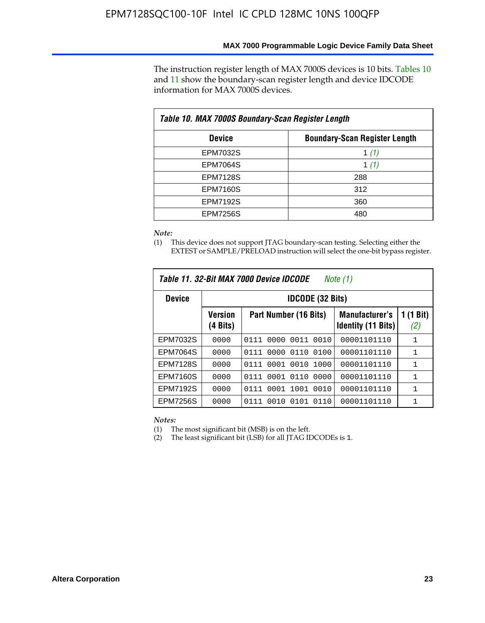The instruction register length of MAX 7000S devices is 10 bits. Tables 10 and 11 show the boundary-scan register length and device IDCODE information for MAX 7000S devices.

| Table 10. MAX 7000S Boundary-Scan Register Length |                                      |  |  |  |  |  |
|---------------------------------------------------|--------------------------------------|--|--|--|--|--|
| <b>Device</b>                                     | <b>Boundary-Scan Register Length</b> |  |  |  |  |  |
| EPM7032S                                          | 1 (1)                                |  |  |  |  |  |
| <b>EPM7064S</b>                                   | 1 $(1)$                              |  |  |  |  |  |
| <b>EPM7128S</b>                                   | 288                                  |  |  |  |  |  |
| <b>EPM7160S</b>                                   | 312                                  |  |  |  |  |  |
| <b>EPM7192S</b>                                   | 360                                  |  |  |  |  |  |
| <b>EPM7256S</b>                                   | 480                                  |  |  |  |  |  |

*Note:*

(1) This device does not support JTAG boundary-scan testing. Selecting either the EXTEST or SAMPLE/PRELOAD instruction will select the one-bit bypass register.

| Table 11, 32-Bit MAX 7000 Device IDCODE<br>Note (1) |                            |                              |                                                    |                  |  |  |  |
|-----------------------------------------------------|----------------------------|------------------------------|----------------------------------------------------|------------------|--|--|--|
| <b>Device</b>                                       |                            | <b>IDCODE (32 Bits)</b>      |                                                    |                  |  |  |  |
|                                                     | <b>Version</b><br>(4 Bits) | Part Number (16 Bits)        | <b>Manufacturer's</b><br><b>Identity (11 Bits)</b> | 1 (1 Bit)<br>(2) |  |  |  |
| EPM7032S                                            | 0000                       | 0010<br>0111<br>0000<br>0011 | 00001101110                                        | 1                |  |  |  |
| <b>EPM7064S</b>                                     | 0000                       | 0000<br>0110<br>0100<br>0111 | 00001101110                                        | 1                |  |  |  |
| <b>EPM7128S</b>                                     | 0000                       | 0001 0010<br>1000<br>0111    | 00001101110                                        | 1                |  |  |  |
| <b>EPM7160S</b>                                     | 0000                       | 0001<br>0110<br>0000<br>0111 | 00001101110                                        | $\mathbf{1}$     |  |  |  |
| <b>EPM7192S</b>                                     | 0000                       | 1001<br>0010<br>0111<br>0001 | 00001101110                                        | 1                |  |  |  |
| EPM7256S                                            | 0000                       | 0111<br>0010<br>0101<br>0110 | 00001101110                                        | 1                |  |  |  |

*Notes:*

(1) The most significant bit (MSB) is on the left.

(2) The least significant bit (LSB) for all JTAG IDCODEs is 1.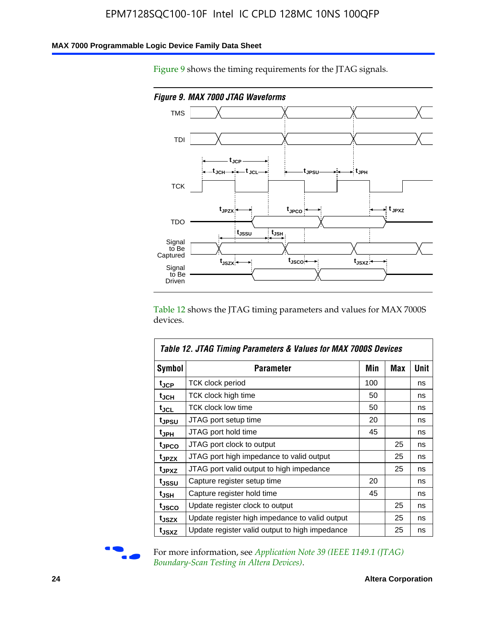#### **MAX 7000 Programmable Logic Device Family Data Sheet**

Figure 9 shows the timing requirements for the JTAG signals.



Table 12 shows the JTAG timing parameters and values for MAX 7000S devices.

|                   | Table 12. JTAG Timing Parameters & Values for MAX 7000S Devices |     |     |      |
|-------------------|-----------------------------------------------------------------|-----|-----|------|
| <b>Symbol</b>     | Parameter                                                       | Min | Max | Unit |
| t <sub>JCP</sub>  | TCK clock period                                                | 100 |     | ns   |
| t <sub>JCH</sub>  | TCK clock high time                                             | 50  |     | ns   |
| $t_{JCL}$         | <b>TCK clock low time</b>                                       | 50  |     | ns   |
| tjpsu             | JTAG port setup time                                            | 20  |     | ns   |
| t <sub>JPH</sub>  | JTAG port hold time                                             | 45  |     | ns   |
| tjpco             | JTAG port clock to output                                       |     | 25  | ns   |
| t <sub>JPZX</sub> | JTAG port high impedance to valid output                        |     | 25  | ns   |
| t <sub>JPXZ</sub> | JTAG port valid output to high impedance                        |     | 25  | ns   |
| tjssu             | Capture register setup time                                     | 20  |     | ns   |
| t <sub>JSH</sub>  | Capture register hold time                                      | 45  |     | ns   |
| tjsco             | Update register clock to output                                 |     | 25  | ns   |
| t <sub>JSZX</sub> | Update register high impedance to valid output                  |     | 25  | ns   |
| tjsxz             | Update register valid output to high impedance                  |     | 25  | ns   |



For more information, see *Application Note 39 (IEEE 1149.1 (JTAG) Boundary-Scan Testing in Altera Devices)*.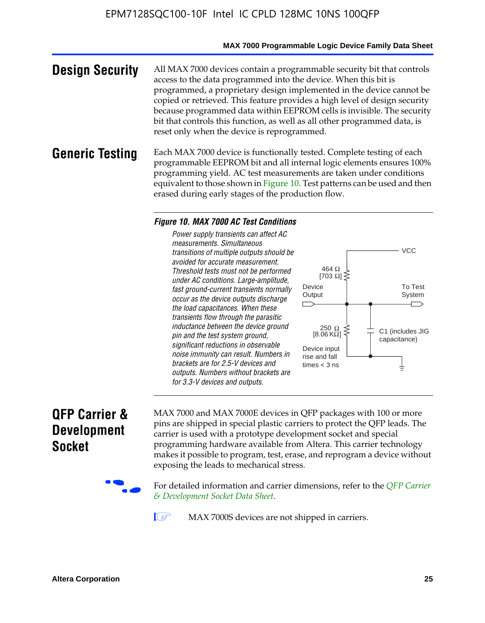#### **MAX 7000 Programmable Logic Device Family Data Sheet**

**Design Security** All MAX 7000 devices contain a programmable security bit that controls access to the data programmed into the device. When this bit is programmed, a proprietary design implemented in the device cannot be copied or retrieved. This feature provides a high level of design security because programmed data within EEPROM cells is invisible. The security bit that controls this function, as well as all other programmed data, is reset only when the device is reprogrammed.

#### **Generic Testing** Each MAX 7000 device is functionally tested. Complete testing of each programmable EEPROM bit and all internal logic elements ensures 100% programming yield. AC test measurements are taken under conditions equivalent to those shown in Figure 10. Test patterns can be used and then erased during early stages of the production flow.

#### *Figure 10. MAX 7000 AC Test Conditions*

*Power supply transients can affect AC measurements. Simultaneous transitions of multiple outputs should be avoided for accurate measurement. Threshold tests must not be performed under AC conditions. Large-amplitude, fast ground-current transients normally occur as the device outputs discharge the load capacitances. When these transients flow through the parasitic inductance between the device ground pin and the test system ground, significant reductions in observable noise immunity can result. Numbers in brackets are for 2.5-V devices and outputs. Numbers without brackets are for 3.3-V devices and outputs.*



# **QFP Carrier & Development Socket**

MAX 7000 and MAX 7000E devices in QFP packages with 10[0 or more](http://www.altera.com/literature/ds/dsqfp.pdf)  [pins are shipped in special plas](http://www.altera.com/literature/ds/dsqfp.pdf)tic carriers to protect the QFP leads. The carrier is used with a prototype development socket and special programming hardware available from Altera. This carrier technology makes it possible to program, test, erase, and reprogram a device without exposing the leads to mechanical stress.

For detailed information and carrier dimensions, refer to the *QFP Carrier & Development Socket Data Sheet*.

MAX 7000S devices are not shipped in carriers.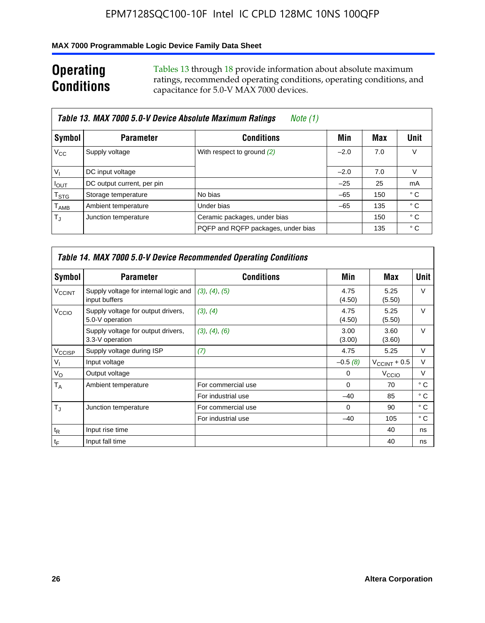## **MAX 7000 Programmable Logic Device Family Data Sheet**

# **Operating Conditions**

Tables 13 through 18 provide information about absolute maximum ratings, recommended operating conditions, operating conditions, and capacitance for 5.0-V MAX 7000 devices.

|                             | Table 13. MAX 7000 5.0-V Device Absolute Maximum Ratings<br>Note (1) |                                    |        |     |      |  |  |  |  |  |
|-----------------------------|----------------------------------------------------------------------|------------------------------------|--------|-----|------|--|--|--|--|--|
| Symbol                      | <b>Parameter</b>                                                     | <b>Conditions</b>                  | Min    | Max | Unit |  |  |  |  |  |
| $V_{\rm CC}$                | Supply voltage                                                       | With respect to ground (2)         | $-2.0$ | 7.0 | V    |  |  |  |  |  |
| $V_{1}$                     | DC input voltage                                                     |                                    | $-2.0$ | 7.0 | V    |  |  |  |  |  |
| $I_{\text{OUT}}$            | DC output current, per pin                                           |                                    | $-25$  | 25  | mA   |  |  |  |  |  |
| $\mathsf{T}_{\text{STG}}$   | Storage temperature                                                  | No bias                            | $-65$  | 150 | ° C  |  |  |  |  |  |
| $\mathsf{T}_{\mathsf{AMB}}$ | Ambient temperature                                                  | Under bias                         | $-65$  | 135 | ° C  |  |  |  |  |  |
| $T_{\rm J}$                 | Junction temperature                                                 | Ceramic packages, under bias       |        | 150 | ° C  |  |  |  |  |  |
|                             |                                                                      | PQFP and RQFP packages, under bias |        | 135 | ° C  |  |  |  |  |  |

|                          |                                                        | Table 14. MAX 7000 5.0-V Device Recommended Operating Conditions |                |                          |              |
|--------------------------|--------------------------------------------------------|------------------------------------------------------------------|----------------|--------------------------|--------------|
| Symbol                   | <b>Parameter</b>                                       | <b>Conditions</b>                                                | Min            | Max                      | Unit         |
| <b>V<sub>CCINT</sub></b> | Supply voltage for internal logic and<br>input buffers | (3), (4), (5)                                                    | 4.75<br>(4.50) | 5.25<br>(5.50)           | $\vee$       |
| V <sub>CCIO</sub>        | Supply voltage for output drivers,<br>5.0-V operation  | (3), (4)                                                         | 4.75<br>(4.50) | 5.25<br>(5.50)           | $\vee$       |
|                          | Supply voltage for output drivers,<br>3.3-V operation  | (3), (4), (6)                                                    | 3.00<br>(3.00) | 3.60<br>(3.60)           | $\vee$       |
| V <sub>CCISP</sub>       | Supply voltage during ISP                              | (7)                                                              | 4.75           | 5.25                     | V            |
| $V_{1}$                  | Input voltage                                          |                                                                  | $-0.5(8)$      | $V_{\text{CCINT}} + 0.5$ | $\vee$       |
| $V_{\rm O}$              | Output voltage                                         |                                                                  | 0              | V <sub>CCIO</sub>        | V            |
| T <sub>A</sub>           | Ambient temperature                                    | For commercial use                                               | $\Omega$       | 70                       | $^{\circ}$ C |
|                          |                                                        | For industrial use                                               | $-40$          | 85                       | °C           |
| $T_{\rm d}$              | Junction temperature                                   | For commercial use                                               | $\Omega$       | 90                       | ° C          |
|                          |                                                        | For industrial use                                               | $-40$          | 105                      | $^{\circ}$ C |
| $t_{R}$                  | Input rise time                                        |                                                                  |                | 40                       | ns           |
| $t_F$                    | Input fall time                                        |                                                                  |                | 40                       | ns           |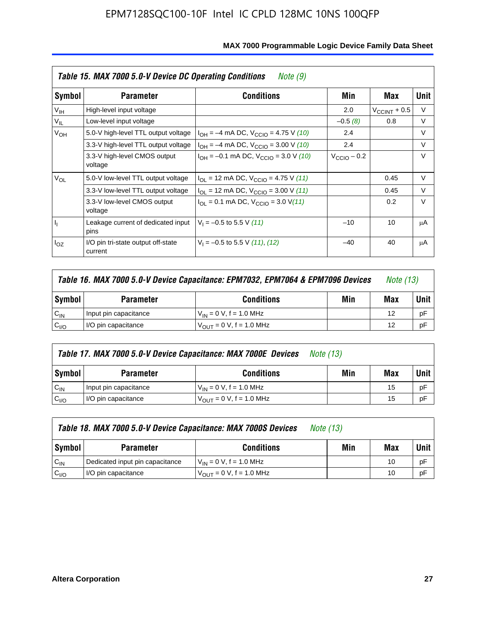|                 | Table 15. MAX 7000 5.0-V Device DC Operating Conditions<br><i>Note</i> $(9)$ |                                                                           |                 |                       |        |  |  |  |  |  |  |
|-----------------|------------------------------------------------------------------------------|---------------------------------------------------------------------------|-----------------|-----------------------|--------|--|--|--|--|--|--|
| Symbol          | <b>Parameter</b>                                                             | <b>Conditions</b>                                                         | Min             | Max                   | Unit   |  |  |  |  |  |  |
| V <sub>IH</sub> | High-level input voltage                                                     |                                                                           | 2.0             | $V_{\rm CCINT}$ + 0.5 | V      |  |  |  |  |  |  |
| $V_{IL}$        | Low-level input voltage                                                      |                                                                           | $-0.5(8)$       | 0.8                   | V      |  |  |  |  |  |  |
| V <sub>OH</sub> | 5.0-V high-level TTL output voltage                                          | $I_{OH} = -4$ mA DC, $V_{CCIO} = 4.75$ V (10)                             | 2.4             |                       | $\vee$ |  |  |  |  |  |  |
|                 | 3.3-V high-level TTL output voltage                                          | $I_{OH} = -4$ mA DC, $V_{CClO} = 3.00$ V (10)                             | 2.4             |                       | $\vee$ |  |  |  |  |  |  |
|                 | 3.3-V high-level CMOS output<br>voltage                                      | $I_{OH} = -0.1$ mA DC, $V_{CClO} = 3.0$ V (10)                            | $V_{CCD}$ – 0.2 |                       | $\vee$ |  |  |  |  |  |  |
| $V_{OL}$        | 5.0-V low-level TTL output voltage                                           | $I_{\text{OI}}$ = 12 mA DC, $V_{\text{CCIO}}$ = 4.75 V (11)               |                 | 0.45                  | V      |  |  |  |  |  |  |
|                 | 3.3-V low-level TTL output voltage                                           | $I_{OL}$ = 12 mA DC, $V_{CCIO}$ = 3.00 V (11)                             |                 | 0.45                  | $\vee$ |  |  |  |  |  |  |
|                 | 3.3-V low-level CMOS output<br>voltage                                       | $I_{\text{OI}} = 0.1 \text{ mA DC}, V_{\text{CCIO}} = 3.0 \text{ V} (11)$ |                 | 0.2                   | $\vee$ |  |  |  |  |  |  |
| 4               | Leakage current of dedicated input<br>pins                                   | $V_1 = -0.5$ to 5.5 V (11)                                                | $-10$           | 10                    | μA     |  |  |  |  |  |  |
| $I_{OZ}$        | I/O pin tri-state output off-state<br>current                                | $V_1 = -0.5$ to 5.5 V (11), (12)                                          | $-40$           | 40                    | μA     |  |  |  |  |  |  |

| Table 16. MAX 7000 5.0-V Device Capacitance: EPM7032, EPM7064 & EPM7096 Devices |                                                     |                                     |  |    |    |
|---------------------------------------------------------------------------------|-----------------------------------------------------|-------------------------------------|--|----|----|
| Symbol                                                                          | Min<br><b>Conditions</b><br>Max<br><b>Parameter</b> |                                     |  |    |    |
| $C_{IN}$                                                                        | Input pin capacitance                               | $V_{IN} = 0 V$ , f = 1.0 MHz        |  | 12 | рF |
| C <sub>I/O</sub>                                                                | I/O pin capacitance                                 | $V_{\text{OUT}} = 0$ V, f = 1.0 MHz |  | 12 | рF |

|                  | Table 17. MAX 7000 5.0-V Device Capacitance: MAX 7000E Devices<br><i>Note (13)</i> |                                |     |     |        |  |  |
|------------------|------------------------------------------------------------------------------------|--------------------------------|-----|-----|--------|--|--|
| Symbol           | <b>Parameter</b>                                                                   | <b>Conditions</b>              | Min | Max | Unit I |  |  |
| $C_{IN}$         | Input pin capacitance                                                              | $V_{1N} = 0 V$ , f = 1.0 MHz   |     | 15  | pF     |  |  |
| C <sub>I/O</sub> | I/O pin capacitance                                                                | $V_{OIII} = 0 V$ , f = 1.0 MHz |     | 15  | pF     |  |  |

|                  | Table 18. MAX 7000 5.0-V Device Capacitance: MAX 7000S Devices<br><i>Note (13)</i> |                                     |     |     |        |  |
|------------------|------------------------------------------------------------------------------------|-------------------------------------|-----|-----|--------|--|
| Symbol           | <b>Parameter</b>                                                                   | <b>Conditions</b>                   | Min | Max | Unit I |  |
| $C_{IN}$         | Dedicated input pin capacitance                                                    | $V_{IN} = 0 V$ , f = 1.0 MHz        |     | 10  | pF     |  |
| C <sub>I/O</sub> | I/O pin capacitance                                                                | $V_{\text{OUT}} = 0$ V, f = 1.0 MHz |     | 10  | pF     |  |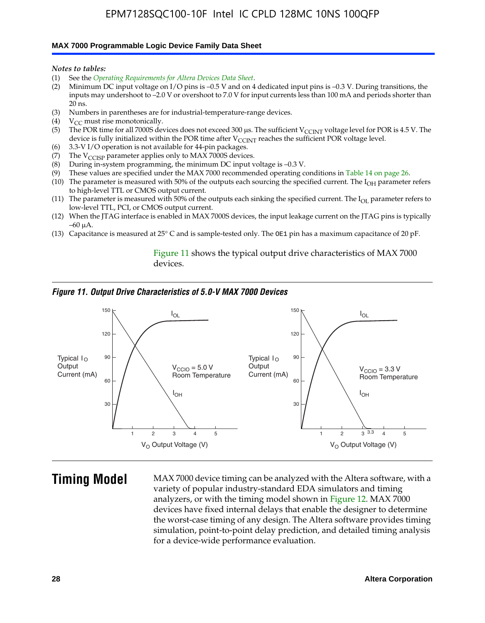#### **MAX 7000 Programmable Logic Device Family Data Sheet**

*Notes to tables:*

- (1) See the *Operating Requirements for Altera Devices Data Sheet*.
- (2) Minimum DC input voltage on I/O pins is –0.5 V and on 4 dedicated input pins is –0.3 V. During transitions, the inputs may undershoot to –2.0 V or overshoot to 7.0 V for input currents less than 100 mA and periods shorter than  $20$  ns.
- (3) Numbers in parentheses are for industrial-temperature-range devices.
- (4)  $V_{CC}$  must rise monotonically.
- (5) The POR time for all 7000S devices does not exceed 300 µs. The sufficient V<sub>CCINT</sub> voltage level for POR is 4.5 V. The device is fully initialized within the POR time after  $V_{\text{CCINT}}$  reaches the sufficient POR voltage level.
- (6) 3.3-V I/O operation is not available for 44-pin packages.
- (7) The  $V_{\text{CCISP}}$  parameter applies only to MAX 7000S devices.
- (8) During in-system programming, the minimum DC input voltage is –0.3 V.
- (9) These values are specified under the MAX 7000 recommended operating conditions in Table 14 on page 26.
- (10) The parameter is measured with 50% of the outputs each sourcing the specified current. The  $I_{OH}$  parameter refers to high-level TTL or CMOS output current.
- (11) The parameter is measured with 50% of the outputs each sinking the specified current. The  $I_{OL}$  parameter refers to low-level TTL, PCI, or CMOS output current.
- (12) When the JTAG interface is enabled in MAX 7000S devices, the input leakage current on the JTAG pins is typically –60 μA.
- (13) Capacitance is measured at 25° C and is sample-tested only. The OE1 pin has a maximum capacitance of 20 pF.

Figure 11 shows the typical output drive characteristics of MAX 7000 devices.

#### *Figure 11. Output Drive Characteristics of 5.0-V MAX 7000 Devices*



**Timing Model** MAX 7000 device timing can be analyzed with the Altera software, with a variety of popular industry-standard EDA simulators and timing analyzers, or with the timing model shown in Figure 12. MAX 7000 devices have fixed internal delays that enable the designer to determine the worst-case timing of any design. The Altera software provides timing simulation, point-to-point delay prediction, and detailed timing analysis for a device-wide performance evaluation.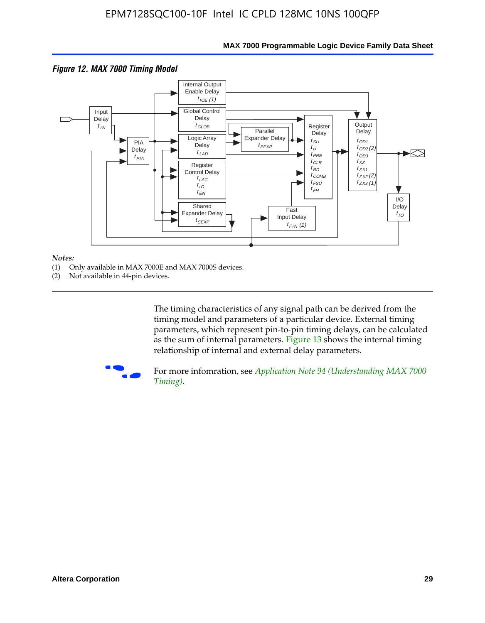

## **MAX 7000 Programmable Logic Device Family Data Sheet**

#### *Notes:*

- (1) Only available in MAX 7000E and MAX 7000S devices.
- (2) Not available in 44-pin devices.

[The tim](http://www.altera.com/literature/an/an094.pdf)ing characteristics [of any signal path can be derived from the](http://www.altera.com/literature/an/an094.pdf)  timing model and parameters of a particular device. External timing parameters, which represent pin-to-pin timing delays, can be calculated as the sum of internal parameters. Figure 13 shows the internal timing relationship of internal and external delay parameters.



For more infomration, see *Application Note 94 (Understanding MAX 7000 Timing)*.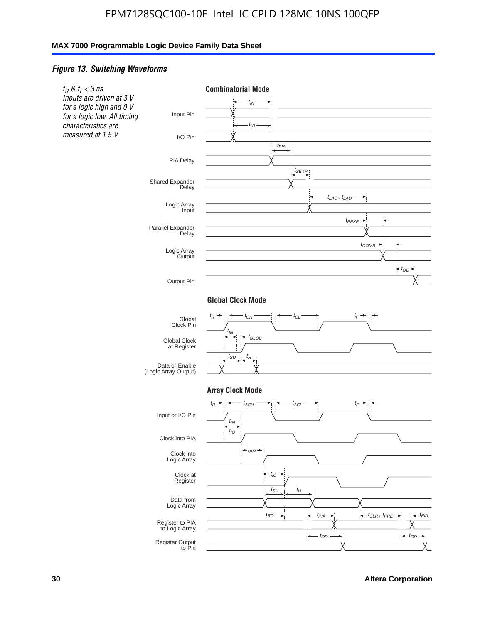#### *Figure 13. Switching Waveforms*

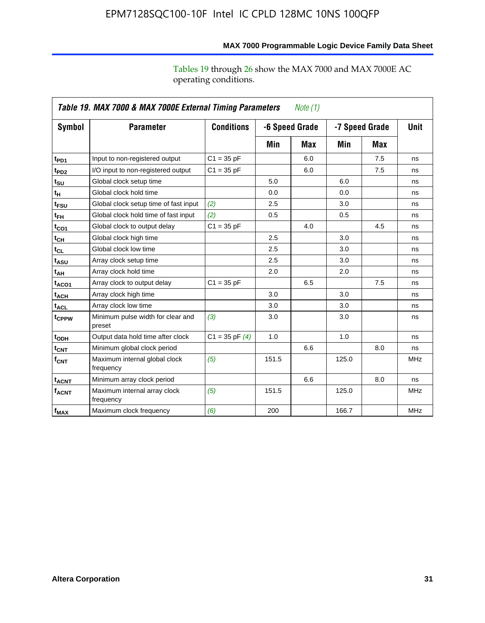|                    | Table 19. MAX 7000 & MAX 7000E External Timing Parameters<br>Note $(1)$ |                    |       |                |       |                |             |  |  |  |
|--------------------|-------------------------------------------------------------------------|--------------------|-------|----------------|-------|----------------|-------------|--|--|--|
| Symbol             | <b>Parameter</b>                                                        | <b>Conditions</b>  |       | -6 Speed Grade |       | -7 Speed Grade | <b>Unit</b> |  |  |  |
|                    |                                                                         |                    | Min   | Max            | Min   | Max            |             |  |  |  |
| t <sub>PD1</sub>   | Input to non-registered output                                          | $C1 = 35 pF$       |       | 6.0            |       | 7.5            | ns          |  |  |  |
| t <sub>PD2</sub>   | I/O input to non-registered output                                      | $C1 = 35 pF$       |       | 6.0            |       | 7.5            | ns          |  |  |  |
| $t_{\text{SU}}$    | Global clock setup time                                                 |                    | 5.0   |                | 6.0   |                | ns          |  |  |  |
| tμ                 | Global clock hold time                                                  |                    | 0.0   |                | 0.0   |                | ns          |  |  |  |
| t <sub>FSU</sub>   | Global clock setup time of fast input                                   | (2)                | 2.5   |                | 3.0   |                | ns          |  |  |  |
| $t_{FH}$           | Global clock hold time of fast input                                    | (2)                | 0.5   |                | 0.5   |                | ns          |  |  |  |
| t <sub>CO1</sub>   | Global clock to output delay                                            | $C1 = 35 pF$       |       | 4.0            |       | 4.5            | ns          |  |  |  |
| $t_{\mathsf{CH}}$  | Global clock high time                                                  |                    | 2.5   |                | 3.0   |                | ns          |  |  |  |
| $t_{CL}$           | Global clock low time                                                   |                    | 2.5   |                | 3.0   |                | ns          |  |  |  |
| t <sub>ASU</sub>   | Array clock setup time                                                  |                    | 2.5   |                | 3.0   |                | ns          |  |  |  |
| t <sub>АН</sub>    | Array clock hold time                                                   |                    | 2.0   |                | 2.0   |                | ns          |  |  |  |
| t <sub>ACO1</sub>  | Array clock to output delay                                             | $C1 = 35 pF$       |       | 6.5            |       | 7.5            | ns          |  |  |  |
| t <sub>ACH</sub>   | Array clock high time                                                   |                    | 3.0   |                | 3.0   |                | ns          |  |  |  |
| $t_{\sf ACL}$      | Array clock low time                                                    |                    | 3.0   |                | 3.0   |                | ns          |  |  |  |
| t <sub>CPPW</sub>  | Minimum pulse width for clear and<br>preset                             | (3)                | 3.0   |                | 3.0   |                | ns          |  |  |  |
| t <sub>ODH</sub>   | Output data hold time after clock                                       | $C1 = 35$ pF $(4)$ | 1.0   |                | 1.0   |                | ns          |  |  |  |
| $t_{\mathsf{CNT}}$ | Minimum global clock period                                             |                    |       | 6.6            |       | 8.0            | ns          |  |  |  |
| $f_{\mathsf{CNT}}$ | Maximum internal global clock<br>frequency                              | (5)                | 151.5 |                | 125.0 |                | <b>MHz</b>  |  |  |  |
| t <sub>ACNT</sub>  | Minimum array clock period                                              |                    |       | 6.6            |       | 8.0            | ns          |  |  |  |
| $f_{ACNT}$         | Maximum internal array clock<br>frequency                               | (5)                | 151.5 |                | 125.0 |                | <b>MHz</b>  |  |  |  |
| f <sub>MAX</sub>   | Maximum clock frequency                                                 | (6)                | 200   |                | 166.7 |                | <b>MHz</b>  |  |  |  |

# **MAX 7000 Programmable Logic Device Family Data Sheet**

Tables 19 through 26 show the MAX 7000 and MAX 7000E AC operating conditions.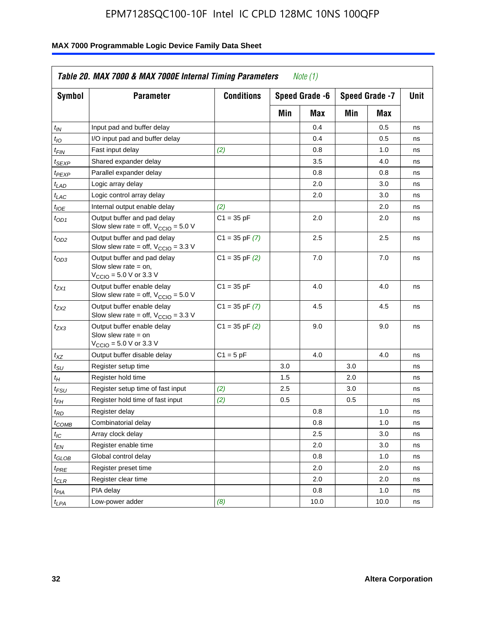| <b>Symbol</b>               | <b>Parameter</b>                                                                                             | <b>Conditions</b>  |     | Speed Grade -6 | Speed Grade -7 | Unit |    |
|-----------------------------|--------------------------------------------------------------------------------------------------------------|--------------------|-----|----------------|----------------|------|----|
|                             |                                                                                                              |                    | Min | Max            | Min            | Max  |    |
| $t_{IN}$                    | Input pad and buffer delay                                                                                   |                    |     | 0.4            |                | 0.5  | ns |
| $t_{IO}$                    | I/O input pad and buffer delay                                                                               |                    |     | 0.4            |                | 0.5  | ns |
| $t_{\sf FIN}$               | Fast input delay                                                                                             | (2)                |     | 0.8            |                | 1.0  | ns |
| <sup>t</sup> SEXP           | Shared expander delay                                                                                        |                    |     | 3.5            |                | 4.0  | ns |
| t <sub>PEXP</sub>           | Parallel expander delay                                                                                      |                    |     | 0.8            |                | 0.8  | ns |
| t <sub>LAD</sub>            | Logic array delay                                                                                            |                    |     | 2.0            |                | 3.0  | ns |
| $t_{LAC}$                   | Logic control array delay                                                                                    |                    |     | 2.0            |                | 3.0  | ns |
| $t_{IOE}$                   | Internal output enable delay                                                                                 | (2)                |     |                |                | 2.0  | ns |
| $t_{OD1}$                   | Output buffer and pad delay<br>Slow slew rate = off, $V_{\text{CCIO}} = 5.0 V$                               | $C1 = 35 pF$       |     | 2.0            |                | 2.0  | ns |
| $t_{OD2}$                   | Output buffer and pad delay<br>Slow slew rate = off, $V_{\text{CCIO}} = 3.3$ V                               | $C1 = 35$ pF $(7)$ |     | 2.5            |                | 2.5  | ns |
| $t_{OD3}$                   | Output buffer and pad delay<br>Slow slew rate $=$ on,<br>$V_{\text{CCIO}} = 5.0 \text{ V or } 3.3 \text{ V}$ | $C1 = 35$ pF $(2)$ |     | 7.0            |                | 7.0  | ns |
| $t_{ZX1}$                   | Output buffer enable delay<br>Slow slew rate = off, $V_{\text{CCIO}} = 5.0 V$                                | $C1 = 35 pF$       |     | 4.0            |                | 4.0  | ns |
| t <sub>ZX2</sub>            | Output buffer enable delay<br>Slow slew rate = off, $V_{\text{CCIO}} = 3.3 \text{ V}$                        | $C1 = 35$ pF $(7)$ |     | 4.5            |                | 4.5  | ns |
| tzx3                        | Output buffer enable delay<br>Slow slew rate $=$ on<br>$V_{\text{CCIO}} = 5.0 \text{ V or } 3.3 \text{ V}$   | $C1 = 35$ pF $(2)$ |     | 9.0            |                | 9.0  | ns |
| $t_{\mathsf{XZ}}$           | Output buffer disable delay                                                                                  | $C1 = 5pF$         |     | 4.0            |                | 4.0  | ns |
| $t_{\scriptstyle\text{SU}}$ | Register setup time                                                                                          |                    | 3.0 |                | 3.0            |      | ns |
| $t_H$                       | Register hold time                                                                                           |                    | 1.5 |                | 2.0            |      | ns |
| t <sub>FSU</sub>            | Register setup time of fast input                                                                            | (2)                | 2.5 |                | 3.0            |      | ns |
| $t_{FH}$                    | Register hold time of fast input                                                                             | (2)                | 0.5 |                | 0.5            |      | ns |
| t <sub>RD</sub>             | Register delay                                                                                               |                    |     | 0.8            |                | 1.0  | ns |
| $t_{\mathsf{COMB}}$         | Combinatorial delay                                                                                          |                    |     | 0.8            |                | 1.0  | ns |
| $t_{IC}$                    | Array clock delay                                                                                            |                    |     | 2.5            |                | 3.0  | ns |
| $t_{EN}$                    | Register enable time                                                                                         |                    |     | 2.0            |                | 3.0  | ns |
| t <sub>GLOB</sub>           | Global control delay                                                                                         |                    |     | 0.8            |                | 1.0  | ns |
| $t_{PRE}$                   | Register preset time                                                                                         |                    |     | 2.0            |                | 2.0  | ns |
| $t_{\sf CLR}$               | Register clear time                                                                                          |                    |     | 2.0            |                | 2.0  | ns |
| $t_{PIA}$                   | PIA delay                                                                                                    |                    |     | 0.8            |                | 1.0  | ns |
| $t_{LPA}$                   | Low-power adder                                                                                              | (8)                |     | 10.0           |                | 10.0 | ns |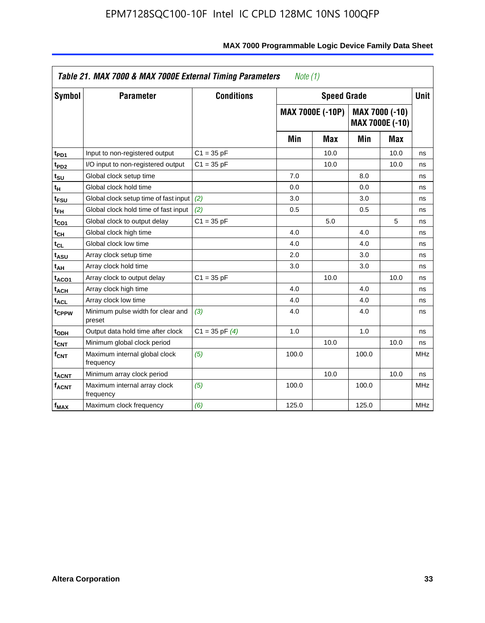| Symbol                  | <b>Parameter</b>                            | <b>Conditions</b>  |       | <b>Speed Grade</b>      |       |                                   | <b>Unit</b> |
|-------------------------|---------------------------------------------|--------------------|-------|-------------------------|-------|-----------------------------------|-------------|
|                         |                                             |                    |       | <b>MAX 7000E (-10P)</b> |       | MAX 7000 (-10)<br>MAX 7000E (-10) |             |
|                         |                                             |                    | Min   | Max                     | Min   | Max                               |             |
| t <sub>PD1</sub>        | Input to non-registered output              | $C1 = 35 pF$       |       | 10.0                    |       | 10.0                              | ns          |
| t <sub>PD2</sub>        | I/O input to non-registered output          | $C1 = 35 pF$       |       | 10.0                    |       | 10.0                              | ns          |
| t <sub>su</sub>         | Global clock setup time                     |                    | 7.0   |                         | 8.0   |                                   | ns          |
| tμ                      | Global clock hold time                      |                    | 0.0   |                         | 0.0   |                                   | ns          |
| t <sub>FSU</sub>        | Global clock setup time of fast input (2)   |                    | 3.0   |                         | 3.0   |                                   | ns          |
| t <sub>FH</sub>         | Global clock hold time of fast input        | (2)                | 0.5   |                         | 0.5   |                                   | ns          |
| t <sub>CO1</sub>        | Global clock to output delay                | $C1 = 35 pF$       |       | 5.0                     |       | 5                                 | ns          |
| $t_{\mathsf{CH}}$       | Global clock high time                      |                    | 4.0   |                         | 4.0   |                                   | ns          |
| t <sub>CL</sub>         | Global clock low time                       |                    | 4.0   |                         | 4.0   |                                   | ns          |
| t <sub>ASU</sub>        | Array clock setup time                      |                    | 2.0   |                         | 3.0   |                                   | ns          |
| t <sub>АН</sub>         | Array clock hold time                       |                    | 3.0   |                         | 3.0   |                                   | ns          |
| t <sub>ACO1</sub>       | Array clock to output delay                 | $C1 = 35 pF$       |       | 10.0                    |       | 10.0                              | ns          |
| t <sub>ACH</sub>        | Array clock high time                       |                    | 4.0   |                         | 4.0   |                                   | ns          |
| $t_{\sf ACL}$           | Array clock low time                        |                    | 4.0   |                         | 4.0   |                                   | ns          |
| t <sub>CPPW</sub>       | Minimum pulse width for clear and<br>preset | (3)                | 4.0   |                         | 4.0   |                                   | ns          |
| t <sub>ODH</sub>        | Output data hold time after clock           | $C1 = 35$ pF $(4)$ | 1.0   |                         | 1.0   |                                   | ns          |
| $t_{\mathsf{CNT}}$      | Minimum global clock period                 |                    |       | 10.0                    |       | 10.0                              | ns          |
| $f_{\mathsf{CNT}}$      | Maximum internal global clock<br>frequency  | (5)                | 100.0 |                         | 100.0 |                                   | <b>MHz</b>  |
| <b>t<sub>ACNT</sub></b> | Minimum array clock period                  |                    |       | 10.0                    |       | 10.0                              | ns          |
| f <sub>ACNT</sub>       | Maximum internal array clock<br>frequency   | (5)                | 100.0 |                         | 100.0 |                                   | <b>MHz</b>  |
| f <sub>MAX</sub>        | Maximum clock frequency                     | (6)                | 125.0 |                         | 125.0 |                                   | <b>MHz</b>  |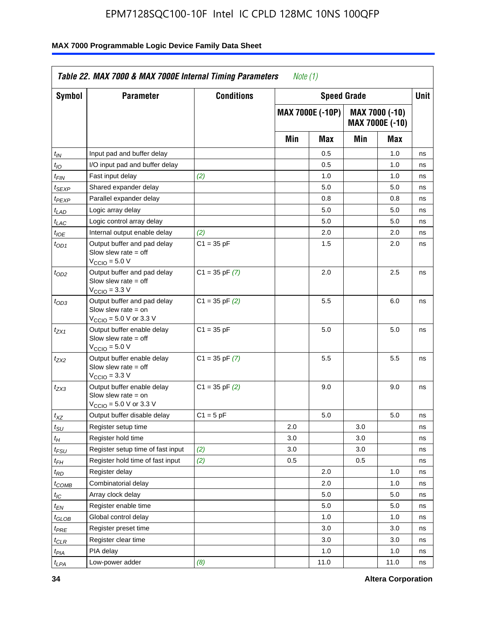| Symbol            | <b>Parameter</b>                                                                                            | <b>Conditions</b>  |     | <b>Speed Grade</b>      |     |                                   | Unit |
|-------------------|-------------------------------------------------------------------------------------------------------------|--------------------|-----|-------------------------|-----|-----------------------------------|------|
|                   |                                                                                                             |                    |     | <b>MAX 7000E (-10P)</b> |     | MAX 7000 (-10)<br>MAX 7000E (-10) |      |
|                   |                                                                                                             |                    | Min | Max                     | Min | Max                               |      |
| $t_{IN}$          | Input pad and buffer delay                                                                                  |                    |     | 0.5                     |     | 1.0                               | ns   |
| $t_{IO}$          | I/O input pad and buffer delay                                                                              |                    |     | 0.5                     |     | 1.0                               | ns   |
| t <sub>FIN</sub>  | Fast input delay                                                                                            | (2)                |     | 1.0                     |     | 1.0                               | ns   |
| <sup>t</sup> SEXP | Shared expander delay                                                                                       |                    |     | 5.0                     |     | 5.0                               | ns   |
| t <sub>PEXP</sub> | Parallel expander delay                                                                                     |                    |     | 0.8                     |     | 0.8                               | ns   |
| $t_{LAD}$         | Logic array delay                                                                                           |                    |     | 5.0                     |     | 5.0                               | ns   |
| $t_{LAC}$         | Logic control array delay                                                                                   |                    |     | 5.0                     |     | 5.0                               | ns   |
| $t_{IOE}$         | Internal output enable delay                                                                                | (2)                |     | 2.0                     |     | 2.0                               | ns   |
| $t_{OD1}$         | Output buffer and pad delay<br>Slow slew rate $=$ off<br>$VCCIO = 5.0 V$                                    | $C1 = 35 pF$       |     | 1.5                     |     | 2.0                               | ns   |
| $t_{OD2}$         | Output buffer and pad delay<br>Slow slew rate = off<br>$VCCIO = 3.3 V$                                      | $C1 = 35$ pF $(7)$ |     | 2.0                     |     | 2.5                               | ns   |
| $t_{OD3}$         | Output buffer and pad delay<br>Slow slew rate $=$ on<br>$V_{\text{CCIO}} = 5.0 \text{ V or } 3.3 \text{ V}$ | $C1 = 35$ pF $(2)$ |     | 5.5                     |     | 6.0                               | ns   |
| $t_{ZX1}$         | Output buffer enable delay<br>Slow slew rate $=$ off<br>$VCCIO = 5.0 V$                                     | $C1 = 35 pF$       |     | 5.0                     |     | 5.0                               | ns   |
| $t_{ZX2}$         | Output buffer enable delay<br>Slow slew rate $=$ off<br>$V_{\text{CCIO}} = 3.3 \text{ V}$                   | $C1 = 35$ pF $(7)$ |     | 5.5                     |     | 5.5                               | ns   |
| t <sub>ZX3</sub>  | Output buffer enable delay<br>Slow slew rate $=$ on<br>$V_{\text{CCIO}} = 5.0 \text{ V or } 3.3 \text{ V}$  | $C1 = 35$ pF $(2)$ |     | 9.0                     |     | 9.0                               | ns   |
| $t_{XZ}$          | Output buffer disable delay                                                                                 | $C1 = 5$ pF        |     | 5.0                     |     | 5.0                               | ns   |
| $t_{\sf SU}$      | Register setup time                                                                                         |                    | 2.0 |                         | 3.0 |                                   | ns   |
| $t_H$             | Register hold time                                                                                          |                    | 3.0 |                         | 3.0 |                                   | ns   |
| t <sub>FSU</sub>  | Register setup time of fast input                                                                           | (2)                | 3.0 |                         | 3.0 |                                   | ns   |
| $t_{FH}$          | Register hold time of fast input                                                                            | (2)                | 0.5 |                         | 0.5 |                                   | ns   |
| $t_{RD}$          | Register delay                                                                                              |                    |     | 2.0                     |     | 1.0                               | ns   |
| $t_{COMB}$        | Combinatorial delay                                                                                         |                    |     | 2.0                     |     | 1.0                               | ns   |
| $I_{\textrm{IC}}$ | Array clock delay                                                                                           |                    |     | 5.0                     |     | 5.0                               | ns   |
| $t_{EN}$          | Register enable time                                                                                        |                    |     | 5.0                     |     | 5.0                               | ns   |
| $t_{GLOB}$        | Global control delay                                                                                        |                    |     | 1.0                     |     | 1.0                               | ns   |
| $t_{PRE}$         | Register preset time                                                                                        |                    |     | 3.0                     |     | 3.0                               | ns   |
| $t_{CLR}$         | Register clear time                                                                                         |                    |     | 3.0                     |     | 3.0                               | ns   |
| $t_{PIA}$         | PIA delay                                                                                                   |                    |     | 1.0                     |     | 1.0                               | ns   |
| $t_{LPA}$         | Low-power adder                                                                                             | (8)                |     | 11.0                    |     | 11.0                              | ns   |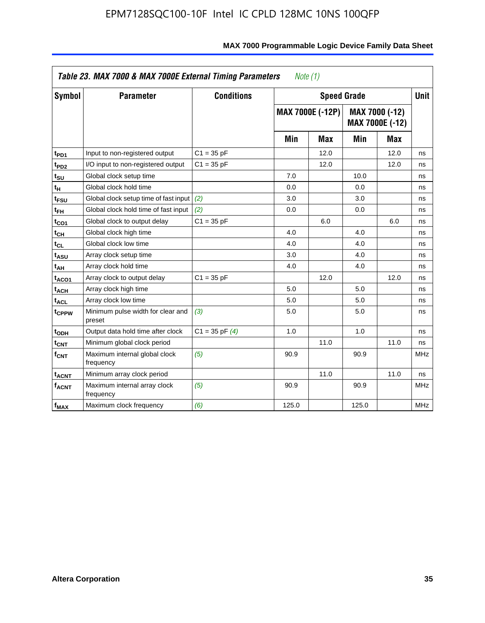| Symbol                       | <b>Parameter</b>                            | <b>Conditions</b>  |       | <b>Speed Grade</b>      |                |                 | <b>Unit</b> |
|------------------------------|---------------------------------------------|--------------------|-------|-------------------------|----------------|-----------------|-------------|
|                              |                                             |                    |       | <b>MAX 7000E (-12P)</b> | MAX 7000 (-12) | MAX 7000E (-12) |             |
|                              |                                             |                    | Min   | <b>Max</b>              | Min            | Max             |             |
| t <sub>PD1</sub>             | Input to non-registered output              | $C1 = 35 pF$       |       | 12.0                    |                | 12.0            | ns          |
| t <sub>PD2</sub>             | I/O input to non-registered output          | $C1 = 35 pF$       |       | 12.0                    |                | 12.0            | ns          |
| t <sub>SU</sub>              | Global clock setup time                     |                    | 7.0   |                         | 10.0           |                 | ns          |
| tμ                           | Global clock hold time                      |                    | 0.0   |                         | 0.0            |                 | ns          |
| t <sub>FSU</sub>             | Global clock setup time of fast input       | (2)                | 3.0   |                         | 3.0            |                 | ns          |
| t <sub>FH</sub>              | Global clock hold time of fast input        | (2)                | 0.0   |                         | 0.0            |                 | ns          |
| t <sub>CO1</sub>             | Global clock to output delay                | $C1 = 35 pF$       |       | 6.0                     |                | 6.0             | ns          |
| $\mathfrak{t}_{\textsf{CH}}$ | Global clock high time                      |                    | 4.0   |                         | 4.0            |                 | ns          |
| $t_{CL}$                     | Global clock low time                       |                    | 4.0   |                         | 4.0            |                 | ns          |
| t <sub>ASU</sub>             | Array clock setup time                      |                    | 3.0   |                         | 4.0            |                 | ns          |
| t <sub>АН</sub>              | Array clock hold time                       |                    | 4.0   |                         | 4.0            |                 | ns          |
| t <sub>ACO1</sub>            | Array clock to output delay                 | $C1 = 35 pF$       |       | 12.0                    |                | 12.0            | ns          |
| t <sub>ACH</sub>             | Array clock high time                       |                    | 5.0   |                         | 5.0            |                 | ns          |
| $t_{\sf ACL}$                | Array clock low time                        |                    | 5.0   |                         | 5.0            |                 | ns          |
| t <sub>CPPW</sub>            | Minimum pulse width for clear and<br>preset | (3)                | 5.0   |                         | 5.0            |                 | ns          |
| t <sub>ODH</sub>             | Output data hold time after clock           | $C1 = 35$ pF $(4)$ | 1.0   |                         | 1.0            |                 | ns          |
| $t_{\mathsf{CNT}}$           | Minimum global clock period                 |                    |       | 11.0                    |                | 11.0            | ns          |
| $f_{\mathsf{CNT}}$           | Maximum internal global clock<br>frequency  | (5)                | 90.9  |                         | 90.9           |                 | <b>MHz</b>  |
| <b>t<sub>ACNT</sub></b>      | Minimum array clock period                  |                    |       | 11.0                    |                | 11.0            | ns          |
| f <sub>ACNT</sub>            | Maximum internal array clock<br>frequency   | (5)                | 90.9  |                         | 90.9           |                 | <b>MHz</b>  |
| $f_{MAX}$                    | Maximum clock frequency                     | (6)                | 125.0 |                         | 125.0          |                 | MHz         |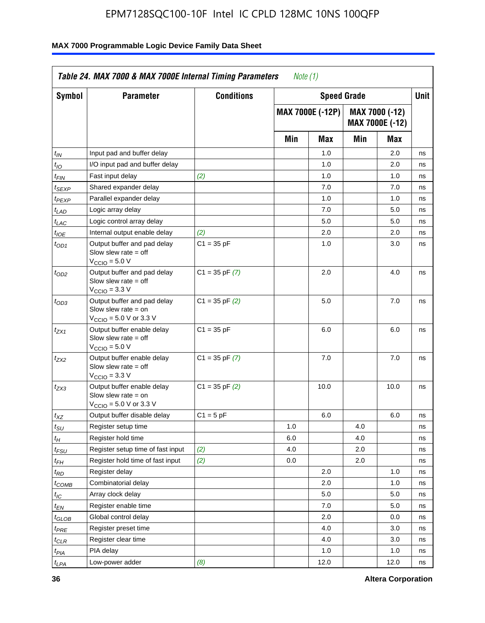| <b>Symbol</b>               | <b>Parameter</b>                                                                                           | <b>Conditions</b>  |     | <b>Speed Grade</b>      |     |                                   | <b>Unit</b> |  |
|-----------------------------|------------------------------------------------------------------------------------------------------------|--------------------|-----|-------------------------|-----|-----------------------------------|-------------|--|
|                             |                                                                                                            |                    |     | <b>MAX 7000E (-12P)</b> |     | MAX 7000 (-12)<br>MAX 7000E (-12) |             |  |
|                             |                                                                                                            |                    | Min | Max                     | Min | Max                               |             |  |
| t <sub>IN</sub>             | Input pad and buffer delay                                                                                 |                    |     | 1.0                     |     | 2.0                               | ns          |  |
| $t_{IO}$                    | I/O input pad and buffer delay                                                                             |                    |     | 1.0                     |     | 2.0                               | ns          |  |
| $t_{\sf FIN}$               | Fast input delay                                                                                           | (2)                |     | 1.0                     |     | 1.0                               | ns          |  |
| t <sub>SEXP</sub>           | Shared expander delay                                                                                      |                    |     | 7.0                     |     | 7.0                               | ns          |  |
| $t_{PEXP}$                  | Parallel expander delay                                                                                    |                    |     | 1.0                     |     | 1.0                               | ns          |  |
| t <sub>LAD</sub>            | Logic array delay                                                                                          |                    |     | 7.0                     |     | 5.0                               | ns          |  |
| $t_{LAC}$                   | Logic control array delay                                                                                  |                    |     | 5.0                     |     | 5.0                               | ns          |  |
| $t_{\mathit{IOE}}$          | Internal output enable delay                                                                               | (2)                |     | 2.0                     |     | 2.0                               | ns          |  |
| $t_{OD1}$                   | Output buffer and pad delay<br>Slow slew rate $=$ off<br>$V_{\text{CCIO}} = 5.0 V$                         | $C1 = 35 pF$       |     | 1.0                     |     | 3.0                               | ns          |  |
| $t_{OD2}$                   | Output buffer and pad delay<br>Slow slew rate $=$ off<br>$VCCIO = 3.3 V$                                   | $C1 = 35$ pF $(7)$ |     | 2.0                     |     | 4.0                               | ns          |  |
| $t_{OD3}$                   | Output buffer and pad delay<br>Slow slew rate = on<br>$V_{\text{CCIO}} = 5.0 \text{ V or } 3.3 \text{ V}$  | $C1 = 35$ pF $(2)$ |     | 5.0                     |     | 7.0                               | ns          |  |
| $t_{ZX1}$                   | Output buffer enable delay<br>Slow slew rate $=$ off<br>$V_{\text{CCIO}} = 5.0 V$                          | $C1 = 35 pF$       |     | 6.0                     |     | 6.0                               | ns          |  |
| $t_{ZX2}$                   | Output buffer enable delay<br>Slow slew rate $=$ off<br>$V_{\text{CCIO}} = 3.3 \text{ V}$                  | $C1 = 35$ pF $(7)$ |     | 7.0                     |     | 7.0                               | ns          |  |
| $t_{ZX3}$                   | Output buffer enable delay<br>Slow slew rate $=$ on<br>$V_{\text{CCIO}} = 5.0 \text{ V or } 3.3 \text{ V}$ | $C1 = 35$ pF $(2)$ |     | 10.0                    |     | 10.0                              | ns          |  |
| $t_{XZ}$                    | Output buffer disable delay                                                                                | $C1 = 5 pF$        |     | 6.0                     |     | 6.0                               | ns          |  |
| $t_{\scriptstyle\text{SU}}$ | Register setup time                                                                                        |                    | 1.0 |                         | 4.0 |                                   | ns          |  |
| $t_H$                       | Register hold time                                                                                         |                    | 6.0 |                         | 4.0 |                                   | ns          |  |
| $t_{\mathit{FSU}}$          | Register setup time of fast input                                                                          | (2)                | 4.0 |                         | 2.0 |                                   | ns          |  |
| t <sub>FH</sub>             | Register hold time of fast input                                                                           | (2)                | 0.0 |                         | 2.0 |                                   | ns          |  |
| $t_{RD}$                    | Register delay                                                                                             |                    |     | 2.0                     |     | 1.0                               | ns          |  |
| $t_{COMB}$                  | Combinatorial delay                                                                                        |                    |     | 2.0                     |     | 1.0                               | ns          |  |
| ЧC                          | Array clock delay                                                                                          |                    |     | $5.0\,$                 |     | 5.0                               | 115         |  |
| $t_{EN}$                    | Register enable time                                                                                       |                    |     | 7.0                     |     | 5.0                               | ns          |  |
| $t_{GLOB}$                  | Global control delay                                                                                       |                    |     | 2.0                     |     | 0.0                               | ns          |  |
| t <sub>PRE</sub>            | Register preset time                                                                                       |                    |     | 4.0                     |     | 3.0                               | ns          |  |
| $t_{CLR}$                   | Register clear time                                                                                        |                    |     | 4.0                     |     | 3.0                               | ns          |  |
| $t_{PIA}$                   | PIA delay                                                                                                  |                    |     | 1.0                     |     | 1.0                               | ns          |  |
| $t_{LPA}$                   | Low-power adder                                                                                            | (8)                |     | 12.0                    |     | 12.0                              | ns          |  |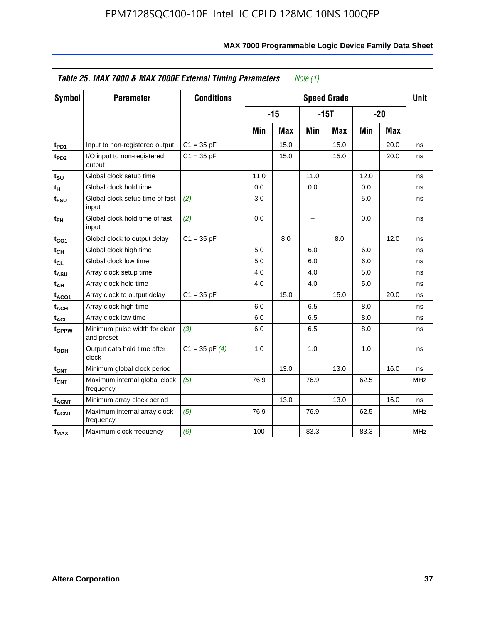| Symbol                  | <b>Parameter</b>                            | <b>Conditions</b>  |      |            |                          | <b>Speed Grade</b> |      |            | <b>Unit</b> |
|-------------------------|---------------------------------------------|--------------------|------|------------|--------------------------|--------------------|------|------------|-------------|
|                         |                                             |                    |      | $-15$      |                          | $-15T$             |      | $-20$      |             |
|                         |                                             |                    | Min  | <b>Max</b> | Min                      | Max                | Min  | <b>Max</b> |             |
| $t_{PD1}$               | Input to non-registered output              | $C1 = 35 pF$       |      | 15.0       |                          | 15.0               |      | 20.0       | ns          |
| $t_{PD2}$               | I/O input to non-registered<br>output       | $C1 = 35 pF$       |      | 15.0       |                          | 15.0               |      | 20.0       | ns          |
| tsu                     | Global clock setup time                     |                    | 11.0 |            | 11.0                     |                    | 12.0 |            | ns          |
| $t_H$                   | Global clock hold time                      |                    | 0.0  |            | 0.0                      |                    | 0.0  |            | ns          |
| t <sub>FSU</sub>        | Global clock setup time of fast<br>input    | (2)                | 3.0  |            |                          |                    | 5.0  |            | ns          |
| $t_{FH}$                | Global clock hold time of fast<br>input     | (2)                | 0.0  |            | $\overline{\phantom{0}}$ |                    | 0.0  |            | ns          |
| $t_{CO1}$               | Global clock to output delay                | $C1 = 35 pF$       |      | 8.0        |                          | 8.0                |      | 12.0       | ns          |
| $t_{CH}$                | Global clock high time                      |                    | 5.0  |            | 6.0                      |                    | 6.0  |            | ns          |
| $t_{CL}$                | Global clock low time                       |                    | 5.0  |            | 6.0                      |                    | 6.0  |            | ns          |
| t <sub>ASU</sub>        | Array clock setup time                      |                    | 4.0  |            | 4.0                      |                    | 5.0  |            | ns          |
| t <sub>АН</sub>         | Array clock hold time                       |                    | 4.0  |            | 4.0                      |                    | 5.0  |            | ns          |
| t <sub>ACO1</sub>       | Array clock to output delay                 | $C1 = 35 pF$       |      | 15.0       |                          | 15.0               |      | 20.0       | ns          |
| $t_{ACH}$               | Array clock high time                       |                    | 6.0  |            | 6.5                      |                    | 8.0  |            | ns          |
| <b>t<sub>ACL</sub></b>  | Array clock low time                        |                    | 6.0  |            | 6.5                      |                    | 8.0  |            | ns          |
| t <sub>CPPW</sub>       | Minimum pulse width for clear<br>and preset | (3)                | 6.0  |            | 6.5                      |                    | 8.0  |            | ns          |
| $t$ <sub>ODH</sub>      | Output data hold time after<br>clock        | $C1 = 35$ pF $(4)$ | 1.0  |            | 1.0                      |                    | 1.0  |            | ns          |
| $t_{\mathsf{CNT}}$      | Minimum global clock period                 |                    |      | 13.0       |                          | 13.0               |      | 16.0       | ns          |
| f <sub>CNT</sub>        | Maximum internal global clock<br>frequency  | (5)                | 76.9 |            | 76.9                     |                    | 62.5 |            | <b>MHz</b>  |
| <b>t<sub>ACNT</sub></b> | Minimum array clock period                  |                    |      | 13.0       |                          | 13.0               |      | 16.0       | ns          |
| $f_{ACNT}$              | Maximum internal array clock<br>frequency   | (5)                | 76.9 |            | 76.9                     |                    | 62.5 |            | <b>MHz</b>  |
| f <sub>MAX</sub>        | Maximum clock frequency                     | (6)                | 100  |            | 83.3                     |                    | 83.3 |            | MHz         |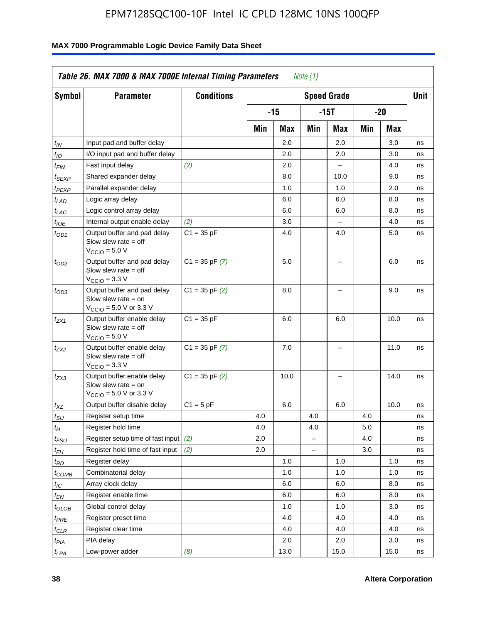| Symbol                        | <b>Parameter</b>                                                                                            | <b>Conditions</b>  |     |       |     | <b>Speed Grade</b> |     |       | Unit |
|-------------------------------|-------------------------------------------------------------------------------------------------------------|--------------------|-----|-------|-----|--------------------|-----|-------|------|
|                               |                                                                                                             |                    |     | $-15$ |     | $-15T$             |     | $-20$ |      |
|                               |                                                                                                             |                    | Min | Max   | Min | Max                | Min | Max   |      |
| $t_{IN}$                      | Input pad and buffer delay                                                                                  |                    |     | 2.0   |     | 2.0                |     | 3.0   | ns   |
| $t_{IO}$                      | I/O input pad and buffer delay                                                                              |                    |     | 2.0   |     | 2.0                |     | 3.0   | ns   |
| $t_{\sf FIN}$                 | Fast input delay                                                                                            | (2)                |     | 2.0   |     | $\overline{a}$     |     | 4.0   | ns   |
| $t_{SEXP}$                    | Shared expander delay                                                                                       |                    |     | 8.0   |     | 10.0               |     | 9.0   | ns   |
| t <sub>PEXP</sub>             | Parallel expander delay                                                                                     |                    |     | 1.0   |     | 1.0                |     | 2.0   | ns   |
| t <sub>LAD</sub>              | Logic array delay                                                                                           |                    |     | 6.0   |     | 6.0                |     | 8.0   | ns   |
| $t_{LAC}$                     | Logic control array delay                                                                                   |                    |     | 6.0   |     | 6.0                |     | 8.0   | ns   |
| $t_{IOE}$                     | Internal output enable delay                                                                                | (2)                |     | 3.0   |     |                    |     | 4.0   | ns   |
| $t_{OD1}$                     | Output buffer and pad delay<br>Slow slew rate $=$ off<br>$V_{\text{CCIO}} = 5.0 V$                          | $C1 = 35 pF$       |     | 4.0   |     | 4.0                |     | 5.0   | ns   |
| $t_{OD2}$                     | Output buffer and pad delay<br>Slow slew rate $=$ off<br>$V_{\text{CCIO}} = 3.3 \text{ V}$                  | $C1 = 35$ pF $(7)$ |     | 5.0   |     |                    |     | 6.0   | ns   |
| $t_{OD3}$                     | Output buffer and pad delay<br>Slow slew rate $=$ on<br>$V_{\text{CCIO}} = 5.0 \text{ V or } 3.3 \text{ V}$ | $C1 = 35$ pF $(2)$ |     | 8.0   |     |                    |     | 9.0   | ns   |
| $t_{ZX1}$                     | Output buffer enable delay<br>Slow slew rate $=$ off<br>$VCCIO = 5.0 V$                                     | $C1 = 35 pF$       |     | 6.0   |     | 6.0                |     | 10.0  | ns   |
| t <sub>ZX2</sub>              | Output buffer enable delay<br>Slow slew rate $=$ off<br>$VCCIO$ = 3.3 V                                     | $C1 = 35$ pF $(7)$ |     | 7.0   |     |                    |     | 11.0  | ns   |
| $t_{ZX3}$                     | Output buffer enable delay<br>Slow slew rate $=$ on<br>$V_{\text{CCIO}} = 5.0 \text{ V or } 3.3 \text{ V}$  | $C1 = 35$ pF $(2)$ |     | 10.0  |     | L,                 |     | 14.0  | ns   |
| $t_{\chi Z}$                  | Output buffer disable delay                                                                                 | $C1 = 5pF$         |     | 6.0   |     | 6.0                |     | 10.0  | ns   |
| $t_{\scriptstyle\text{SU}}$   | Register setup time                                                                                         |                    | 4.0 |       | 4.0 |                    | 4.0 |       | ns   |
| $t_H$                         | Register hold time                                                                                          |                    | 4.0 |       | 4.0 |                    | 5.0 |       | ns   |
| t <sub>FSU</sub>              | Register setup time of fast input                                                                           | (2)                | 2.0 |       | $=$ |                    | 4.0 |       | ns   |
| t <sub>FH</sub>               | Register hold time of fast input                                                                            | (2)                | 2.0 |       |     |                    | 3.0 |       | ns   |
| $t_{RD}$                      | Register delay                                                                                              |                    |     | 1.0   |     | 1.0                |     | 1.0   | ns   |
| $t_{COMB}$                    | Combinatorial delay                                                                                         |                    |     | 1.0   |     | 1.0                |     | 1.0   | ns   |
| $t_{\text{IC}}$               | Array clock delay                                                                                           |                    |     | 6.0   |     | 6.0                |     | 8.0   | ns   |
| $t_{EN}$                      | Register enable time                                                                                        |                    |     | 6.0   |     | 6.0                |     | 8.0   | ns   |
| $t_{\scriptstyle\text{GLOB}}$ | Global control delay                                                                                        |                    |     | 1.0   |     | 1.0                |     | 3.0   | ns   |
| t <sub>PRE</sub>              | Register preset time                                                                                        |                    |     | 4.0   |     | 4.0                |     | 4.0   | ns   |
| $t_{CLR}$                     | Register clear time                                                                                         |                    |     | 4.0   |     | 4.0                |     | 4.0   | ns   |
| t <sub>PIA</sub>              | PIA delay                                                                                                   |                    |     | 2.0   |     | 2.0                |     | 3.0   | ns   |
| $t_{LPA}$                     | Low-power adder                                                                                             | (8)                |     | 13.0  |     | 15.0               |     | 15.0  | ns   |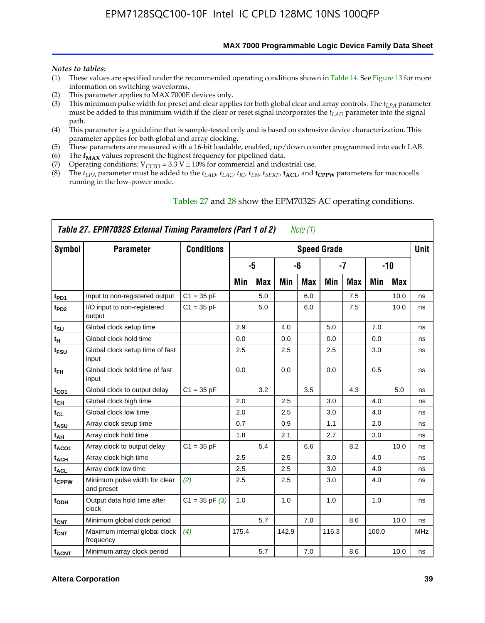**MAX 7000 Programmable Logic Device Family Data Sheet**

#### *Notes to tables:*

- (1) These values are specified under the recommended operating conditions shown in Table 14. See Figure 13 for more information on switching waveforms.
- (2) This parameter applies to MAX 7000E devices only.
- (3) This minimum pulse width for preset and clear applies for both global clear and array controls. The *tLPA* parameter must be added to this minimum width if the clear or reset signal incorporates the  $t_{LAD}$  parameter into the signal path.
- (4) This parameter is a guideline that is sample-tested only and is based on extensive device characterization. This parameter applies for both global and array clocking.
- (5) These parameters are measured with a 16-bit loadable, enabled, up/down counter programmed into each LAB.
- (6) The  $f_{MAX}$  values represent the highest frequency for pipelined data.
- (7) Operating conditions:  $V_{\text{CCIO}} = 3.3 \text{ V} \pm 10\%$  for commercial and industrial use.
- (8) The  $t_{LPA}$  parameter must be added to the  $t_{LAD}$ ,  $t_{LAC}$ ,  $t_{IC}$ ,  $t_{EN}$ ,  $t_{SEXP}$ ,  $t_{ACL}$ , and  $t_{CPPW}$  parameters for macrocells running in the low-power mode.

| Table 27. EPM7032S External Timing Parameters (Part 1 of 2)<br>Note (1) |                                             |                    |       |            |       |     |                    |            |       |            |             |  |  |
|-------------------------------------------------------------------------|---------------------------------------------|--------------------|-------|------------|-------|-----|--------------------|------------|-------|------------|-------------|--|--|
| Symbol                                                                  | <b>Parameter</b>                            | <b>Conditions</b>  |       |            |       |     | <b>Speed Grade</b> |            |       |            | <b>Unit</b> |  |  |
|                                                                         |                                             |                    |       | -5         |       | -6  |                    | -7         |       | $-10$      |             |  |  |
|                                                                         |                                             |                    | Min   | <b>Max</b> | Min   | Max | Min                | <b>Max</b> | Min   | <b>Max</b> |             |  |  |
| t <sub>PD1</sub>                                                        | Input to non-registered output              | $C1 = 35 pF$       |       | 5.0        |       | 6.0 |                    | 7.5        |       | 10.0       | ns          |  |  |
| $t_{PD2}$                                                               | I/O input to non-registered<br>output       | $C1 = 35 pF$       |       | 5.0        |       | 6.0 |                    | 7.5        |       | 10.0       | ns          |  |  |
| tsu                                                                     | Global clock setup time                     |                    | 2.9   |            | 4.0   |     | 5.0                |            | 7.0   |            | ns          |  |  |
| t <sub>H</sub>                                                          | Global clock hold time                      |                    | 0.0   |            | 0.0   |     | 0.0                |            | 0.0   |            | ns          |  |  |
| $t_{\text{FSU}}$                                                        | Global clock setup time of fast<br>input    |                    | 2.5   |            | 2.5   |     | 2.5                |            | 3.0   |            | ns          |  |  |
| $t_{FH}$                                                                | Global clock hold time of fast<br>input     |                    | 0.0   |            | 0.0   |     | 0.0                |            | 0.5   |            | ns          |  |  |
| $t_{CO1}$                                                               | Global clock to output delay                | $C1 = 35 pF$       |       | 3.2        |       | 3.5 |                    | 4.3        |       | 5.0        | ns          |  |  |
| $t_{\mathsf{CH}}$                                                       | Global clock high time                      |                    | 2.0   |            | 2.5   |     | 3.0                |            | 4.0   |            | ns          |  |  |
| $t_{CL}$                                                                | Global clock low time                       |                    | 2.0   |            | 2.5   |     | 3.0                |            | 4.0   |            | ns          |  |  |
| t <sub>ASU</sub>                                                        | Array clock setup time                      |                    | 0.7   |            | 0.9   |     | 1.1                |            | 2.0   |            | ns          |  |  |
| t <sub>АН</sub>                                                         | Array clock hold time                       |                    | 1.8   |            | 2.1   |     | 2.7                |            | 3.0   |            | ns          |  |  |
| t <sub>ACO1</sub>                                                       | Array clock to output delay                 | $C1 = 35 pF$       |       | 5.4        |       | 6.6 |                    | 8.2        |       | 10.0       | ns          |  |  |
| t <sub>ACH</sub>                                                        | Array clock high time                       |                    | 2.5   |            | 2.5   |     | 3.0                |            | 4.0   |            | ns          |  |  |
| t <sub>ACL</sub>                                                        | Array clock low time                        |                    | 2.5   |            | 2.5   |     | 3.0                |            | 4.0   |            | ns          |  |  |
| t <sub>CPPW</sub>                                                       | Minimum pulse width for clear<br>and preset | (2)                | 2.5   |            | 2.5   |     | 3.0                |            | 4.0   |            | ns          |  |  |
| t <sub>ODH</sub>                                                        | Output data hold time after<br>clock        | $C1 = 35$ pF $(3)$ | 1.0   |            | 1.0   |     | 1.0                |            | 1.0   |            | ns          |  |  |
| $t_{\mathsf{CNT}}$                                                      | Minimum global clock period                 |                    |       | 5.7        |       | 7.0 |                    | 8.6        |       | 10.0       | ns          |  |  |
| $f_{\mathsf{CNT}}$                                                      | Maximum internal global clock<br>frequency  | (4)                | 175.4 |            | 142.9 |     | 116.3              |            | 100.0 |            | <b>MHz</b>  |  |  |
| t <sub>ACNT</sub>                                                       | Minimum array clock period                  |                    |       | 5.7        |       | 7.0 |                    | 8.6        |       | 10.0       | ns          |  |  |

#### Tables 27 and 28 show the EPM7032S AC operating conditions.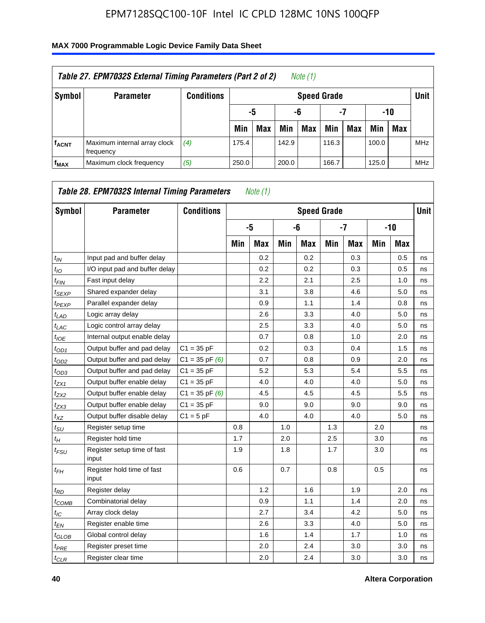| Table 27. EPM7032S External Timing Parameters (Part 2 of 2)<br>Note (1) |                                           |                   |       |                       |       |                    |       |     |       |            |            |  |
|-------------------------------------------------------------------------|-------------------------------------------|-------------------|-------|-----------------------|-------|--------------------|-------|-----|-------|------------|------------|--|
| Symbol                                                                  | <b>Parameter</b>                          | <b>Conditions</b> |       |                       |       | <b>Speed Grade</b> |       |     |       |            | Unit       |  |
|                                                                         |                                           |                   |       | -7<br>-10<br>-5<br>-6 |       |                    |       |     |       |            |            |  |
|                                                                         |                                           |                   | Min   | <b>Max</b>            | Min   | Max                | Min   | Max | Min   | <b>Max</b> |            |  |
| <b>f<sub>ACNT</sub></b>                                                 | Maximum internal array clock<br>frequency | (4)               | 175.4 |                       | 142.9 |                    | 116.3 |     | 100.0 |            | <b>MHz</b> |  |
| f <sub>MAX</sub>                                                        | Maximum clock frequency                   | (5)               | 250.0 |                       | 200.0 |                    | 166.7 |     | 125.0 |            | <b>MHz</b> |  |

| Symbol                        | <b>Parameter</b>                     | <b>Conditions</b>  |     |            |     |            | <b>Speed Grade</b> |            |     |            | <b>Unit</b> |
|-------------------------------|--------------------------------------|--------------------|-----|------------|-----|------------|--------------------|------------|-----|------------|-------------|
|                               |                                      |                    |     | -5         |     | -6         |                    | $-7$       |     | $-10$      |             |
|                               |                                      |                    | Min | <b>Max</b> | Min | <b>Max</b> | Min                | <b>Max</b> | Min | <b>Max</b> |             |
| $t_{IN}$                      | Input pad and buffer delay           |                    |     | 0.2        |     | 0.2        |                    | 0.3        |     | 0.5        | ns          |
| $t_{IO}$                      | I/O input pad and buffer delay       |                    |     | 0.2        |     | 0.2        |                    | 0.3        |     | 0.5        | ns          |
| $t_{\sf FIN}$                 | Fast input delay                     |                    |     | 2.2        |     | 2.1        |                    | 2.5        |     | 1.0        | ns          |
| t <sub>SEXP</sub>             | Shared expander delay                |                    |     | 3.1        |     | 3.8        |                    | 4.6        |     | 5.0        | ns          |
| t <sub>PEXP</sub>             | Parallel expander delay              |                    |     | 0.9        |     | 1.1        |                    | 1.4        |     | 0.8        | ns          |
| $t_{LAD}$                     | Logic array delay                    |                    |     | 2.6        |     | 3.3        |                    | 4.0        |     | 5.0        | ns          |
| $t_{LAC}$                     | Logic control array delay            |                    |     | 2.5        |     | 3.3        |                    | 4.0        |     | 5.0        | ns          |
| $t_{IOE}$                     | Internal output enable delay         |                    |     | 0.7        |     | 0.8        |                    | 1.0        |     | 2.0        | ns          |
| $t_{OD1}$                     | Output buffer and pad delay          | $C1 = 35 pF$       |     | 0.2        |     | 0.3        |                    | 0.4        |     | 1.5        | ns          |
| $t_{OD2}$                     | Output buffer and pad delay          | $C1 = 35$ pF $(6)$ |     | 0.7        |     | 0.8        |                    | 0.9        |     | 2.0        | ns          |
| $t_{OD3}$                     | Output buffer and pad delay          | $C1 = 35 pF$       |     | 5.2        |     | 5.3        |                    | 5.4        |     | 5.5        | ns          |
| $t_{ZX1}$                     | Output buffer enable delay           | $C1 = 35 pF$       |     | 4.0        |     | 4.0        |                    | 4.0        |     | 5.0        | ns          |
| tzx2                          | Output buffer enable delay           | $C1 = 35$ pF $(6)$ |     | 4.5        |     | 4.5        |                    | 4.5        |     | 5.5        | ns          |
| $t_{ZX3}$                     | Output buffer enable delay           | $C1 = 35 pF$       |     | 9.0        |     | 9.0        |                    | 9.0        |     | 9.0        | ns          |
| $t_{XZ}$                      | Output buffer disable delay          | $C1 = 5pF$         |     | 4.0        |     | 4.0        |                    | 4.0        |     | 5.0        | ns          |
| $t_{\text{SU}}$               | Register setup time                  |                    | 0.8 |            | 1.0 |            | 1.3                |            | 2.0 |            | ns          |
| $t_H$                         | Register hold time                   |                    | 1.7 |            | 2.0 |            | 2.5                |            | 3.0 |            | ns          |
| $t_{\mathit{FSU}}$            | Register setup time of fast<br>input |                    | 1.9 |            | 1.8 |            | 1.7                |            | 3.0 |            | ns          |
| t <sub>FH</sub>               | Register hold time of fast<br>input  |                    | 0.6 |            | 0.7 |            | 0.8                |            | 0.5 |            | ns          |
| $t_{RD}$                      | Register delay                       |                    |     | 1.2        |     | 1.6        |                    | 1.9        |     | 2.0        | ns          |
| $t_{COMB}$                    | Combinatorial delay                  |                    |     | 0.9        |     | 1.1        |                    | 1.4        |     | 2.0        | ns          |
| $t_{IC}$                      | Array clock delay                    |                    |     | 2.7        |     | 3.4        |                    | 4.2        |     | 5.0        | ns          |
| $t_{EN}$                      | Register enable time                 |                    |     | 2.6        |     | 3.3        |                    | 4.0        |     | 5.0        | ns          |
| $t_{\scriptstyle\text{GLOB}}$ | Global control delay                 |                    |     | 1.6        |     | 1.4        |                    | 1.7        |     | 1.0        | ns          |
| $t_{PRE}$                     | Register preset time                 |                    |     | 2.0        |     | 2.4        |                    | 3.0        |     | 3.0        | ns          |
| $t_{CLR}$                     | Register clear time                  |                    |     | 2.0        |     | 2.4        |                    | 3.0        |     | 3.0        | ns          |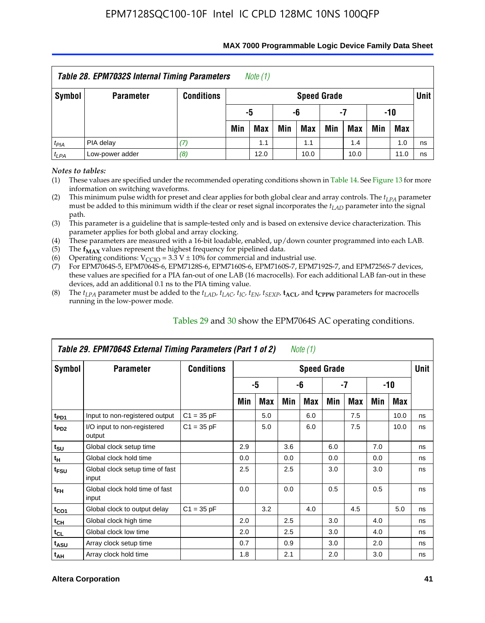| Table 28. EPM7032S Internal Timing Parameters<br>Note (1) |                  |                   |     |                       |     |                    |     |            |     |            |             |  |
|-----------------------------------------------------------|------------------|-------------------|-----|-----------------------|-----|--------------------|-----|------------|-----|------------|-------------|--|
| Symbol                                                    | <b>Parameter</b> | <b>Conditions</b> |     |                       |     | <b>Speed Grade</b> |     |            |     |            | <b>Unit</b> |  |
|                                                           |                  |                   |     | -10<br>-5<br>-6<br>-7 |     |                    |     |            |     |            |             |  |
|                                                           |                  |                   | Min | <b>Max</b>            | Min | Max                | Min | <b>Max</b> | Min | <b>Max</b> |             |  |
| $t_{PIA}$                                                 | PIA delay        |                   |     | 1.1                   |     | 1.1                |     | 1.4        |     | 1.0        | ns          |  |
| $t_{LPA}$                                                 | Low-power adder  | (8)               |     | 12.0                  |     | 10.0               |     | 10.0       |     | 11.0       | ns          |  |

#### **MAX 7000 Programmable Logic Device Family Data Sheet**

*Notes to tables:*

(1) These values are specified under the recommended operating conditions shown in Table 14. See Figure 13 for more information on switching waveforms.

(2) This minimum pulse width for preset and clear applies for both global clear and array controls. The  $t_{LPA}$  parameter must be added to this minimum width if the clear or reset signal incorporates the *tLAD* parameter into the signal path.

(3) This parameter is a guideline that is sample-tested only and is based on extensive device characterization. This parameter applies for both global and array clocking.

(4) These parameters are measured with a 16-bit loadable, enabled, up/down counter programmed into each LAB.

(5) The  $f_{MAX}$  values represent the highest frequency for pipelined data.

(6) Operating conditions:  $V_{\text{CCIO}} = 3.3 \text{ V} \pm 10\%$  for commercial and industrial use.

(7) For EPM7064S-5, EPM7064S-6, EPM7128S-6, EPM7160S-6, EPM7160S-7, EPM7192S-7, and EPM7256S-7 devices, these values are specified for a PIA fan-out of one LAB (16 macrocells). For each additional LAB fan-out in these devices, add an additional 0.1 ns to the PIA timing value.

(8) The  $t_{LPA}$  parameter must be added to the  $t_{LAD}$ ,  $t_{LAC}$ ,  $t_{IC}$ ,  $t_{EN}$ ,  $t_{SEXP}$ ,  $t_{ACL}$ , and  $t_{CPPW}$  parameters for macrocells running in the low-power mode.

| Table 29. EPM7064S External Timing Parameters (Part 1 of 2)<br>Note (1) |                                          |                   |     |                    |     |     |     |     |     |      |    |  |  |
|-------------------------------------------------------------------------|------------------------------------------|-------------------|-----|--------------------|-----|-----|-----|-----|-----|------|----|--|--|
| Symbol                                                                  | <b>Parameter</b>                         | <b>Conditions</b> |     | <b>Speed Grade</b> |     |     |     |     |     |      |    |  |  |
|                                                                         |                                          |                   |     | -5                 |     | -6  |     | -7  |     | -10  |    |  |  |
|                                                                         |                                          |                   | Min | Max                | Min | Max | Min | Max | Min | Max  |    |  |  |
| t <sub>PD1</sub>                                                        | Input to non-registered output           | $C1 = 35 pF$      |     | 5.0                |     | 6.0 |     | 7.5 |     | 10.0 | ns |  |  |
| t <sub>PD2</sub>                                                        | I/O input to non-registered<br>output    | $C1 = 35 pF$      |     | 5.0                |     | 6.0 |     | 7.5 |     | 10.0 | ns |  |  |
| $t_{\text{SU}}$                                                         | Global clock setup time                  |                   | 2.9 |                    | 3.6 |     | 6.0 |     | 7.0 |      | ns |  |  |
| $t_H$                                                                   | Global clock hold time                   |                   | 0.0 |                    | 0.0 |     | 0.0 |     | 0.0 |      | ns |  |  |
| t <sub>FSU</sub>                                                        | Global clock setup time of fast<br>input |                   | 2.5 |                    | 2.5 |     | 3.0 |     | 3.0 |      | ns |  |  |
| $t_{FH}$                                                                | Global clock hold time of fast<br>input  |                   | 0.0 |                    | 0.0 |     | 0.5 |     | 0.5 |      | ns |  |  |
| $t_{CO1}$                                                               | Global clock to output delay             | $C1 = 35 pF$      |     | 3.2                |     | 4.0 |     | 4.5 |     | 5.0  | ns |  |  |
| $t_{CH}$                                                                | Global clock high time                   |                   | 2.0 |                    | 2.5 |     | 3.0 |     | 4.0 |      | ns |  |  |
| $t_{CL}$                                                                | Global clock low time                    |                   | 2.0 |                    | 2.5 |     | 3.0 |     | 4.0 |      | ns |  |  |
| $t_{ASU}$                                                               | Array clock setup time                   |                   | 0.7 |                    | 0.9 |     | 3.0 |     | 2.0 |      | ns |  |  |
| $t_{AH}$                                                                | Array clock hold time                    |                   | 1.8 |                    | 2.1 |     | 2.0 |     | 3.0 |      | ns |  |  |

Tables 29 and 30 show the EPM7064S AC operating conditions.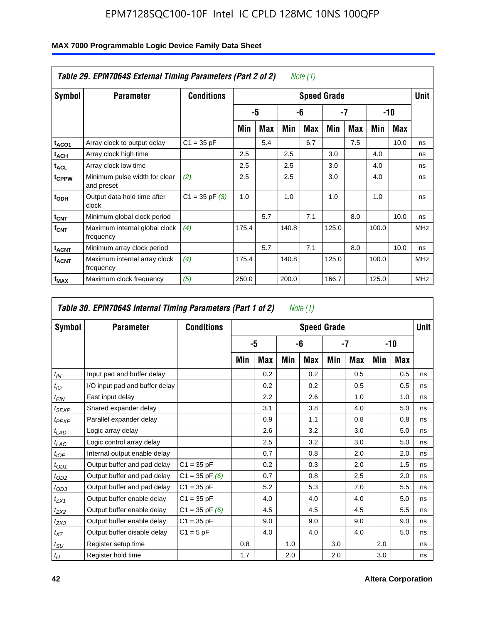| Table 29. EPM7064S External Timing Parameters (Part 2 of 2)<br>Note (1) |                                             |                    |       |     |       |     |                    |     |       |      |             |  |  |
|-------------------------------------------------------------------------|---------------------------------------------|--------------------|-------|-----|-------|-----|--------------------|-----|-------|------|-------------|--|--|
| Symbol                                                                  | <b>Parameter</b>                            | <b>Conditions</b>  |       |     |       |     | <b>Speed Grade</b> |     |       |      | <b>Unit</b> |  |  |
|                                                                         |                                             |                    |       | -5  |       | -6  | $-7$               |     |       | -10  |             |  |  |
|                                                                         |                                             |                    | Min   | Max | Min   | Max | Min                | Max | Min   | Max  |             |  |  |
| t <sub>ACO1</sub>                                                       | Array clock to output delay                 | $C1 = 35 pF$       |       | 5.4 |       | 6.7 |                    | 7.5 |       | 10.0 | ns          |  |  |
| t <sub>АСН</sub>                                                        | Array clock high time                       |                    | 2.5   |     | 2.5   |     | 3.0                |     | 4.0   |      | ns          |  |  |
| t <sub>ACL</sub>                                                        | Array clock low time                        |                    | 2.5   |     | 2.5   |     | 3.0                |     | 4.0   |      | ns          |  |  |
| t <sub>CPPW</sub>                                                       | Minimum pulse width for clear<br>and preset | (2)                | 2.5   |     | 2.5   |     | 3.0                |     | 4.0   |      | ns          |  |  |
| t <sub>ODH</sub>                                                        | Output data hold time after<br>clock        | $C1 = 35$ pF $(3)$ | 1.0   |     | 1.0   |     | 1.0                |     | 1.0   |      | ns          |  |  |
| $t_{\text{CNT}}$                                                        | Minimum global clock period                 |                    |       | 5.7 |       | 7.1 |                    | 8.0 |       | 10.0 | ns          |  |  |
| $f_{\text{CNT}}$                                                        | Maximum internal global clock<br>frequency  | (4)                | 175.4 |     | 140.8 |     | 125.0              |     | 100.0 |      | <b>MHz</b>  |  |  |
| t <sub>ACNT</sub>                                                       | Minimum array clock period                  |                    |       | 5.7 |       | 7.1 |                    | 8.0 |       | 10.0 | ns          |  |  |
| <b>f<sub>ACNT</sub></b>                                                 | Maximum internal array clock<br>frequency   | (4)                | 175.4 |     | 140.8 |     | 125.0              |     | 100.0 |      | <b>MHz</b>  |  |  |
| f <sub>MAX</sub>                                                        | Maximum clock frequency                     | (5)                | 250.0 |     | 200.0 |     | 166.7              |     | 125.0 |      | <b>MHz</b>  |  |  |

|                 | Table 30. EPM7064S Internal Timing Parameters (Part 1 of 2) |                    |     |     |     | Note (1)           |     |            |     |            |             |
|-----------------|-------------------------------------------------------------|--------------------|-----|-----|-----|--------------------|-----|------------|-----|------------|-------------|
| Symbol          | <b>Parameter</b>                                            | <b>Conditions</b>  |     |     |     | <b>Speed Grade</b> |     |            |     |            | <b>Unit</b> |
|                 |                                                             |                    |     | -5  |     | -6                 |     | -7         |     | $-10$      |             |
|                 |                                                             |                    | Min | Max | Min | Max                | Min | <b>Max</b> | Min | <b>Max</b> |             |
| $t_{IN}$        | Input pad and buffer delay                                  |                    |     | 0.2 |     | 0.2                |     | 0.5        |     | 0.5        | ns          |
| $t_{IO}$        | I/O input pad and buffer delay                              |                    |     | 0.2 |     | 0.2                |     | 0.5        |     | 0.5        | ns          |
| $t_{FIN}$       | Fast input delay                                            |                    |     | 2.2 |     | 2.6                |     | 1.0        |     | 1.0        | ns          |
| $t_{SEXP}$      | Shared expander delay                                       |                    |     | 3.1 |     | 3.8                |     | 4.0        |     | 5.0        | ns          |
| $t_{PEXP}$      | Parallel expander delay                                     |                    |     | 0.9 |     | 1.1                |     | 0.8        |     | 0.8        | ns          |
| $t_{LAD}$       | Logic array delay                                           |                    |     | 2.6 |     | 3.2                |     | 3.0        |     | 5.0        | ns          |
| $t_{LAC}$       | Logic control array delay                                   |                    |     | 2.5 |     | 3.2                |     | 3.0        |     | 5.0        | ns          |
| $t_{IOE}$       | Internal output enable delay                                |                    |     | 0.7 |     | 0.8                |     | 2.0        |     | 2.0        | ns          |
| $t_{OD1}$       | Output buffer and pad delay                                 | $C1 = 35 pF$       |     | 0.2 |     | 0.3                |     | 2.0        |     | 1.5        | ns          |
| $t_{OD2}$       | Output buffer and pad delay                                 | $C1 = 35$ pF $(6)$ |     | 0.7 |     | 0.8                |     | 2.5        |     | 2.0        | ns          |
| $t_{OD3}$       | Output buffer and pad delay                                 | $C1 = 35 pF$       |     | 5.2 |     | 5.3                |     | 7.0        |     | 5.5        | ns          |
| $t_{ZX1}$       | Output buffer enable delay                                  | $C1 = 35 pF$       |     | 4.0 |     | 4.0                |     | 4.0        |     | 5.0        | ns          |
| $t_{ZX2}$       | Output buffer enable delay                                  | $C1 = 35$ pF $(6)$ |     | 4.5 |     | 4.5                |     | 4.5        |     | 5.5        | ns          |
| $t_{ZX3}$       | Output buffer enable delay                                  | $C1 = 35 pF$       |     | 9.0 |     | 9.0                |     | 9.0        |     | 9.0        | ns          |
| $t_{XZ}$        | Output buffer disable delay                                 | $C1 = 5pF$         |     | 4.0 |     | 4.0                |     | 4.0        |     | 5.0        | ns          |
| $t_{\text{SU}}$ | Register setup time                                         |                    | 0.8 |     | 1.0 |                    | 3.0 |            | 2.0 |            | ns          |
| $t_H$           | Register hold time                                          |                    | 1.7 |     | 2.0 |                    | 2.0 |            | 3.0 |            | ns          |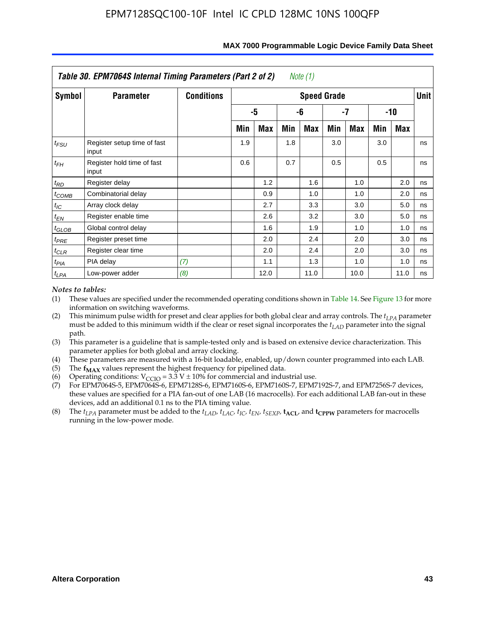|                   | Table 30. EPM7064S Internal Timing Parameters (Part 2 of 2) |                   |     |      |     | Note (1)           |     |      |     |            |             |
|-------------------|-------------------------------------------------------------|-------------------|-----|------|-----|--------------------|-----|------|-----|------------|-------------|
| Symbol            | <b>Parameter</b>                                            | <b>Conditions</b> |     |      |     | <b>Speed Grade</b> |     |      |     |            | <b>Unit</b> |
|                   |                                                             |                   |     | -5   |     | -6                 |     | -7   |     | $-10$      |             |
|                   |                                                             |                   | Min | Max  | Min | Max                | Min | Max  | Min | <b>Max</b> |             |
| $t_{FSU}$         | Register setup time of fast<br>input                        |                   | 1.9 |      | 1.8 |                    | 3.0 |      | 3.0 |            | ns          |
| $t_{FH}$          | Register hold time of fast<br>input                         |                   | 0.6 |      | 0.7 |                    | 0.5 |      | 0.5 |            | ns          |
| $t_{RD}$          | Register delay                                              |                   |     | 1.2  |     | 1.6                |     | 1.0  |     | 2.0        | ns          |
| $t_{COMB}$        | Combinatorial delay                                         |                   |     | 0.9  |     | 1.0                |     | 1.0  |     | 2.0        | ns          |
| $t_{IC}$          | Array clock delay                                           |                   |     | 2.7  |     | 3.3                |     | 3.0  |     | 5.0        | ns          |
| $t_{EN}$          | Register enable time                                        |                   |     | 2.6  |     | 3.2                |     | 3.0  |     | 5.0        | ns          |
| $t_{\text{GLOB}}$ | Global control delay                                        |                   |     | 1.6  |     | 1.9                |     | 1.0  |     | 1.0        | ns          |
| $t_{PRE}$         | Register preset time                                        |                   |     | 2.0  |     | 2.4                |     | 2.0  |     | 3.0        | ns          |
| $t_{CLR}$         | Register clear time                                         |                   |     | 2.0  |     | 2.4                |     | 2.0  |     | 3.0        | ns          |
| $t_{PIA}$         | PIA delay                                                   | (7)               |     | 1.1  |     | 1.3                |     | 1.0  |     | 1.0        | ns          |
| $t_{LPA}$         | Low-power adder                                             | (8)               |     | 12.0 |     | 11.0               |     | 10.0 |     | 11.0       | ns          |

#### **MAX 7000 Programmable Logic Device Family Data Sheet**

#### *Notes to tables:*

- (1) These values are specified under the recommended operating conditions shown in Table 14. See Figure 13 for more information on switching waveforms.
- (2) This minimum pulse width for preset and clear applies for both global clear and array controls. The  $t_{LPA}$  parameter must be added to this minimum width if the clear or reset signal incorporates the *t<sub>LAD</sub>* parameter into the signal path.
- (3) This parameter is a guideline that is sample-tested only and is based on extensive device characterization. This parameter applies for both global and array clocking.
- (4) These parameters are measured with a 16-bit loadable, enabled, up/down counter programmed into each LAB.
- (5) The  $f_{MAX}$  values represent the highest frequency for pipelined data.
- (6) Operating conditions:  $V_{\text{CGO}} = 3.3 \text{ V} \pm 10\%$  for commercial and industrial use.
- (7) For EPM7064S-5, EPM7064S-6, EPM7128S-6, EPM7160S-6, EPM7160S-7, EPM7192S-7, and EPM7256S-7 devices, these values are specified for a PIA fan-out of one LAB (16 macrocells). For each additional LAB fan-out in these devices, add an additional 0.1 ns to the PIA timing value.
- (8) The  $t_{LPA}$  parameter must be added to the  $t_{LAD}$ ,  $t_{LAC}$ ,  $t_{IC}$ ,  $t_{EN}$ ,  $t_{SEXP}$ ,  $t_{ACL}$ , and  $t_{CPPW}$  parameters for macrocells running in the low-power mode.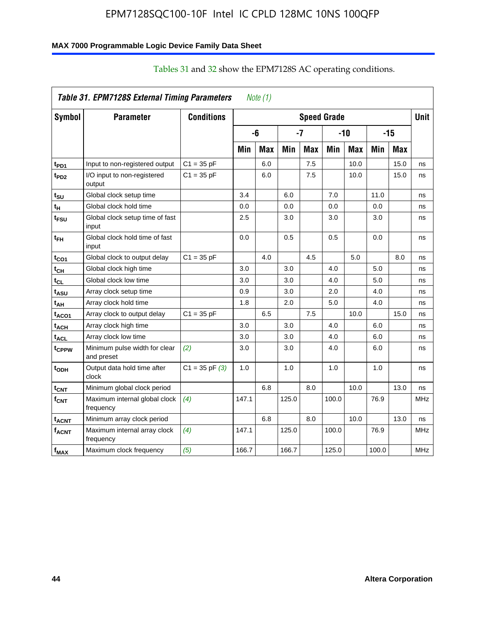## **MAX 7000 Programmable Logic Device Family Data Sheet**

|                         | Table 31. EPM7128S External Timing Parameters |                    |       | Note $(1)$ |       |            |                    |            |       |            |             |
|-------------------------|-----------------------------------------------|--------------------|-------|------------|-------|------------|--------------------|------------|-------|------------|-------------|
| Symbol                  | <b>Parameter</b>                              | <b>Conditions</b>  |       |            |       |            | <b>Speed Grade</b> |            |       |            | <b>Unit</b> |
|                         |                                               |                    |       | -6         |       | -7         |                    | $-10$      |       | $-15$      |             |
|                         |                                               |                    | Min   | <b>Max</b> | Min   | <b>Max</b> | Min                | <b>Max</b> | Min   | <b>Max</b> |             |
| t <sub>PD1</sub>        | Input to non-registered output                | $C1 = 35 pF$       |       | 6.0        |       | 7.5        |                    | 10.0       |       | 15.0       | ns          |
| t <sub>PD2</sub>        | I/O input to non-registered<br>output         | $C1 = 35 pF$       |       | 6.0        |       | 7.5        |                    | 10.0       |       | 15.0       | ns          |
| tsu                     | Global clock setup time                       |                    | 3.4   |            | 6.0   |            | 7.0                |            | 11.0  |            | ns          |
| t <sub>Η</sub>          | Global clock hold time                        |                    | 0.0   |            | 0.0   |            | 0.0                |            | 0.0   |            | ns          |
| t <sub>FSU</sub>        | Global clock setup time of fast<br>input      |                    | 2.5   |            | 3.0   |            | 3.0                |            | 3.0   |            | ns          |
| t <sub>FH</sub>         | Global clock hold time of fast<br>input       |                    | 0.0   |            | 0.5   |            | 0.5                |            | 0.0   |            | ns          |
| t <sub>CO1</sub>        | Global clock to output delay                  | $C1 = 35$ pF       |       | 4.0        |       | 4.5        |                    | 5.0        |       | 8.0        | ns          |
| $t_{\mathsf{CH}}$       | Global clock high time                        |                    | 3.0   |            | 3.0   |            | 4.0                |            | 5.0   |            | ns          |
| t <sub>CL</sub>         | Global clock low time                         |                    | 3.0   |            | 3.0   |            | 4.0                |            | 5.0   |            | ns          |
| t <sub>ASU</sub>        | Array clock setup time                        |                    | 0.9   |            | 3.0   |            | 2.0                |            | 4.0   |            | ns          |
| t <sub>АН</sub>         | Array clock hold time                         |                    | 1.8   |            | 2.0   |            | 5.0                |            | 4.0   |            | ns          |
| t <sub>ACO1</sub>       | Array clock to output delay                   | $C1 = 35 pF$       |       | 6.5        |       | 7.5        |                    | 10.0       |       | 15.0       | ns          |
| t <sub>АСН</sub>        | Array clock high time                         |                    | 3.0   |            | 3.0   |            | 4.0                |            | 6.0   |            | ns          |
| <sup>t</sup> ACL        | Array clock low time                          |                    | 3.0   |            | 3.0   |            | 4.0                |            | 6.0   |            | ns          |
| tcppw                   | Minimum pulse width for clear<br>and preset   | (2)                | 3.0   |            | 3.0   |            | 4.0                |            | 6.0   |            | ns          |
| $t_{ODH}$               | Output data hold time after<br>clock          | $C1 = 35$ pF $(3)$ | 1.0   |            | 1.0   |            | 1.0                |            | 1.0   |            | ns          |
| $t_{\mathsf{CNT}}$      | Minimum global clock period                   |                    |       | 6.8        |       | 8.0        |                    | 10.0       |       | 13.0       | ns          |
| $f_{\text{CNT}}$        | Maximum internal global clock<br>frequency    | (4)                | 147.1 |            | 125.0 |            | 100.0              |            | 76.9  |            | <b>MHz</b>  |
| t <sub>ACNT</sub>       | Minimum array clock period                    |                    |       | 6.8        |       | 8.0        |                    | 10.0       |       | 13.0       | ns          |
| <b>f<sub>ACNT</sub></b> | Maximum internal array clock<br>frequency     | (4)                | 147.1 |            | 125.0 |            | 100.0              |            | 76.9  |            | <b>MHz</b>  |
| $f_{MAX}$               | Maximum clock frequency                       | (5)                | 166.7 |            | 166.7 |            | 125.0              |            | 100.0 |            | <b>MHz</b>  |

# Tables 31 and 32 show the EPM7128S AC operating conditions.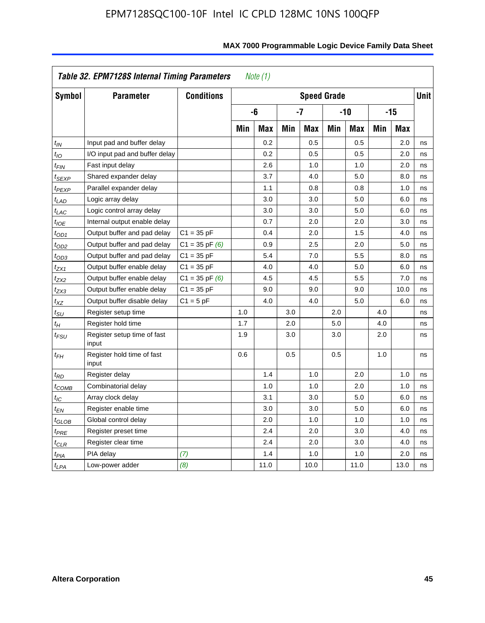|                            | Table 32. EPM7128S Internal Timing Parameters |                    |     | Note $(1)$ |     |                    |     |            |     |            |             |
|----------------------------|-----------------------------------------------|--------------------|-----|------------|-----|--------------------|-----|------------|-----|------------|-------------|
| <b>Symbol</b>              | <b>Parameter</b>                              | <b>Conditions</b>  |     |            |     | <b>Speed Grade</b> |     |            |     |            | <b>Unit</b> |
|                            |                                               |                    |     | -6         |     | $-7$               |     | $-10$      |     | $-15$      |             |
|                            |                                               |                    | Min | <b>Max</b> | Min | Max                | Min | <b>Max</b> | Min | <b>Max</b> |             |
| $t_{IN}$                   | Input pad and buffer delay                    |                    |     | 0.2        |     | 0.5                |     | 0.5        |     | 2.0        | ns          |
| $t_{IO}$                   | I/O input pad and buffer delay                |                    |     | 0.2        |     | 0.5                |     | 0.5        |     | 2.0        | ns          |
| $t_{\text{FIN}}$           | Fast input delay                              |                    |     | 2.6        |     | 1.0                |     | 1.0        |     | 2.0        | ns          |
| t <sub>SEXP</sub>          | Shared expander delay                         |                    |     | 3.7        |     | 4.0                |     | 5.0        |     | 8.0        | ns          |
| t <sub>PEXP</sub>          | Parallel expander delay                       |                    |     | 1.1        |     | 0.8                |     | 0.8        |     | 1.0        | ns          |
| $t_{LAD}$                  | Logic array delay                             |                    |     | 3.0        |     | 3.0                |     | 5.0        |     | 6.0        | ns          |
| $t_{LAC}$                  | Logic control array delay                     |                    |     | 3.0        |     | 3.0                |     | 5.0        |     | 6.0        | ns          |
| $t_{IOE}$                  | Internal output enable delay                  |                    |     | 0.7        |     | 2.0                |     | 2.0        |     | 3.0        | ns          |
| $t_{OD1}$                  | Output buffer and pad delay                   | $C1 = 35 pF$       |     | 0.4        |     | 2.0                |     | 1.5        |     | 4.0        | ns          |
| $t_{OD2}$                  | Output buffer and pad delay                   | $C1 = 35$ pF $(6)$ |     | 0.9        |     | 2.5                |     | 2.0        |     | 5.0        | ns          |
| $t_{OD3}$                  | Output buffer and pad delay                   | $C1 = 35 pF$       |     | 5.4        |     | 7.0                |     | 5.5        |     | 8.0        | ns          |
| $t_{ZX1}$                  | Output buffer enable delay                    | $C1 = 35 pF$       |     | 4.0        |     | 4.0                |     | 5.0        |     | 6.0        | ns          |
| $t_{ZX2}$                  | Output buffer enable delay                    | $C1 = 35$ pF $(6)$ |     | 4.5        |     | 4.5                |     | 5.5        |     | 7.0        | ns          |
| tzx3                       | Output buffer enable delay                    | $C1 = 35 pF$       |     | 9.0        |     | 9.0                |     | 9.0        |     | 10.0       | ns          |
| $t_{XZ}$                   | Output buffer disable delay                   | $C1 = 5pF$         |     | 4.0        |     | 4.0                |     | 5.0        |     | 6.0        | ns          |
| $t_{\text{SU}}$            | Register setup time                           |                    | 1.0 |            | 3.0 |                    | 2.0 |            | 4.0 |            | ns          |
| $t_H$                      | Register hold time                            |                    | 1.7 |            | 2.0 |                    | 5.0 |            | 4.0 |            | ns          |
| $t_{\mathit{FSU}}$         | Register setup time of fast<br>input          |                    | 1.9 |            | 3.0 |                    | 3.0 |            | 2.0 |            | ns          |
| $t_{FH}$                   | Register hold time of fast<br>input           |                    | 0.6 |            | 0.5 |                    | 0.5 |            | 1.0 |            | ns          |
| $t_{RD}$                   | Register delay                                |                    |     | 1.4        |     | 1.0                |     | 2.0        |     | 1.0        | ns          |
| $t_{\mathsf{COMB}}$        | Combinatorial delay                           |                    |     | 1.0        |     | 1.0                |     | 2.0        |     | 1.0        | ns          |
| t <sub>IC</sub>            | Array clock delay                             |                    |     | 3.1        |     | 3.0                |     | 5.0        |     | 6.0        | ns          |
| $t_{EN}$                   | Register enable time                          |                    |     | 3.0        |     | 3.0                |     | 5.0        |     | 6.0        | ns          |
| $t_{\scriptstyle\rm GLOB}$ | Global control delay                          |                    |     | 2.0        |     | 1.0                |     | 1.0        |     | 1.0        | ns          |
| $t_{PRE}$                  | Register preset time                          |                    |     | 2.4        |     | 2.0                |     | 3.0        |     | 4.0        | ns          |
| $t_{CLR}$                  | Register clear time                           |                    |     | 2.4        |     | 2.0                |     | 3.0        |     | 4.0        | ns          |
| t <sub>PIA</sub>           | PIA delay                                     | (7)                |     | 1.4        |     | 1.0                |     | 1.0        |     | 2.0        | ns          |
| t <sub>LPA</sub>           | Low-power adder                               | (8)                |     | 11.0       |     | 10.0               |     | 11.0       |     | 13.0       | ns          |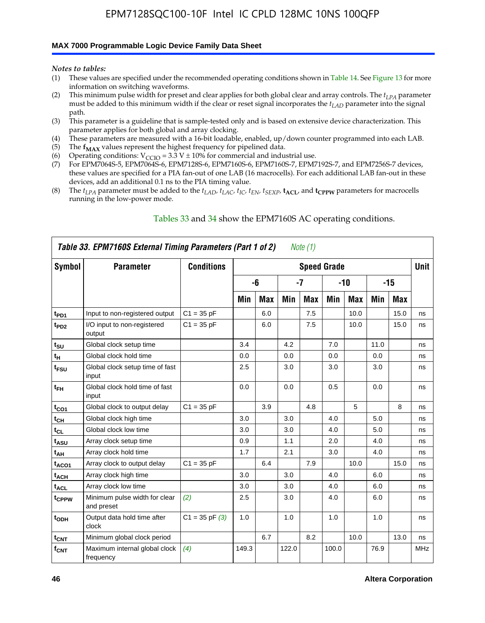#### **MAX 7000 Programmable Logic Device Family Data Sheet**

*Notes to tables:*

- (1) These values are specified under the recommended operating conditions shown in Table 14. See Figure 13 for more information on switching waveforms.
- (2) This minimum pulse width for preset and clear applies for both global clear and array controls. The  $t_{LPA}$  parameter must be added to this minimum width if the clear or reset signal incorporates the *tLAD* parameter into the signal path.
- (3) This parameter is a guideline that is sample-tested only and is based on extensive device characterization. This parameter applies for both global and array clocking.
- (4) These parameters are measured with a 16-bit loadable, enabled, up/down counter programmed into each LAB.
- (5) The  $f_{MAX}$  values represent the highest frequency for pipelined data.
- (6) Operating conditions:  $V_{\text{CCIO}} = 3.3 \text{ V} \pm 10\%$  for commercial and industrial use.
- (7) For EPM7064S-5, EPM7064S-6, EPM7128S-6, EPM7160S-6, EPM7160S-7, EPM7192S-7, and EPM7256S-7 devices, these values are specified for a PIA fan-out of one LAB (16 macrocells). For each additional LAB fan-out in these devices, add an additional 0.1 ns to the PIA timing value.
- (8) The  $t_{LPA}$  parameter must be added to the  $t_{LAD}$ ,  $t_{LAC}$ ,  $t_{IC}$ ,  $t_{EN}$ ,  $t_{SEXP}$ ,  $t_{ACL}$ , and  $t_{CPPW}$  parameters for macrocells running in the low-power mode.

|                  | Table 33. EPM7160S External Timing Parameters (Part 1 of 2) |                    |       |            |       | Note (1)   |                    |            |      |      |            |
|------------------|-------------------------------------------------------------|--------------------|-------|------------|-------|------------|--------------------|------------|------|------|------------|
| Symbol           | <b>Parameter</b>                                            | <b>Conditions</b>  |       |            |       |            | <b>Speed Grade</b> |            |      |      | Unit       |
|                  |                                                             |                    |       | -6         |       | -7         |                    | -10        |      | -15  |            |
|                  |                                                             |                    | Min   | <b>Max</b> | Min   | <b>Max</b> | Min                | <b>Max</b> | Min  | Max  |            |
| t <sub>PD1</sub> | Input to non-registered output                              | $C1 = 35 pF$       |       | 6.0        |       | 7.5        |                    | 10.0       |      | 15.0 | ns         |
| t <sub>PD2</sub> | I/O input to non-registered<br>output                       | $C1 = 35 pF$       |       | 6.0        |       | 7.5        |                    | 10.0       |      | 15.0 | ns         |
| $t_{\text{SU}}$  | Global clock setup time                                     |                    | 3.4   |            | 4.2   |            | 7.0                |            | 11.0 |      | ns         |
| $t_H$            | Global clock hold time                                      |                    | 0.0   |            | 0.0   |            | 0.0                |            | 0.0  |      | ns         |
| t <sub>FSU</sub> | Global clock setup time of fast<br>input                    |                    | 2.5   |            | 3.0   |            | 3.0                |            | 3.0  |      | ns         |
| $t_{FH}$         | Global clock hold time of fast<br>input                     |                    | 0.0   |            | 0.0   |            | 0.5                |            | 0.0  |      | ns         |
| $t_{CO1}$        | Global clock to output delay                                | $C1 = 35 pF$       |       | 3.9        |       | 4.8        |                    | 5          |      | 8    | ns         |
| $t_{CH}$         | Global clock high time                                      |                    | 3.0   |            | 3.0   |            | 4.0                |            | 5.0  |      | ns         |
| $t_{CL}$         | Global clock low time                                       |                    | 3.0   |            | 3.0   |            | 4.0                |            | 5.0  |      | ns         |
| t <sub>ASU</sub> | Array clock setup time                                      |                    | 0.9   |            | 1.1   |            | 2.0                |            | 4.0  |      | ns         |
| t <sub>АН</sub>  | Array clock hold time                                       |                    | 1.7   |            | 2.1   |            | 3.0                |            | 4.0  |      | ns         |
| $t_{ACO1}$       | Array clock to output delay                                 | $C1 = 35 pF$       |       | 6.4        |       | 7.9        |                    | 10.0       |      | 15.0 | ns         |
| $t_{ACH}$        | Array clock high time                                       |                    | 3.0   |            | 3.0   |            | 4.0                |            | 6.0  |      | ns         |
| $t_{\sf ACL}$    | Array clock low time                                        |                    | 3.0   |            | 3.0   |            | 4.0                |            | 6.0  |      | ns         |
| tcppw            | Minimum pulse width for clear<br>and preset                 | (2)                | 2.5   |            | 3.0   |            | 4.0                |            | 6.0  |      | ns         |
| t <sub>ODH</sub> | Output data hold time after<br>clock                        | $C1 = 35$ pF $(3)$ | 1.0   |            | 1.0   |            | 1.0                |            | 1.0  |      | ns         |
| $t_{\text{CNT}}$ | Minimum global clock period                                 |                    |       | 6.7        |       | 8.2        |                    | 10.0       |      | 13.0 | ns         |
| $f_{\text{CNT}}$ | Maximum internal global clock<br>frequency                  | (4)                | 149.3 |            | 122.0 |            | 100.0              |            | 76.9 |      | <b>MHz</b> |

#### Tables 33 and 34 show the EPM7160S AC operating conditions.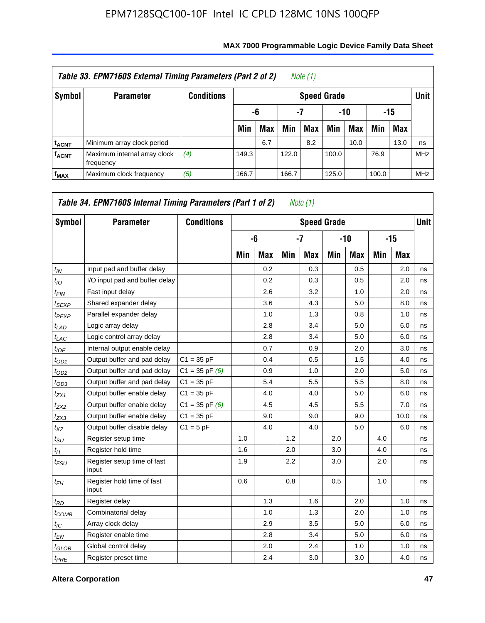|                         | Table 33. EPM7160S External Timing Parameters (Part 2 of 2) |                   |       |            |       | Note (1)           |       |      |       |            |             |
|-------------------------|-------------------------------------------------------------|-------------------|-------|------------|-------|--------------------|-------|------|-------|------------|-------------|
| Symbol                  | <b>Parameter</b>                                            | <b>Conditions</b> |       |            |       | <b>Speed Grade</b> |       |      |       |            | <b>Unit</b> |
|                         |                                                             |                   |       | -6         | -7    |                    | -10   |      |       | -15        |             |
|                         |                                                             |                   | Min   | <b>Max</b> | Min   | <b>Max</b>         | Min   | Max  | Min   | <b>Max</b> |             |
| <sup>t</sup> acnt       | Minimum array clock period                                  |                   |       | 6.7        |       | 8.2                |       | 10.0 |       | 13.0       | ns          |
| <b>f<sub>ACNT</sub></b> | Maximum internal array clock<br>frequency                   | (4)               | 149.3 |            | 122.0 |                    | 100.0 |      | 76.9  |            | <b>MHz</b>  |
| $f_{MAX}$               | Maximum clock frequency                                     | (5)               | 166.7 |            | 166.7 |                    | 125.0 |      | 100.0 |            | <b>MHz</b>  |

| Symbol          | <b>Parameter</b>                     | <b>Conditions</b>  |     |     |     | <b>Speed Grade</b> |     |            |     |            | <b>Unit</b> |
|-----------------|--------------------------------------|--------------------|-----|-----|-----|--------------------|-----|------------|-----|------------|-------------|
|                 |                                      |                    |     | -6  |     | -7                 |     | $-10$      |     | $-15$      |             |
|                 |                                      |                    | Min | Max | Min | <b>Max</b>         | Min | <b>Max</b> | Min | <b>Max</b> |             |
| $t_{IN}$        | Input pad and buffer delay           |                    |     | 0.2 |     | 0.3                |     | 0.5        |     | 2.0        | ns          |
| $t_{IO}$        | I/O input pad and buffer delay       |                    |     | 0.2 |     | 0.3                |     | 0.5        |     | 2.0        | ns          |
| $t_{FIN}$       | Fast input delay                     |                    |     | 2.6 |     | 3.2                |     | 1.0        |     | 2.0        | ns          |
| $t_{SEXP}$      | Shared expander delay                |                    |     | 3.6 |     | 4.3                |     | 5.0        |     | 8.0        | ns          |
| $t_{PEXP}$      | Parallel expander delay              |                    |     | 1.0 |     | 1.3                |     | 0.8        |     | 1.0        | ns          |
| $t_{LAD}$       | Logic array delay                    |                    |     | 2.8 |     | 3.4                |     | 5.0        |     | 6.0        | ns          |
| $t_{LAC}$       | Logic control array delay            |                    |     | 2.8 |     | 3.4                |     | 5.0        |     | 6.0        | ns          |
| $t_{IOE}$       | Internal output enable delay         |                    |     | 0.7 |     | 0.9                |     | 2.0        |     | 3.0        | ns          |
| $t_{OD1}$       | Output buffer and pad delay          | $C1 = 35 pF$       |     | 0.4 |     | 0.5                |     | 1.5        |     | 4.0        | ns          |
| $t_{OD2}$       | Output buffer and pad delay          | $C1 = 35$ pF $(6)$ |     | 0.9 |     | 1.0                |     | 2.0        |     | 5.0        | ns          |
| $t_{OD3}$       | Output buffer and pad delay          | $C1 = 35 pF$       |     | 5.4 |     | 5.5                |     | 5.5        |     | 8.0        | ns          |
| $t_{ZX1}$       | Output buffer enable delay           | $C1 = 35 pF$       |     | 4.0 |     | 4.0                |     | 5.0        |     | 6.0        | ns          |
| $t_{ZX2}$       | Output buffer enable delay           | $C1 = 35$ pF $(6)$ |     | 4.5 |     | 4.5                |     | 5.5        |     | 7.0        | ns          |
| $t_{ZX3}$       | Output buffer enable delay           | $C1 = 35 pF$       |     | 9.0 |     | 9.0                |     | 9.0        |     | 10.0       | ns          |
| $t_{XZ}$        | Output buffer disable delay          | $C1 = 5$ pF        |     | 4.0 |     | 4.0                |     | 5.0        |     | 6.0        | ns          |
| $t_{\rm SU}$    | Register setup time                  |                    | 1.0 |     | 1.2 |                    | 2.0 |            | 4.0 |            | ns          |
| $t_H$           | Register hold time                   |                    | 1.6 |     | 2.0 |                    | 3.0 |            | 4.0 |            | ns          |
| $t_{FSU}$       | Register setup time of fast<br>input |                    | 1.9 |     | 2.2 |                    | 3.0 |            | 2.0 |            | ns          |
| $t_{FH}$        | Register hold time of fast<br>input  |                    | 0.6 |     | 0.8 |                    | 0.5 |            | 1.0 |            | ns          |
| $t_{RD}$        | Register delay                       |                    |     | 1.3 |     | 1.6                |     | 2.0        |     | 1.0        | ns          |
| $t_{COMB}$      | Combinatorial delay                  |                    |     | 1.0 |     | 1.3                |     | 2.0        |     | 1.0        | ns          |
| $t_{\text{IC}}$ | Array clock delay                    |                    |     | 2.9 |     | 3.5                |     | 5.0        |     | 6.0        | ns          |
| $t_{EN}$        | Register enable time                 |                    |     | 2.8 |     | 3.4                |     | 5.0        |     | 6.0        | ns          |
| $t_{GLOB}$      | Global control delay                 |                    |     | 2.0 |     | 2.4                |     | 1.0        |     | 1.0        | ns          |
| $t_{PRE}$       | Register preset time                 |                    |     | 2.4 |     | 3.0                |     | 3.0        |     | 4.0        | ns          |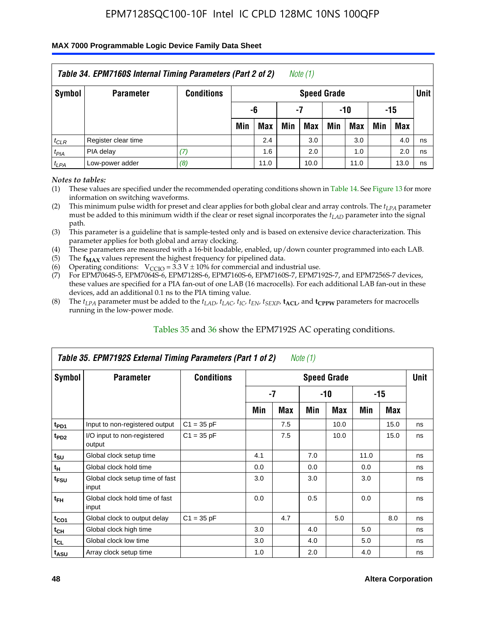#### **MAX 7000 Programmable Logic Device Family Data Sheet**

|           | Table 34. EPM7160S Internal Timing Parameters (Part 2 of 2) |                   |     |            |     | Note (1)           |     |            |     |            |             |
|-----------|-------------------------------------------------------------|-------------------|-----|------------|-----|--------------------|-----|------------|-----|------------|-------------|
| Symbol    | <b>Parameter</b>                                            | <b>Conditions</b> |     |            |     | <b>Speed Grade</b> |     |            |     |            | <b>Unit</b> |
|           |                                                             |                   |     | -6         |     | -7                 |     | $-10$      |     | -15        |             |
|           |                                                             |                   | Min | <b>Max</b> | Min | Max                | Min | <b>Max</b> | Min | <b>Max</b> |             |
| $t_{CLR}$ | Register clear time                                         |                   |     | 2.4        |     | 3.0                |     | 3.0        |     | 4.0        | ns          |
| $t_{PIA}$ | PIA delay                                                   | (7)               |     | 1.6        |     | 2.0                |     | 1.0        |     | 2.0        | ns          |
| $t_{LPA}$ | Low-power adder                                             | (8)               |     | 11.0       |     | 10.0               |     | 11.0       |     | 13.0       | ns          |

*Notes to tables:*

- (1) These values are specified under the recommended operating conditions shown in Table 14. See Figure 13 for more information on switching waveforms.
- (2) This minimum pulse width for preset and clear applies for both global clear and array controls. The  $t_{LPA}$  parameter must be added to this minimum width if the clear or reset signal incorporates the *t<sub>LAD</sub>* parameter into the signal path.
- (3) This parameter is a guideline that is sample-tested only and is based on extensive device characterization. This parameter applies for both global and array clocking.
- (4) These parameters are measured with a 16-bit loadable, enabled, up/down counter programmed into each LAB.
- (5) The  $f_{MAX}$  values represent the highest frequency for pipelined data.
- (6) Operating conditions:  $V_{\text{CCIO}} = 3.3 V \pm 10\%$  for commercial and industrial use.
- (7) For EPM7064S-5, EPM7064S-6, EPM7128S-6, EPM7160S-6, EPM7160S-7, EPM7192S-7, and EPM7256S-7 devices, these values are specified for a PIA fan-out of one LAB (16 macrocells). For each additional LAB fan-out in these devices, add an additional 0.1 ns to the PIA timing value.
- (8) The  $t_{LPA}$  parameter must be added to the  $t_{LAP}$ ,  $t_{LAC}$ ,  $t_{IC}$ ,  $t_{EN}$ ,  $t_{SEXP}$ ,  $t_{ACL}$ , and  $t_{CPPW}$  parameters for macrocells running in the low-power mode.

|                             | Table 35. EPM7192S External Timing Parameters (Part 1 of 2) |                   |     |     | Note $(1)$ |                    |      |       |             |
|-----------------------------|-------------------------------------------------------------|-------------------|-----|-----|------------|--------------------|------|-------|-------------|
| Symbol                      | <b>Parameter</b>                                            | <b>Conditions</b> |     |     |            | <b>Speed Grade</b> |      |       | <b>Unit</b> |
|                             |                                                             |                   |     | -7  |            | -10                |      | $-15$ |             |
|                             |                                                             |                   | Min | Max | Min        | Max                | Min  | Max   |             |
| t <sub>PD1</sub>            | Input to non-registered output                              | $C1 = 35 pF$      |     | 7.5 |            | 10.0               |      | 15.0  | ns          |
| $t_{PD2}$                   | I/O input to non-registered<br>output                       | $C1 = 35 pF$      |     | 7.5 |            | 10.0               |      | 15.0  | ns          |
| $t_{\scriptstyle\text{SU}}$ | Global clock setup time                                     |                   | 4.1 |     | 7.0        |                    | 11.0 |       | ns          |
| $t_H$                       | Global clock hold time                                      |                   | 0.0 |     | 0.0        |                    | 0.0  |       | ns          |
| t <sub>FSU</sub>            | Global clock setup time of fast<br>input                    |                   | 3.0 |     | 3.0        |                    | 3.0  |       | ns          |
| $t_{FH}$                    | Global clock hold time of fast<br>input                     |                   | 0.0 |     | 0.5        |                    | 0.0  |       | ns          |
| $t_{CO1}$                   | Global clock to output delay                                | $C1 = 35 pF$      |     | 4.7 |            | 5.0                |      | 8.0   | ns          |
| $t_{CH}$                    | Global clock high time                                      |                   | 3.0 |     | 4.0        |                    | 5.0  |       | ns          |
| $t_{CL}$                    | Global clock low time                                       |                   | 3.0 |     | 4.0        |                    | 5.0  |       | ns          |
| t <sub>ASU</sub>            | Array clock setup time                                      |                   | 1.0 |     | 2.0        |                    | 4.0  |       | ns          |

#### Tables 35 and 36 show the EPM7192S AC operating conditions.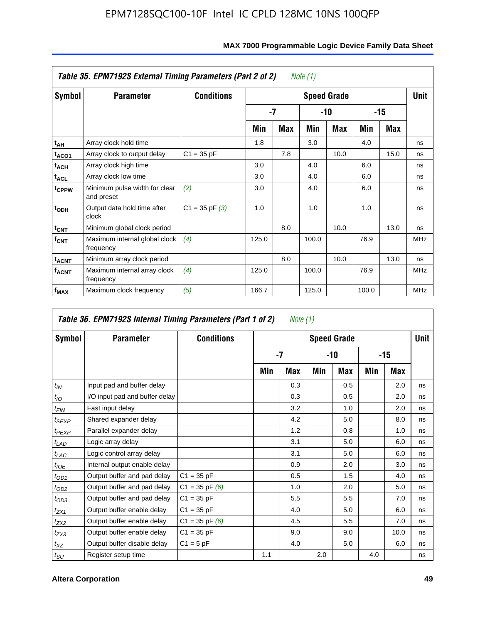|                         | Table 35. EPM7192S External Timing Parameters (Part 2 of 2) |                   |       |      | Note (1) |                    |       |      |             |
|-------------------------|-------------------------------------------------------------|-------------------|-------|------|----------|--------------------|-------|------|-------------|
| Symbol                  | <b>Parameter</b>                                            | <b>Conditions</b> |       |      |          | <b>Speed Grade</b> |       |      | <b>Unit</b> |
|                         |                                                             |                   |       | $-7$ |          | -10                |       | -15  |             |
|                         |                                                             |                   | Min   | Max  | Min      | Max                | Min   | Max  |             |
| t <sub>АН</sub>         | Array clock hold time                                       |                   | 1.8   |      | 3.0      |                    | 4.0   |      | ns          |
| t <sub>ACO1</sub>       | Array clock to output delay                                 | $C1 = 35 pF$      |       | 7.8  |          | 10.0               |       | 15.0 | ns          |
| $t_{\sf ACH}$           | Array clock high time                                       |                   | 3.0   |      | 4.0      |                    | 6.0   |      | ns          |
| $t_{\sf ACL}$           | Array clock low time                                        |                   | 3.0   |      | 4.0      |                    | 6.0   |      | ns          |
| t <sub>CPPW</sub>       | Minimum pulse width for clear<br>and preset                 | (2)               | 3.0   |      | 4.0      |                    | 6.0   |      | ns          |
| $t_{ODH}$               | Output data hold time after<br>clock                        | $C1 = 35 pF(3)$   | 1.0   |      | 1.0      |                    | 1.0   |      | ns          |
| $t_{\text{CNT}}$        | Minimum global clock period                                 |                   |       | 8.0  |          | 10.0               |       | 13.0 | ns          |
| $f_{CNT}$               | Maximum internal global clock<br>frequency                  | (4)               | 125.0 |      | 100.0    |                    | 76.9  |      | <b>MHz</b>  |
| $t_{ACNT}$              | Minimum array clock period                                  |                   |       | 8.0  |          | 10.0               |       | 13.0 | ns          |
| <b>f<sub>ACNT</sub></b> | Maximum internal array clock<br>frequency                   | (4)               | 125.0 |      | 100.0    |                    | 76.9  |      | <b>MHz</b>  |
| f <sub>MAX</sub>        | Maximum clock frequency                                     | (5)               | 166.7 |      | 125.0    |                    | 100.0 |      | <b>MHz</b>  |

|                   | Table 36. EPM7192S Internal Timing Parameters (Part 1 of 2) |                    |     | Note (1) |     |                    |     |       |      |
|-------------------|-------------------------------------------------------------|--------------------|-----|----------|-----|--------------------|-----|-------|------|
| Symbol            | <b>Parameter</b>                                            | <b>Conditions</b>  |     |          |     | <b>Speed Grade</b> |     |       | Unit |
|                   |                                                             |                    |     | $-7$     |     | -10                |     | $-15$ |      |
|                   |                                                             |                    | Min | Max      | Min | Max                | Min | Max   |      |
| $t_{IN}$          | Input pad and buffer delay                                  |                    |     | 0.3      |     | 0.5                |     | 2.0   | ns   |
| $t_{IO}$          | I/O input pad and buffer delay                              |                    |     | 0.3      |     | 0.5                |     | 2.0   | ns   |
| $t_{\sf FIN}$     | Fast input delay                                            |                    |     | 3.2      |     | 1.0                |     | 2.0   | ns   |
| t <sub>SEXP</sub> | Shared expander delay                                       |                    |     | 4.2      |     | 5.0                |     | 8.0   | ns   |
| $t_{PEXP}$        | Parallel expander delay                                     |                    |     | 1.2      |     | 0.8                |     | 1.0   | ns   |
| $t_{LAD}$         | Logic array delay                                           |                    |     | 3.1      |     | 5.0                |     | 6.0   | ns   |
| $t_{LAC}$         | Logic control array delay                                   |                    |     | 3.1      |     | 5.0                |     | 6.0   | ns   |
| $t_{IOE}$         | Internal output enable delay                                |                    |     | 0.9      |     | 2.0                |     | 3.0   | ns   |
| $t_{OD1}$         | Output buffer and pad delay                                 | $C1 = 35 pF$       |     | 0.5      |     | 1.5                |     | 4.0   | ns   |
| $t_{OD2}$         | Output buffer and pad delay                                 | $C1 = 35$ pF $(6)$ |     | 1.0      |     | 2.0                |     | 5.0   | ns   |
| $t_{OD3}$         | Output buffer and pad delay                                 | $C1 = 35 pF$       |     | 5.5      |     | 5.5                |     | 7.0   | ns   |
| $t_{ZX1}$         | Output buffer enable delay                                  | $C1 = 35 pF$       |     | 4.0      |     | 5.0                |     | 6.0   | ns   |
| t <sub>ZX2</sub>  | Output buffer enable delay                                  | $C1 = 35$ pF $(6)$ |     | 4.5      |     | 5.5                |     | 7.0   | ns   |
| $t_{ZX3}$         | Output buffer enable delay                                  | $C1 = 35 pF$       |     | 9.0      |     | 9.0                |     | 10.0  | ns   |
| $t_{XZ}$          | Output buffer disable delay                                 | $C1 = 5pF$         |     | 4.0      |     | 5.0                |     | 6.0   | ns   |
| $t_{\text{SU}}$   | Register setup time                                         |                    | 1.1 |          | 2.0 |                    | 4.0 |       | ns   |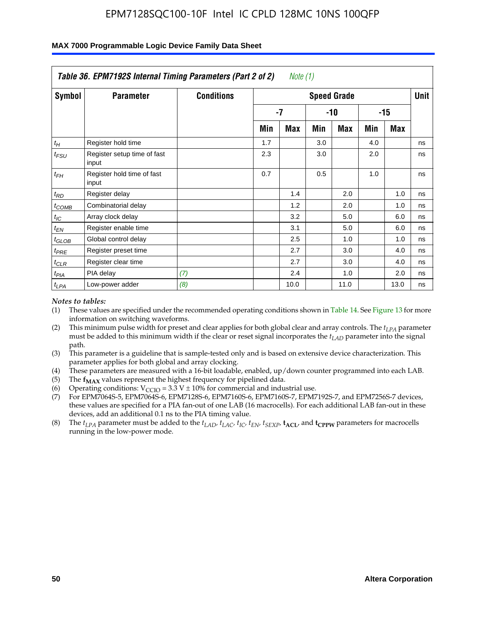|                    | Table 36. EPM7192S Internal Timing Parameters (Part 2 of 2) |                   |     | Note (1) |     |                    |     |       |      |
|--------------------|-------------------------------------------------------------|-------------------|-----|----------|-----|--------------------|-----|-------|------|
| Symbol             | <b>Parameter</b>                                            | <b>Conditions</b> |     |          |     | <b>Speed Grade</b> |     |       | Unit |
|                    |                                                             |                   |     | -7       |     | -10                |     | $-15$ |      |
|                    |                                                             |                   | Min | Max      | Min | Max                | Min | Max   |      |
| $t_H$              | Register hold time                                          |                   | 1.7 |          | 3.0 |                    | 4.0 |       | ns   |
| $t_{\mathit{FSU}}$ | Register setup time of fast<br>input                        |                   | 2.3 |          | 3.0 |                    | 2.0 |       | ns   |
| $t_{FH}$           | Register hold time of fast<br>input                         |                   | 0.7 |          | 0.5 |                    | 1.0 |       | ns   |
| $t_{RD}$           | Register delay                                              |                   |     | 1.4      |     | 2.0                |     | 1.0   | ns   |
| $t_{COMB}$         | Combinatorial delay                                         |                   |     | 1.2      |     | 2.0                |     | 1.0   | ns   |
| $t_{IC}$           | Array clock delay                                           |                   |     | 3.2      |     | 5.0                |     | 6.0   | ns   |
| $t_{EN}$           | Register enable time                                        |                   |     | 3.1      |     | 5.0                |     | 6.0   | ns   |
| $t_{GLOB}$         | Global control delay                                        |                   |     | 2.5      |     | 1.0                |     | 1.0   | ns   |
| $t_{PRE}$          | Register preset time                                        |                   |     | 2.7      |     | 3.0                |     | 4.0   | ns   |
| $t_{CLR}$          | Register clear time                                         |                   |     | 2.7      |     | 3.0                |     | 4.0   | ns   |
| t <sub>PIA</sub>   | PIA delay                                                   | (7)               |     | 2.4      |     | 1.0                |     | 2.0   | ns   |
| $t_{LPA}$          | Low-power adder                                             | (8)               |     | 10.0     |     | 11.0               |     | 13.0  | ns   |

#### **MAX 7000 Programmable Logic Device Family Data Sheet**

#### *Notes to tables:*

- (1) These values are specified under the recommended operating conditions shown in Table 14. See Figure 13 for more information on switching waveforms.
- (2) This minimum pulse width for preset and clear applies for both global clear and array controls. The *tLPA* parameter must be added to this minimum width if the clear or reset signal incorporates the *t<sub>LAD</sub>* parameter into the signal path.
- (3) This parameter is a guideline that is sample-tested only and is based on extensive device characterization. This parameter applies for both global and array clocking.
- (4) These parameters are measured with a 16-bit loadable, enabled, up/down counter programmed into each LAB.
- (5) The  $f_{MAX}$  values represent the highest frequency for pipelined data.
- (6) Operating conditions:  $V_{\text{CCIO}} = 3.3 \text{ V} \pm 10\%$  for commercial and industrial use.
- (7) For EPM7064S-5, EPM7064S-6, EPM7128S-6, EPM7160S-6, EPM7160S-7, EPM7192S-7, and EPM7256S-7 devices, these values are specified for a PIA fan-out of one LAB (16 macrocells). For each additional LAB fan-out in these devices, add an additional 0.1 ns to the PIA timing value.
- (8) The  $t_{LPA}$  parameter must be added to the  $t_{LAD}$ ,  $t_{LAC}$ ,  $t_{IC}$ ,  $t_{EN}$ ,  $t_{SIX}$ ,  $t_{ACL}$ , and  $t_{CPW}$  parameters for macrocells running in the low-power mode.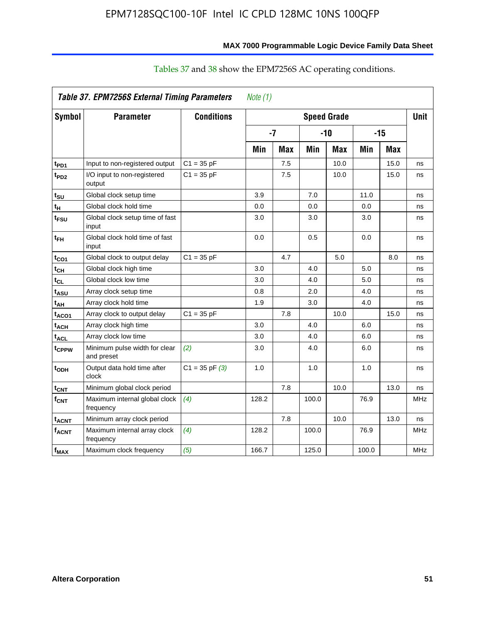| Symbol                  | <b>Parameter</b>                            | <b>Conditions</b>  |       |            | <b>Speed Grade</b> |       |       |            | <b>Unit</b> |
|-------------------------|---------------------------------------------|--------------------|-------|------------|--------------------|-------|-------|------------|-------------|
|                         |                                             |                    |       | $-7$       |                    | $-10$ |       | $-15$      |             |
|                         |                                             |                    | Min   | <b>Max</b> | Min                | Max   | Min   | <b>Max</b> |             |
| t <sub>PD1</sub>        | Input to non-registered output              | $C1 = 35 pF$       |       | 7.5        |                    | 10.0  |       | 15.0       | ns          |
| $t_{PD2}$               | I/O input to non-registered<br>output       | $C1 = 35 pF$       |       | 7.5        |                    | 10.0  |       | 15.0       | ns          |
| t <sub>su</sub>         | Global clock setup time                     |                    | 3.9   |            | 7.0                |       | 11.0  |            | ns          |
| tμ                      | Global clock hold time                      |                    | 0.0   |            | 0.0                |       | 0.0   |            | ns          |
| t <sub>FSU</sub>        | Global clock setup time of fast<br>input    |                    | 3.0   |            | 3.0                |       | 3.0   |            | ns          |
| $t_{FH}$                | Global clock hold time of fast<br>input     |                    | 0.0   |            | 0.5                |       | 0.0   |            | ns          |
| $t_{CO1}$               | Global clock to output delay                | $C1 = 35 pF$       |       | 4.7        |                    | 5.0   |       | 8.0        | ns          |
| $t_{CH}$                | Global clock high time                      |                    | 3.0   |            | 4.0                |       | 5.0   |            | ns          |
| $t_{CL}$                | Global clock low time                       |                    | 3.0   |            | 4.0                |       | 5.0   |            | ns          |
| t <sub>ASU</sub>        | Array clock setup time                      |                    | 0.8   |            | 2.0                |       | 4.0   |            | ns          |
| t <sub>AH</sub>         | Array clock hold time                       |                    | 1.9   |            | 3.0                |       | 4.0   |            | ns          |
| $t_{ACQ1}$              | Array clock to output delay                 | $C1 = 35 pF$       |       | 7.8        |                    | 10.0  |       | 15.0       | ns          |
| t <sub>ACH</sub>        | Array clock high time                       |                    | 3.0   |            | 4.0                |       | 6.0   |            | ns          |
| $t_{\text{ACL}}$        | Array clock low time                        |                    | 3.0   |            | 4.0                |       | 6.0   |            | ns          |
| t <sub>CPPW</sub>       | Minimum pulse width for clear<br>and preset | (2)                | 3.0   |            | 4.0                |       | 6.0   |            | ns          |
| t <sub>ODH</sub>        | Output data hold time after<br>clock        | $C1 = 35$ pF $(3)$ | 1.0   |            | 1.0                |       | 1.0   |            | ns          |
| $t_{CNT}$               | Minimum global clock period                 |                    |       | 7.8        |                    | 10.0  |       | 13.0       | ns          |
| $f_{\mathsf{CNT}}$      | Maximum internal global clock<br>frequency  | (4)                | 128.2 |            | 100.0              |       | 76.9  |            | MHz         |
| <b>t<sub>ACNT</sub></b> | Minimum array clock period                  |                    |       | 7.8        |                    | 10.0  |       | 13.0       | ns          |
| $f_{ACNT}$              | Maximum internal array clock<br>frequency   | (4)                | 128.2 |            | 100.0              |       | 76.9  |            | <b>MHz</b>  |
| f <sub>MAX</sub>        | Maximum clock frequency                     | (5)                | 166.7 |            | 125.0              |       | 100.0 |            | MHz         |

# Tables 37 and 38 show the EPM7256S AC operating conditions.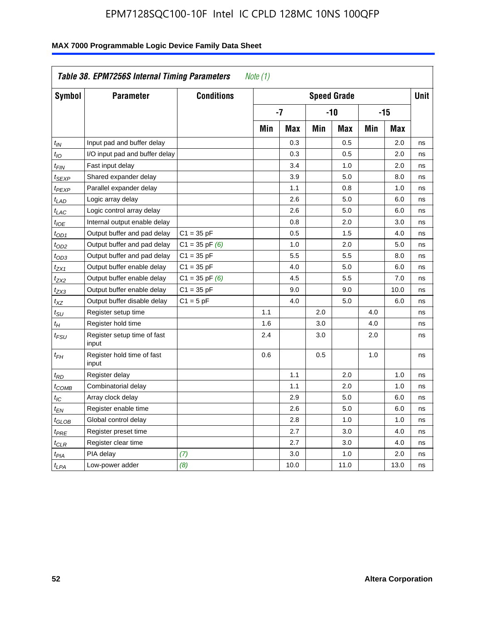| Table 38. EPM7256S Internal Timing Parameters<br>Note (1) |                                      |                    |                    |      |       |      |       |             |    |
|-----------------------------------------------------------|--------------------------------------|--------------------|--------------------|------|-------|------|-------|-------------|----|
| Symbol                                                    | <b>Parameter</b>                     | <b>Conditions</b>  | <b>Speed Grade</b> |      |       |      |       | <b>Unit</b> |    |
|                                                           |                                      |                    | $-7$               |      | $-10$ |      | $-15$ |             |    |
|                                                           |                                      |                    | Min                | Max  | Min   | Max  | Min   | Max         |    |
| $t_{IN}$                                                  | Input pad and buffer delay           |                    |                    | 0.3  |       | 0.5  |       | 2.0         | ns |
| $t_{IO}$                                                  | I/O input pad and buffer delay       |                    |                    | 0.3  |       | 0.5  |       | 2.0         | ns |
| $t_{\text{FIN}}$                                          | Fast input delay                     |                    |                    | 3.4  |       | 1.0  |       | 2.0         | ns |
| t <sub>SEXP</sub>                                         | Shared expander delay                |                    |                    | 3.9  |       | 5.0  |       | 8.0         | ns |
| t <sub>PEXP</sub>                                         | Parallel expander delay              |                    |                    | 1.1  |       | 0.8  |       | 1.0         | ns |
| $t_{LAD}$                                                 | Logic array delay                    |                    |                    | 2.6  |       | 5.0  |       | 6.0         | ns |
| $t_{LAC}$                                                 | Logic control array delay            |                    |                    | 2.6  |       | 5.0  |       | 6.0         | ns |
| $t_{IOE}$                                                 | Internal output enable delay         |                    |                    | 0.8  |       | 2.0  |       | 3.0         | ns |
| $t_{OD1}$                                                 | Output buffer and pad delay          | $C1 = 35 pF$       |                    | 0.5  |       | 1.5  |       | 4.0         | ns |
| t <sub>OD2</sub>                                          | Output buffer and pad delay          | $C1 = 35$ pF $(6)$ |                    | 1.0  |       | 2.0  |       | 5.0         | ns |
| $t_{OD3}$                                                 | Output buffer and pad delay          | $C1 = 35 pF$       |                    | 5.5  |       | 5.5  |       | 8.0         | ns |
| $t_{ZX1}$                                                 | Output buffer enable delay           | $C1 = 35 pF$       |                    | 4.0  |       | 5.0  |       | 6.0         | ns |
| t <sub>ZX2</sub>                                          | Output buffer enable delay           | $C1 = 35$ pF $(6)$ |                    | 4.5  |       | 5.5  |       | 7.0         | ns |
| $t_{ZX3}$                                                 | Output buffer enable delay           | $C1 = 35 pF$       |                    | 9.0  |       | 9.0  |       | 10.0        | ns |
| $t_{XZ}$                                                  | Output buffer disable delay          | $C1 = 5pF$         |                    | 4.0  |       | 5.0  |       | 6.0         | ns |
| $t_{\rm SU}$                                              | Register setup time                  |                    | 1.1                |      | 2.0   |      | 4.0   |             | ns |
| $t_H$                                                     | Register hold time                   |                    | 1.6                |      | 3.0   |      | 4.0   |             | ns |
| $t_{\mathit{FSU}}$                                        | Register setup time of fast<br>input |                    | 2.4                |      | 3.0   |      | 2.0   |             | ns |
| $t_{FH}$                                                  | Register hold time of fast<br>input  |                    | 0.6                |      | 0.5   |      | 1.0   |             | ns |
| $t_{RD}$                                                  | Register delay                       |                    |                    | 1.1  |       | 2.0  |       | 1.0         | ns |
| $t_{COMB}$                                                | Combinatorial delay                  |                    |                    | 1.1  |       | 2.0  |       | 1.0         | ns |
| $t_{IC}$                                                  | Array clock delay                    |                    |                    | 2.9  |       | 5.0  |       | 6.0         | ns |
| $t_{EN}$                                                  | Register enable time                 |                    |                    | 2.6  |       | 5.0  |       | 6.0         | ns |
| $t_{GLOB}$                                                | Global control delay                 |                    |                    | 2.8  |       | 1.0  |       | 1.0         | ns |
| $t_{PRE}$                                                 | Register preset time                 |                    |                    | 2.7  |       | 3.0  |       | 4.0         | ns |
| $t_{\text{CLR}}$                                          | Register clear time                  |                    |                    | 2.7  |       | 3.0  |       | 4.0         | ns |
| t <sub>PIA</sub>                                          | PIA delay                            | (7)                |                    | 3.0  |       | 1.0  |       | 2.0         | ns |
| $t_{LPA}$                                                 | Low-power adder                      | (8)                |                    | 10.0 |       | 11.0 |       | 13.0        | ns |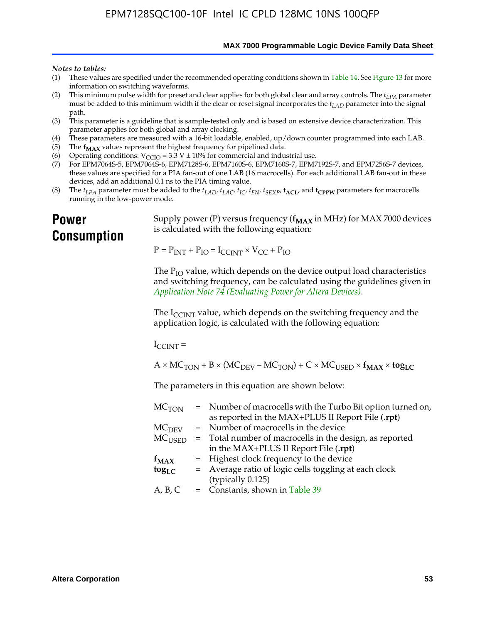**MAX 7000 Programmable Logic Device Family Data Sheet**

#### *Notes to tables:*

- (1) These values are specified under the recommended operating conditions shown in Table 14. See Figure 13 for more information on switching waveforms.
- (2) This minimum pulse width for preset and clear applies for both global clear and array controls. The  $t_{LPA}$  parameter must be added to this minimum width if the clear or reset signal incorporates the *tLAD* parameter into the signal path.
- (3) This parameter is a guideline that is sample-tested only and is based on extensive device characterization. This parameter applies for both global and array clocking.
- (4) These parameters are measured with a 16-bit loadable, enabled, up/down counter programmed into each LAB.
- (5) The  $f_{MAX}$  values represent the highest frequency for pipelined data.
- (6) Operating conditions:  $V_{\text{CCIO}} = 3.3 \text{ V} \pm 10\%$  for commercial and industrial use.
- (7) For EPM7064S-5, EPM7064S-6, EPM7128S-6, EPM7160S-6, EPM7160S-7, EPM7192S-7, and EPM7256S-7 devices, these values are specified for a PIA fan-out of one LAB (16 macrocells). For each additional LAB fan-out in these devices, add an additional 0.1 ns to the PIA timing value.
- (8) The  $t_{LPA}$  parameter must be added to the  $t_{LAD}$ ,  $t_{LAC}$ ,  $t_{IC}$ ,  $t_{EN}$ ,  $t_{SEXP}$ ,  $t_{ACL}$ , and  $t_{CPPW}$  parameters for macrocells running in the low-power mode.

# **Power Consumption**

[Supply power \(P\) versus frequency \(](http://www.altera.com/literature/an/an074.pdf) $f_{MAX}$  in MHz) for MAX 7000 devices is calculated with the following equation:

 $P = P_{INT} + P_{IO} = I_{CCLNT} \times V_{CC} + P_{IO}$ 

The  $P_{IO}$  value, which depends on the device output load characteristics and switching frequency, can be calculated using the guidelines given in *Application Note 74 (Evaluating Power for Altera Devices)*.

The  $I_{\text{CCINT}}$  value, which depends on the switching frequency and the application logic, is calculated with the following equation:

 $I_{\text{CCTNT}} =$ 

 $A \times MC_{TON} + B \times (MC_{DEFU} - MC_{TON}) + C \times MC_{LISED} \times f_{MAX} \times tog_{LC}$ 

The parameters in this equation are shown below:

| $MC$ <sub>TON</sub> | = Number of macrocells with the Turbo Bit option turned on,                |
|---------------------|----------------------------------------------------------------------------|
|                     | as reported in the MAX+PLUS II Report File (.rpt)                          |
| MC <sub>DFV</sub>   | = Number of macrocells in the device                                       |
|                     | $MC_{\text{USED}}$ = Total number of macrocells in the design, as reported |
|                     | in the MAX+PLUS II Report File (.rpt)                                      |
| $f_{MAX}$           | = Highest clock frequency to the device                                    |
| $tog_{LC}$          | = Average ratio of logic cells toggling at each clock                      |
|                     | (typically 0.125)                                                          |
| A, B, C             | = Constants, shown in Table 39                                             |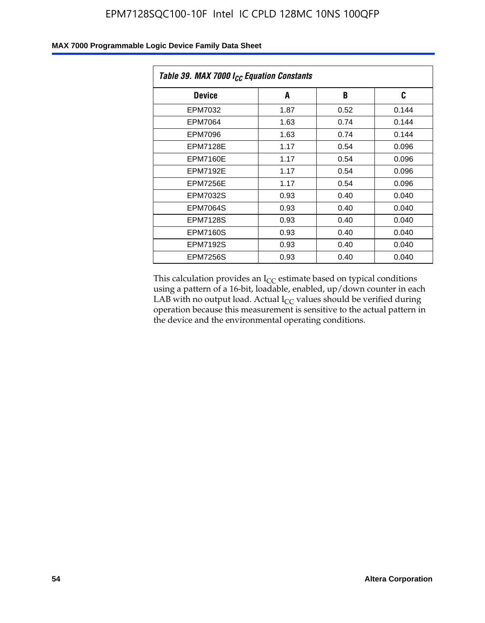| Table 39. MAX 7000 I <sub>CC</sub> Equation Constants |      |      |       |  |  |
|-------------------------------------------------------|------|------|-------|--|--|
| <b>Device</b>                                         | A    | B    | C     |  |  |
| EPM7032                                               | 1.87 | 0.52 | 0.144 |  |  |
| <b>EPM7064</b>                                        | 1.63 | 0.74 | 0.144 |  |  |
| <b>EPM7096</b>                                        | 1.63 | 0.74 | 0.144 |  |  |
| <b>EPM7128E</b>                                       | 1.17 | 0.54 | 0.096 |  |  |
| <b>EPM7160E</b>                                       | 1.17 | 0.54 | 0.096 |  |  |
| <b>EPM7192E</b>                                       | 1.17 | 0.54 | 0.096 |  |  |
| <b>EPM7256E</b>                                       | 1.17 | 0.54 | 0.096 |  |  |
| <b>EPM7032S</b>                                       | 0.93 | 0.40 | 0.040 |  |  |
| <b>EPM7064S</b>                                       | 0.93 | 0.40 | 0.040 |  |  |
| <b>EPM7128S</b>                                       | 0.93 | 0.40 | 0.040 |  |  |
| <b>EPM7160S</b>                                       | 0.93 | 0.40 | 0.040 |  |  |
| <b>EPM7192S</b>                                       | 0.93 | 0.40 | 0.040 |  |  |
| <b>EPM7256S</b>                                       | 0.93 | 0.40 | 0.040 |  |  |

This calculation provides an  $I_{CC}$  estimate based on typical conditions using a pattern of a 16-bit, loadable, enabled, up/down counter in each LAB with no output load. Actual  $I_{CC}$  values should be verified during operation because this measurement is sensitive to the actual pattern in the device and the environmental operating conditions.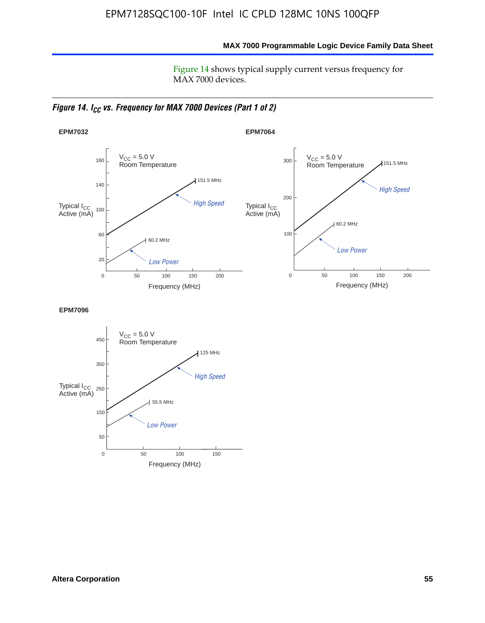**MAX 7000 Programmable Logic Device Family Data Sheet**

Figure 14 shows typical supply current versus frequency for MAX 7000 devices.

*Figure 14. I<sub>CC</sub> vs. Frequency for MAX 7000 Devices (Part 1 of 2)* 



**EPM7096**

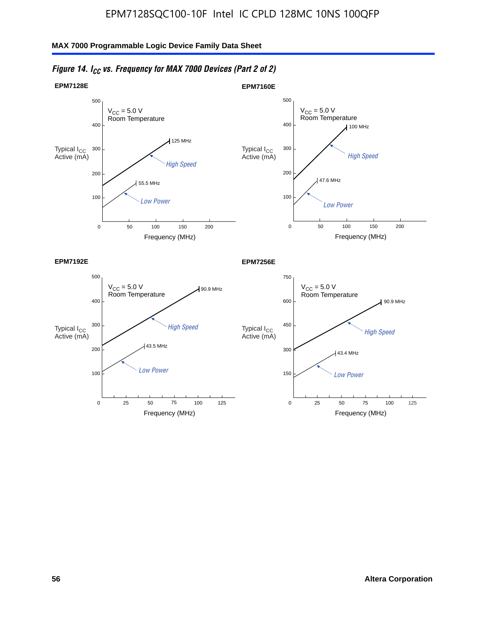

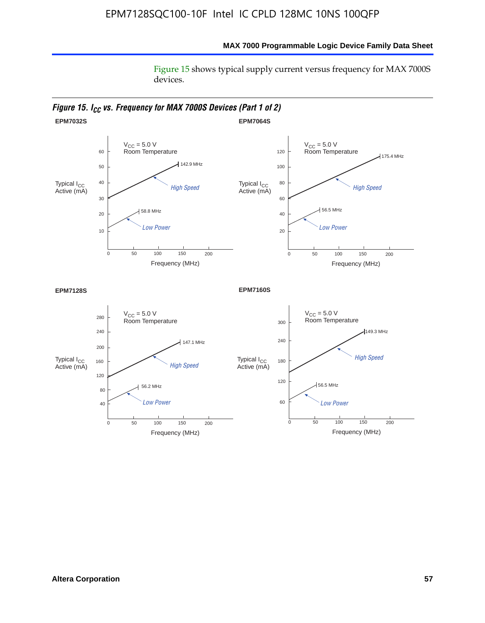Figure 15 shows typical supply current versus frequency for MAX 7000S devices.

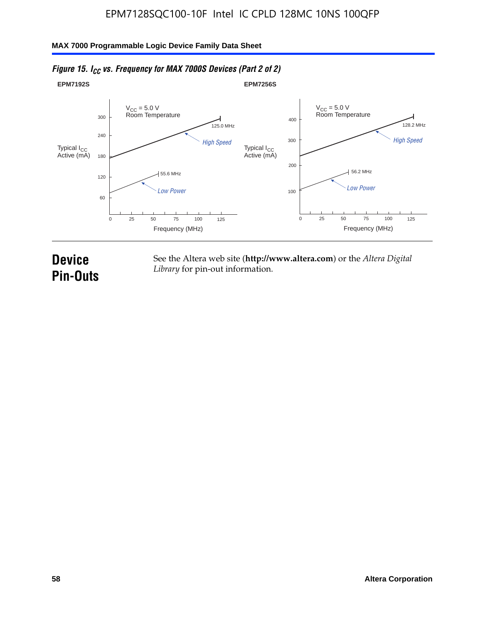#### **EPM7192S** V<sub>CC</sub> = 5.0 V<br>Room Temperature 0 Frequency (MHz) High Speed Low Power 25 100 125 125.0 MHz 55.6 MHz 60 120 180 240 300 50 75 **EPM7256S** V<sub>CC</sub> = 5.0 V<br>Room Temperature 0 Frequency (MHz) High Speed Low Power 25 100 125 128.2 MHz 56.2 MHz 100 200 300 400 50 75 Typical I<sub>CC</sub><br>Active (mA) Typical I<sub>CC</sub> Typical I<sub>CC</sub> Typical I<sub>C</sub> Typical I<sub>C</sub> Typical I<sub>C</sub> Typical I<sub>C</sub> Typical I<sub>C</sub> Typical I<sub>C</sub> Typical I<sub>C</sub> Typical I<sub>C</sub> Typical I<sub>C</sub> Typical I<sub>C</sub> Typical I<sub>C</sub> Typical I<sub>C</sub> Typical I<sub>C</sub> Typical I<sub>C</sub> Typical I<sub>C</sub> Typical I<sub>CC</sub><br>Active (mA)

## *Figure 15. I<sub>CC</sub> vs. Frequency for MAX 7000S Devices (Part 2 of 2)*

# **Device Pin-Outs**

See the Altera web site (**http://www.altera.com**) or the *Altera Digital Library* for pin-out information.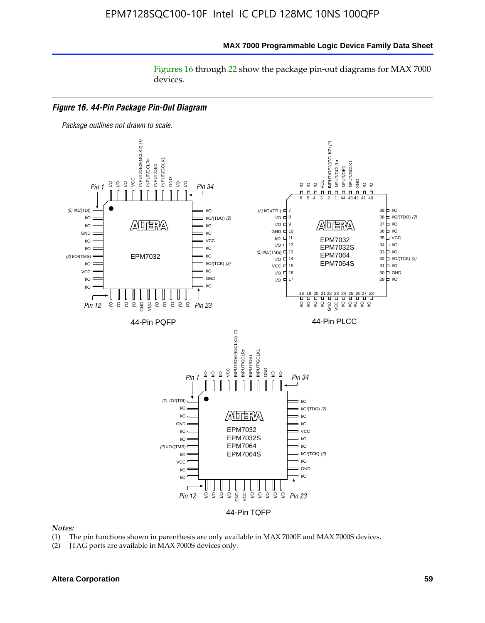Figures 16 through 22 show the package pin-out diagrams for MAX 7000 devices.



- (1) The pin functions shown in parenthesis are only available in MAX 7000E and MAX 7000S devices.
- (2) JTAG ports are available in MAX 7000S devices only.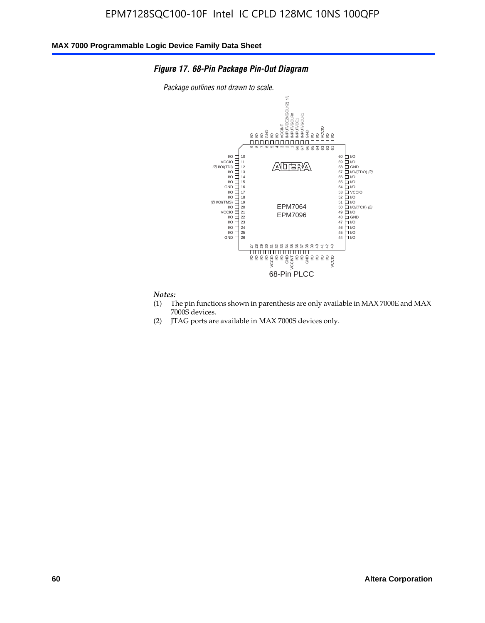#### *Figure 17. 68-Pin Package Pin-Out Diagram*

*Package outlines not drawn to scale.*



- (1) The pin functions shown in parenthesis are only available in MAX 7000E and MAX 7000S devices.
- (2) JTAG ports are available in MAX 7000S devices only.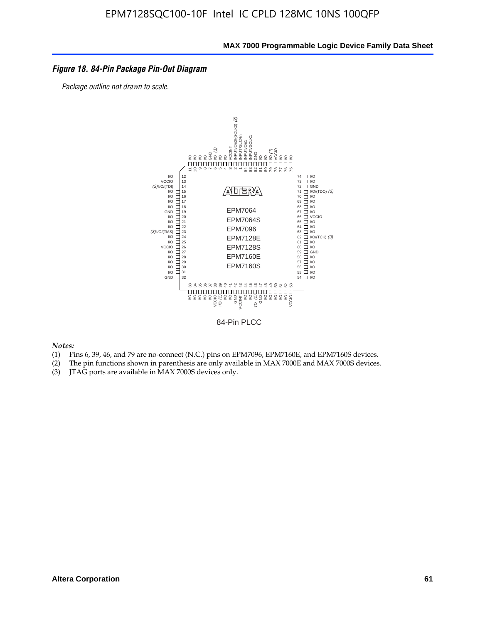#### *Figure 18. 84-Pin Package Pin-Out Diagram*

*Package outline not drawn to scale.*



84-Pin PLCC

- (1) Pins 6, 39, 46, and 79 are no-connect (N.C.) pins on EPM7096, EPM7160E, and EPM7160S devices.
- (2) The pin functions shown in parenthesis are only available in MAX 7000E and MAX 7000S devices.
-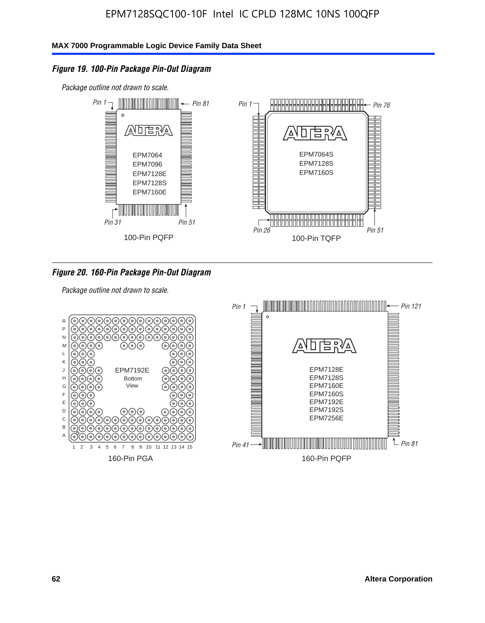## *Figure 19. 100-Pin Package Pin-Out Diagram*

*Package outline not drawn to scale.*



#### *Figure 20. 160-Pin Package Pin-Out Diagram*

*Package outline not drawn to scale.*

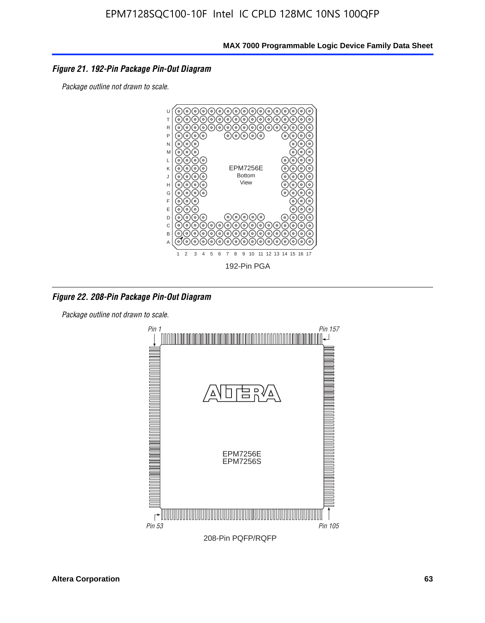#### *Figure 21. 192-Pin Package Pin-Out Diagram*

*Package outline not drawn to scale.*



*Figure 22. 208-Pin Package Pin-Out Diagram*

*Package outline not drawn to scale.*

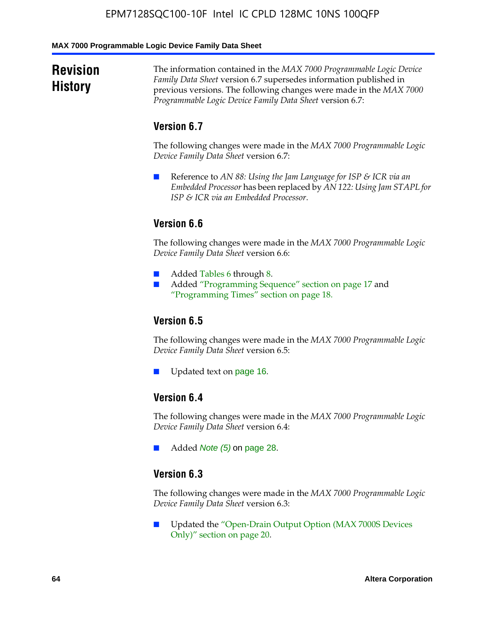#### **MAX 7000 Programmable Logic Device Family Data Sheet**

# **Revision History**

The information contained in the *MAX 7000 Programmable Logic Device Family Data Sheet* version 6.7 supersedes information published in previous versions. The following changes were made in the *MAX 7000 Programmable Logic Device Family Data Sheet* version 6.7:

## **Version 6.7**

The following changes were made in the *MAX 7000 Programmable Logic Device Family Data Sheet* version 6.7:

■ Reference to *AN 88: Using the Jam Language for ISP & ICR via an Embedded Processor* has been replaced by *AN 122: Using Jam STAPL for ISP & ICR via an Embedded Processor*.

## **Version 6.6**

The following changes were made in the *MAX 7000 Programmable Logic Device Family Data Sheet* version 6.6:

- Added Tables 6 through 8.
- Added "Programming Sequence" section on page 17 and "Programming Times" section on page 18.

## **Version 6.5**

The following changes were made in the *MAX 7000 Programmable Logic Device Family Data Sheet* version 6.5:

Updated text on page 16.

## **Version 6.4**

The following changes were made in the *MAX 7000 Programmable Logic Device Family Data Sheet* version 6.4:

■ Added *Note (5)* on page 28.

## **Version 6.3**

The following changes were made in the *MAX 7000 Programmable Logic Device Family Data Sheet* version 6.3:

■ Updated the "Open-Drain Output Option (MAX 7000S Devices Only)" section on page 20.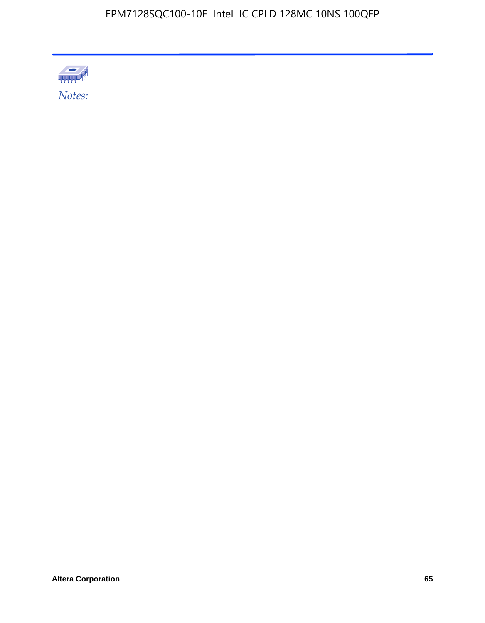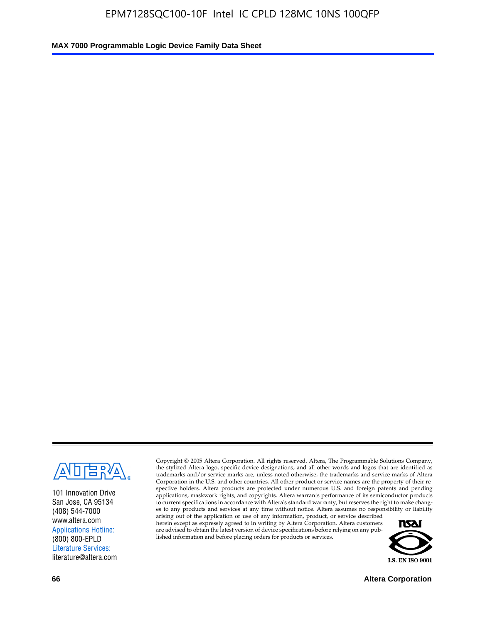

101 Innovation Drive San Jose, CA 95134 (408) 544-7000 www.altera.com Applications Hotline: (800) 800-EPLD Literature Services: literature@altera.com

Copyright © 2005 Altera Corporation. All rights reserved. Altera, The Programmable Solutions Company, the stylized Altera logo, specific device designations, and all other words and logos that are identified as trademarks and/or service marks are, unless noted otherwise, the trademarks and service marks of Altera Corporation in the U.S. and other countries. All other product or service names are the property of their respective holders. Altera products are protected under numerous U.S. and foreign patents and pending applications, maskwork rights, and copyrights. Altera warrants performance of its semiconductor products to current specifications in accordance with Altera's standard warranty, but reserves the right to make changes to any products and services at any time without notice. Altera assumes no responsibility or liability

arising out of the application or use of any information, product, or service described herein except as expressly agreed to in writing by Altera Corporation. Altera customers are advised to obtain the latest version of device specifications before relying on any published information and before placing orders for products or services.



**66 Altera Corporation**